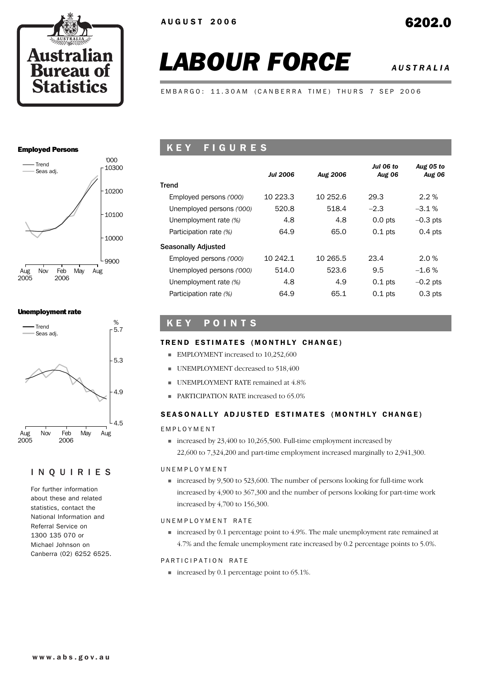

# *LABOUR FORCE AUSTRALIA*

EMBARGO: 11.30AM (CANBERRA TIME) THURS 7 SEP 2006

### Employed Persons



### Unemployment rate



### INQUIRIES

For further information about these and related statistics, contact the National Information and Referral Service on 1300 135 070 or Michael Johnson on Canberra (02) 6252 6525.

# K E Y F I G U R E S

|                           | <b>Jul 2006</b> | Aug 2006 | Jul 06 to<br><b>Aug 06</b> | Aug 05 to<br><b>Aug 06</b> |
|---------------------------|-----------------|----------|----------------------------|----------------------------|
| Trend                     |                 |          |                            |                            |
| Employed persons ('000)   | 10 223.3        | 10 252.6 | 29.3                       | $2.2\%$                    |
| Unemployed persons ('000) | 520.8           | 518.4    | $-2.3$                     | $-3.1\%$                   |
| Unemployment rate (%)     | 4.8             | 4.8      | $0.0$ pts                  | $-0.3$ pts                 |
| Participation rate (%)    | 64.9            | 65.0     | $0.1$ pts                  | $0.4$ pts                  |
| Seasonally Adjusted       |                 |          |                            |                            |
| Employed persons ('000)   | 10 242.1        | 10 265.5 | 23.4                       | 2.0%                       |
| Unemployed persons ('000) | 514.0           | 523.6    | 9.5                        | $-1.6%$                    |
| Unemployment rate (%)     | 4.8             | 4.9      | $0.1$ pts                  | $-0.2$ pts                 |
| Participation rate (%)    | 64.9            | 65.1     | $0.1$ pts                  | $0.3$ pts                  |

# K E Y P O I N T S

### TREND ESTIMATES (MONTHLY CHANGE)

- **EMPLOYMENT** increased to 10,252,600
- **UNEMPLOYMENT** decreased to 518,400
- **UNEMPLOYMENT RATE remained at 4.8%**
- **PARTICIPATION RATE increased to 65.0%**

### SEASONALLY ADJUSTED ESTIMATES (MONTHLY CHANGE)

### EMPLOYMENT

 $\blacksquare$  increased by 23,400 to 10,265,500. Full-time employment increased by 22,600 to 7,324,200 and part-time employment increased marginally to 2,941,300.

### UNEMPLOYMENT

! increased by 9,500 to 523,600. The number of persons looking for full-time work increased by 4,900 to 367,300 and the number of persons looking for part-time work increased by 4,700 to 156,300.

### UNEMPLOYMENT RATE

! increased by 0.1 percentage point to 4.9%. The male unemployment rate remained at 4.7% and the female unemployment rate increased by 0.2 percentage points to 5.0%.

### PARTICIPATION RATE

■ increased by 0.1 percentage point to 65.1%.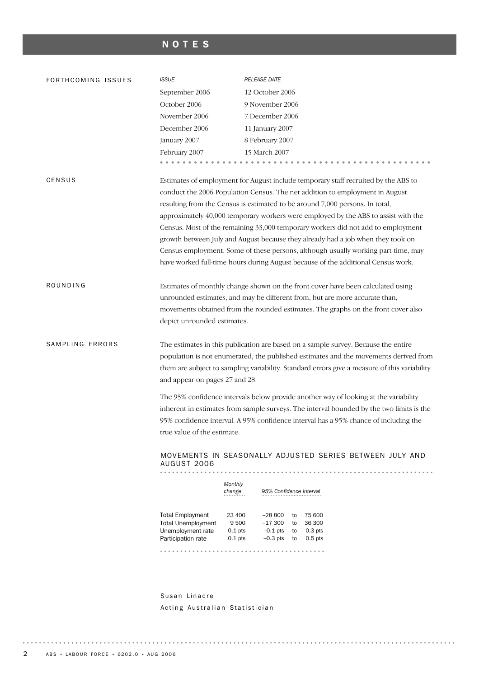# NOTES

| FORTHCOMING ISSUES | <b>ISSUE</b>                            | <b>RELEASE DATE</b>                                                                                                                                                                                                                                                                                                                                                                                                                                                                                             |
|--------------------|-----------------------------------------|-----------------------------------------------------------------------------------------------------------------------------------------------------------------------------------------------------------------------------------------------------------------------------------------------------------------------------------------------------------------------------------------------------------------------------------------------------------------------------------------------------------------|
|                    | September 2006                          | 12 October 2006                                                                                                                                                                                                                                                                                                                                                                                                                                                                                                 |
|                    | October 2006                            | 9 November 2006                                                                                                                                                                                                                                                                                                                                                                                                                                                                                                 |
|                    | November 2006                           | 7 December 2006                                                                                                                                                                                                                                                                                                                                                                                                                                                                                                 |
|                    | December 2006                           | 11 January 2007                                                                                                                                                                                                                                                                                                                                                                                                                                                                                                 |
|                    | January 2007                            | 8 February 2007                                                                                                                                                                                                                                                                                                                                                                                                                                                                                                 |
|                    | February 2007                           | 15 March 2007                                                                                                                                                                                                                                                                                                                                                                                                                                                                                                   |
|                    |                                         |                                                                                                                                                                                                                                                                                                                                                                                                                                                                                                                 |
| CENSUS             |                                         | Estimates of employment for August include temporary staff recruited by the ABS to<br>conduct the 2006 Population Census. The net addition to employment in August<br>resulting from the Census is estimated to be around 7,000 persons. In total,<br>approximately 40,000 temporary workers were employed by the ABS to assist with the<br>Census. Most of the remaining 33,000 temporary workers did not add to employment<br>growth between July and August because they already had a job when they took on |
|                    |                                         | Census employment. Some of these persons, although usually working part-time, may                                                                                                                                                                                                                                                                                                                                                                                                                               |
|                    |                                         | have worked full-time hours during August because of the additional Census work.                                                                                                                                                                                                                                                                                                                                                                                                                                |
| ROUNDING           | depict unrounded estimates.             | Estimates of monthly change shown on the front cover have been calculated using<br>unrounded estimates, and may be different from, but are more accurate than,<br>movements obtained from the rounded estimates. The graphs on the front cover also                                                                                                                                                                                                                                                             |
| SAMPLING ERRORS    |                                         | The estimates in this publication are based on a sample survey. Because the entire                                                                                                                                                                                                                                                                                                                                                                                                                              |
|                    |                                         |                                                                                                                                                                                                                                                                                                                                                                                                                                                                                                                 |
|                    |                                         |                                                                                                                                                                                                                                                                                                                                                                                                                                                                                                                 |
|                    |                                         | population is not enumerated, the published estimates and the movements derived from<br>them are subject to sampling variability. Standard errors give a measure of this variability                                                                                                                                                                                                                                                                                                                            |
|                    | and appear on pages 27 and 28.          |                                                                                                                                                                                                                                                                                                                                                                                                                                                                                                                 |
|                    |                                         |                                                                                                                                                                                                                                                                                                                                                                                                                                                                                                                 |
|                    |                                         | The 95% confidence intervals below provide another way of looking at the variability                                                                                                                                                                                                                                                                                                                                                                                                                            |
|                    |                                         | inherent in estimates from sample surveys. The interval bounded by the two limits is the                                                                                                                                                                                                                                                                                                                                                                                                                        |
|                    |                                         | 95% confidence interval. A 95% confidence interval has a 95% chance of including the                                                                                                                                                                                                                                                                                                                                                                                                                            |
|                    | true value of the estimate.             |                                                                                                                                                                                                                                                                                                                                                                                                                                                                                                                 |
|                    | AUGUST 2006                             | MOVEMENTS IN SEASONALLY ADJUSTED SERIES BETWEEN JULY AND                                                                                                                                                                                                                                                                                                                                                                                                                                                        |
|                    | .                                       |                                                                                                                                                                                                                                                                                                                                                                                                                                                                                                                 |
|                    |                                         | Monthly<br>95% Confidence interval<br>change                                                                                                                                                                                                                                                                                                                                                                                                                                                                    |
|                    | <b>Total Employment</b>                 | 23 400<br>$-28800$<br>75 600<br>to                                                                                                                                                                                                                                                                                                                                                                                                                                                                              |
|                    | <b>Total Unemployment</b>               | 9 5 0 0<br>36 300<br>$-17300$ to                                                                                                                                                                                                                                                                                                                                                                                                                                                                                |
|                    | Unemployment rate<br>Participation rate | $-0.1$ pts to<br>0.3 <sub>pts</sub><br>$0.1$ pts<br>$0.1$ pts<br>$-0.3$ pts to<br>$0.5$ pts                                                                                                                                                                                                                                                                                                                                                                                                                     |
|                    |                                         |                                                                                                                                                                                                                                                                                                                                                                                                                                                                                                                 |
|                    |                                         |                                                                                                                                                                                                                                                                                                                                                                                                                                                                                                                 |
|                    |                                         |                                                                                                                                                                                                                                                                                                                                                                                                                                                                                                                 |

Susan Linacre Acting Australian Statistician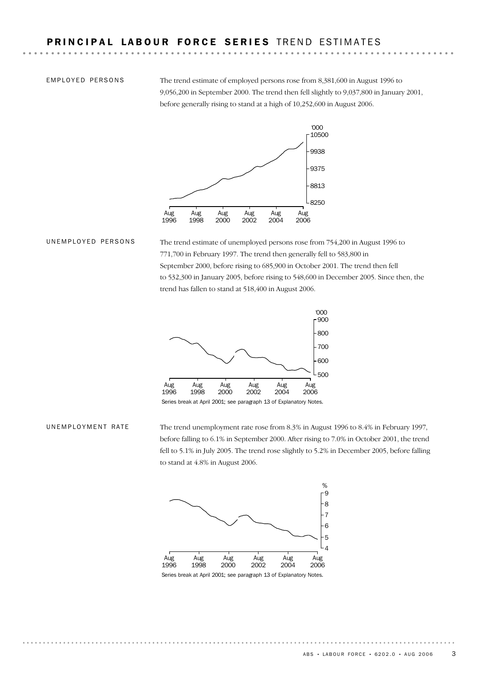**EMPLOYED PERSONS** 

The trend estimate of employed persons rose from 8,381,600 in August 1996 to 9,056,200 in September 2000. The trend then fell slightly to 9,037,800 in January 2001, before generally rising to stand at a high of 10,252,600 in August 2006.



The trend estimate of unemployed persons rose from 754,200 in August 1996 to 771,700 in February 1997. The trend then generally fell to 583,800 in September 2000, before rising to 685,900 in October 2001. The trend then fell to 532,300 in January 2005, before rising to 548,600 in December 2005. Since then, the trend has fallen to stand at 518,400 in August 2006. UNEMPLOYED PERSONS



Series break at April 2001; see paragraph 13 of Explanatory Notes.

The trend unemployment rate rose from 8.3% in August 1996 to 8.4% in February 1997, before falling to 6.1% in September 2000. After rising to 7.0% in October 2001, the trend fell to 5.1% in July 2005. The trend rose slightly to 5.2% in December 2005, before falling to stand at 4.8% in August 2006. UNEMPLOYMENT RATE



Series break at April 2001; see paragraph 13 of Explanatory Notes.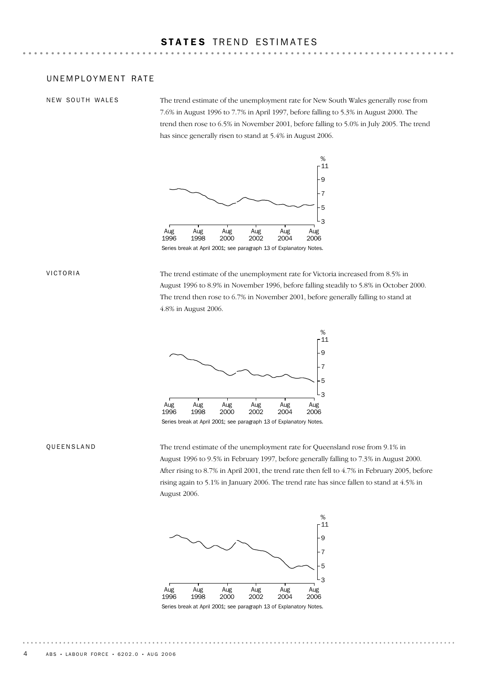### UNEMPLOYMENT RATE

NEW SOUTH WALES

The trend estimate of the unemployment rate for New South Wales generally rose from 7.6% in August 1996 to 7.7% in April 1997, before falling to 5.3% in August 2000. The trend then rose to 6.5% in November 2001, before falling to 5.0% in July 2005. The trend has since generally risen to stand at 5.4% in August 2006.



Series break at April 2001; see paragraph 13 of Explanatory Notes.

### VICTORIA

The trend estimate of the unemployment rate for Victoria increased from 8.5% in August 1996 to 8.9% in November 1996, before falling steadily to 5.8% in October 2000. The trend then rose to 6.7% in November 2001, before generally falling to stand at 4.8% in August 2006.



### Series break at April 2001; see paragraph 13 of Explanatory Notes.

### QUEENSLAND

The trend estimate of the unemployment rate for Queensland rose from 9.1% in August 1996 to 9.5% in February 1997, before generally falling to 7.3% in August 2000. After rising to 8.7% in April 2001, the trend rate then fell to 4.7% in February 2005, before rising again to 5.1% in January 2006. The trend rate has since fallen to stand at 4.5% in August 2006.



Series break at April 2001; see paragraph 13 of Explanatory Notes.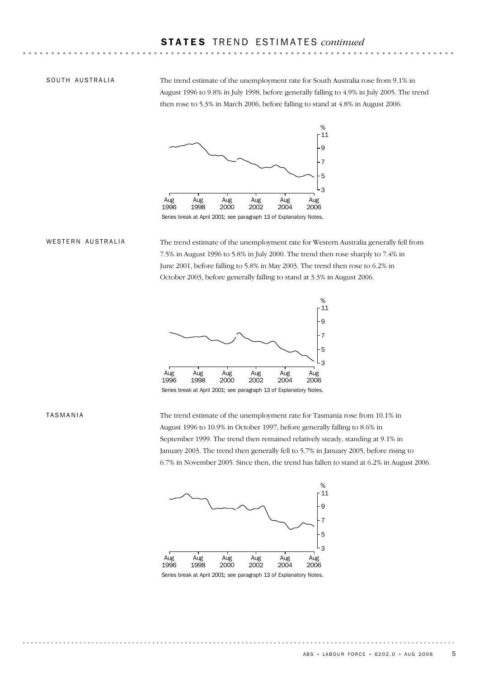### SOUTH AUSTRALIA

The trend estimate of the unemployment rate for South Australia rose from 9.1% in August 1996 to 9.8% in July 1998, before generally falling to 4.9% in July 2005. The trend then rose to 5.3% in March 2006, before falling to stand at 4.8% in August 2006.



The trend estimate of the unemployment rate for Western Australia generally fell from 7.5% in August 1996 to 5.8% in July 2000. The trend then rose sharply to 7.4% in June 2001, before falling to 5.8% in May 2003. The trend then rose to 6.2% in October 2003, before generally falling to stand at 3.3% in August 2006. WESTERN AUSTRALIA



Series break at April 2001; see paragraph 13 of Explanatory Notes.

### TASMANIA

The trend estimate of the unemployment rate for Tasmania rose from 10.1% in August 1996 to 10.9% in October 1997, before generally falling to 8.6% in September 1999. The trend then remained relatively steady, standing at 9.1% in January 2003. The trend then generally fell to 5.7% in January 2005, before rising to 6.7% in November 2005. Since then, the trend has fallen to stand at 6.2% in August 2006.



Series break at April 2001; see paragraph 13 of Explanatory Notes.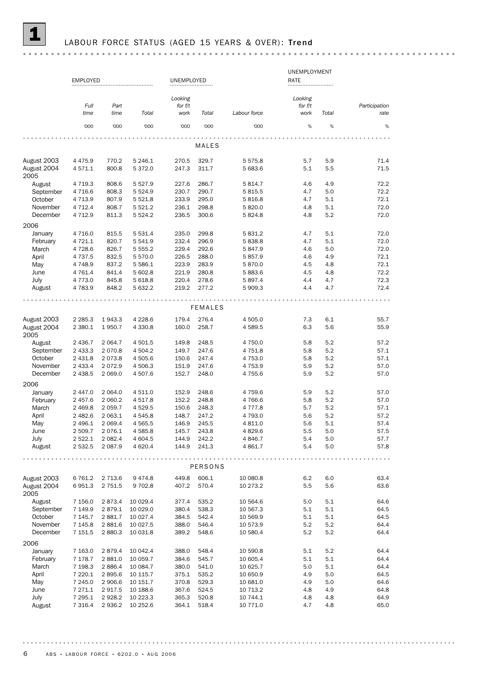### LABOUR FORCE STATUS (AGED 15 YEARS & OVER): Trend

UNEMPLOYMENT EMPLOYED UNEMPLOYED **RATE** *Looking Looking Full Part for f/t for f/t Participation time Total work Total time rate Total work Labour force* '000 '000 '000 '000 '000 '000 % % % MALES August 2003 4 475.9 770.2 5 246.1 270.5 329.7 5 575.8 5.7 5.9 71.4 August 2004 4 571.1 800.8 5 372.0 247.3 311.7 5 683.6 5.1 5.5 5.5 71.5 2005 August 4 719.3 808.6 5 527.9 227.6 286.7 5 814.7 4.6 4.9 72.2 September 4 716.6 808.3 5 524.9 230.7 290.7 5 815.5 4.7 5.0 72.2<br>
October 4 713.9 807.9 5 521.8 233.9 295.0 5 816.8 4.7 5.1 72.1<br>
November 4 712.4 808.7 5 521.2 236.1 298.8 5 820.0 4.8 5.1 72.0 October 4 713.9 807.9 5 521.8 233.9 295.0 5 816.8 4.7 5.1 72.1 November 4 712.4 808.7 5 521.2 236.1 298.8 5 820.0 4.8 5.1 72.0 December 4 712.9 811.3 5 524.2 236.5 300.6 5 824.8 4.8 5.2 72.0 2006 January 4 716.0 815.5 5 531.4 235.0 299.8 5 831.2 4.7 5.1 72.0 February 4 721.1 820.7 5 541.9 232.4 296.9 5 838.8 4.7 5.1 72.0<br>
March 4 728.6 826.7 5 555.2 229.4 292.6 5 847.9 4.6 5.0 72.0<br>
April 4 737.5 832.5 5 570.0 226.5 288.0 5 857.9 4.6 4.9 72.1 March 4 728.6 826.7 5 555.2 229.4 292.6 5 847.9 4.6 5.0 72.0 April 4 737.5 832.5 5 570.0 226.5 288.0 5 857.9 4.6 4.9 72.1 May 4 748.9 837.2 5 586.1 223.9 283.9 5 870.0 4.5 4.8 72.1<br>
June 4 761.4 841.4 5 602.8 221.9 280.8 5 883.6 4.5 4.8 72.2<br>
July 4 773.0 845.8 5 618.8 220.4 278.6 5 897.4 4.4 4.7 72.3 June 4 761.4 841.4 5 602.8 221.9 280.8 5 883.6 4.5 4.8 72.2 July 4 773.0 845.8 5 618.8 220.4 278.6 5 897.4 4.4 4.7 72.3 August 4 783.9 848.2 5 632.2 219.2 277.2 5 909.3 4.4 4.7 72.4 FEMALES August 2003 2 285.3 1 943.3 4 228.6 179.4 276.4 4 505.0 7.3 6.1 55.7 August 2004 2 380.1 1 950.7 4 330.8 160.0 258.7 4 589.5 6.3 5.6 55.9 2005 August 2 436.7 2 064.7 4 501.5 149.8 248.5 4 750.0 5.8 5.2 57.2 September 2 433.3 2 070.8 4 504.2 149.7 247.6 4 751.8 5.8 5.2 57.1 October 2 431.8 2 073.8 4 505.6 150.6 247.4 4 753.0 5.8 5.2 57.1<br>November 2 433.4 2 072.9 4 506.3 151.9 247.6 4 753.9 5.9 5.2 57.0 November 2 433.4 2 072.9 4 506.3 151.9 247.6 4 753.9 5.9 5.2 57.0 December 2 438.5 2 069.0 4 507.6 152.7 248.0 4 755.6 5.9 5.2 57.0 2006 January 2 447.0 2 064.0 4 511.0 152.9 248.6 4 759.6 5.9 5.2 57.0 February 2 457.6 2 060.2 4 517.8 152.2 248.8 4 766.6 5.8 5.2 57.0 March 2 469.8 2 059.7 4 529.5 150.6 248.3 4 777.8 5.7 5.2 57.1 April 2 482.6 2 063.1 4 545.8 148.7 247.2 4 793.0 5.6 5.2 57.2 May 2 496.1 2 069.4 4 565.5 146.9 245.5 4 811.0 5.6 5.1 57.4 June 2 509.7 2 076.1 4 585.8 145.7 243.8 4 829.6 5.5 5.0 57.5 July 2 522.1 2 082.4 4 604.5 144.9 242.2 4 846.7 5.4 5.0 57.7 August 2 532.5 2 087.9 4 620.4 144.9 241.3 4 861.7 5.4 5.0 57.8 . . . . . . . . . . . . . . . . . PERSONS August 2003 6 761.2 2 713.6 9 474.8 449.8 606.1 10 080.8 6.2 6.0 63.4 August 2004 6 951.3 2 751.5 9 702.8 407.2 570.4 10 273.2 5.5 5.6 63.6 63.6 2005 August 7 156.0 2 873.4 10 029.4 377.4 535.2 10 564.6 5.0 5.1 64.6 September 7 149.9 2 879.1 10 029.0 380.4 538.3 10 567.3 5.1 5.1 64.5 October 7 145.7 2 881.7 10 027.4 384.5 542.4 10 569.9 5.1 5.1 64.5 64.5 542.4 10 569.9 5.1 5.1 64.4 November 7 145.8 2 881.6 10 027.5 388.0 546.4 10 573.9 5.2 5.2 64.4 December 7 151.5 2 880.3 10 031.8 389.2 548.6 10 580.4 5.2 5.2 64.4 2006 January 7 163.0 2 879.4 10 042.4 388.0 548.4 10 590.8 5.1 5.2 64.4 February 7 178.7 2 881.0 10 059.7 384.6 545.7 10 605.4 5.1 5.1 64.4 March 7 198.3 2 886.4 10 084.7 380.0 541.0 10 625.7 5.0 5.1 64.4<br>
April 7 220.1 2 895.6 10 115.7 375.1 535.2 10 650.9 4.9 5.0 64.5<br>
May 7 245.0 2 906.6 10 151.7 370.8 529.3 10 681.0 4.9 5.0 64.6 April 7 220.1 2 895.6 10 115.7 375.1 535.2 10 650.9 4.9 5.0 64.5 May 7 245.0 2 906.6 10 151.7 370.8 529.3 10 681.0 4.9 5.0 64.6 June 7 271.1 2 917.5 10 188.6 367.6 524.5 10 713.2 4.8 4.9 64.8 July 7 295.1 2 928.2 10 223.3 365.3 520.8 10 744.1 4.8 4.8 64.9 August 7 316.4 2 936.2 10 252.6 364.1 518.4 10 771.0 4.7 4.8 65.0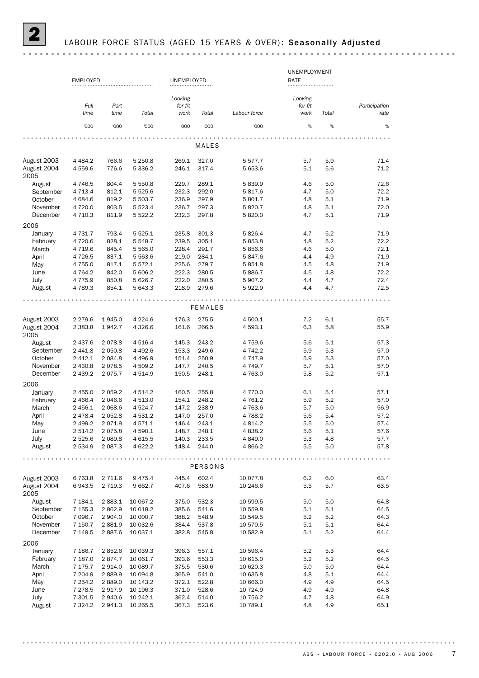|                      |                      |                     |                       |                    |                |                      | UNEMPLOYMENT         |            |               |
|----------------------|----------------------|---------------------|-----------------------|--------------------|----------------|----------------------|----------------------|------------|---------------|
|                      | <b>EMPLOYED</b>      |                     |                       | UNEMPLOYED         |                |                      | RATE                 |            |               |
|                      |                      |                     |                       |                    |                |                      |                      |            |               |
|                      | Full                 | Part                |                       | Looking<br>for f/t |                |                      | Looking<br>for $f/t$ |            | Participation |
|                      | time                 | time                | Total                 | work               | Total          | Labour force         | work                 | Total      | rate          |
|                      | '000                 | '000                | '000                  | '000               | '000           | '000                 | %                    | $\%$       | %             |
|                      |                      |                     |                       |                    |                |                      |                      |            |               |
|                      |                      |                     |                       |                    | MALES          |                      |                      |            |               |
| August 2003          | 4 4 8 4.2            | 766.6               | 5 2 5 0.8             | 269.1              | 327.0          | 5 5 7 7 . 7          | 5.7                  | 5.9        | 71.4          |
| August 2004<br>2005  | 4559.6               | 776.6               | 5 3 3 6.2             | 246.1              | 317.4          | 5 653.6              | 5.1                  | 5.6        | 71.2          |
| August               | 4 7 4 6.5            | 804.4               | 5 5 5 0.8             | 229.7              | 289.1          | 5839.9               | 4.6                  | 5.0        | 72.6          |
| September            | 4 7 1 3.4            | 812.1               | 5 5 2 5 . 6           | 232.3              | 292.0          | 5817.6               | 4.7                  | 5.0        | 72.2          |
| October              | 4 684.6              | 819.2               | 5 503.7               | 236.9              | 297.9          | 5 801.7              | 4.8                  | 5.1        | 71.9          |
| November<br>December | 4720.0<br>4 7 1 0.3  | 803.5<br>811.9      | 5 5 23.4<br>5 5 2 2.2 | 236.7<br>232.3     | 297.3<br>297.8 | 5820.7<br>5 820.0    | 4.8<br>4.7           | 5.1<br>5.1 | 72.0<br>71.9  |
| 2006                 |                      |                     |                       |                    |                |                      |                      |            |               |
| January              | 4 7 3 1.7            | 793.4               | 5 5 2 5 . 1           | 235.8              | 301.3          | 5 826.4              | 4.7                  | 5.2        | 71.9          |
| February             | 4 7 2 0.6            | 828.1               | 5 5 48.7              | 239.5              | 305.1          | 5 853.8              | 4.8                  | 5.2        | 72.2          |
| March                | 4 7 1 9.6            | 845.4               | 5 5 6 5 .0            | 228.4              | 291.7          | 5856.6               | 4.6                  | 5.0        | 72.1          |
| April                | 4726.5               | 837.1               | 5 5 6 3.6             | 219.0              | 284.1          | 5847.6               | 4.4                  | 4.9        | 71.9          |
| May                  | 4 7 5 5.0            | 817.1               | 5 5 7 2.1             | 225.6              | 279.7          | 5 851.8              | 4.5                  | 4.8        | 71.9          |
| June                 | 4 7 64.2             | 842.0               | 5 606.2               | 222.3              | 280.5          | 5886.7               | 4.5                  | 4.8        | 72.2          |
| July                 | 4 7 7 5.9            | 850.8               | 5 6 26.7              | 222.0              | 280.5          | 5 907.2              | 4.4                  | 4.7        | 72.4          |
| August               | 4789.3               | 854.1               | 5 643.3               | 218.9              | 279.6          | 5922.9               | 4.4                  | 4.7        | 72.5          |
|                      |                      |                     |                       |                    |                |                      |                      |            |               |
|                      |                      |                     |                       |                    | <b>FEMALES</b> |                      |                      |            |               |
| August 2003          | 2 2 7 9.6            | 1945.0              | 4 2 2 4 .6            | 176.3              | 275.5          | 4 500.1              | 7.2                  | 6.1        | 55.7          |
| August 2004<br>2005  | 2 3 8 3 . 8          | 1942.7              | 4 3 2 6.6             | 161.6              | 266.5          | 4 593.1              | 6.3                  | 5.8        | 55.9          |
| August               | 2 437.6              | 2078.8              | 4 5 1 6.4             | 145.3              | 243.2          | 4 759.6              | 5.6                  | 5.1        | 57.3          |
| September            | 2 4 4 1.8            | 2 0 5 0.8           | 4 4 9 2.6             | 153.3              | 249.6          | 4 742.2              | 5.9                  | 5.3        | 57.0          |
| October              | 2 4 1 2.1            | 2 0 8 4.8           | 4 4 9 6.9             | 151.4              | 250.9          | 4 747.9              | 5.9                  | 5.3        | 57.0          |
| November             | 2 4 3 0.8            | 2078.5              | 4 509.2               | 147.7              | 240.5          | 4 749.7              | 5.7                  | 5.1        | 57.0          |
| December             | 2 4 3 9.2            | 2075.7              | 4 5 1 4 .9            | 150.5              | 248.1          | 4763.0               | 5.8                  | 5.2        | 57.1          |
| 2006                 |                      |                     |                       |                    |                |                      |                      |            |               |
| January              | 2 4 5 5.0            | 2 0 5 9.2           | 4 5 1 4.2             | 160.5              | 255.8          | 4 770.0              | 6.1                  | 5.4        | 57.1          |
| February             | 2 4 6 6.4            | 2 046.6             | 4 5 1 3.0             | 154.1              | 248.2          | 4 761.2              | 5.9                  | 5.2        | 57.0          |
| March                | 2 456.1              | 2 0 68.6            | 4 5 24.7              | 147.2              | 238.9          | 4763.6               | 5.7                  | 5.0        | 56.9          |
| April<br>May         | 2 4 7 8.4<br>2 499.2 | 2 0 5 2.8<br>2071.9 | 4 531.2<br>4 571.1    | 147.0<br>146.4     | 257.0<br>243.1 | 4 788.2<br>4 8 1 4.2 | 5.6<br>5.5           | 5.4<br>5.0 | 57.2<br>57.4  |
| June                 | 2 5 1 4.2            | 2075.8              | 4 590.1               | 148.7              | 248.1          | 4 8 38.2             | 5.6                  | 5.1        | 57.6          |
| July                 | 2 5 2 5 . 6          | 2 0 8 9.8           | 4 615.5               | 140.3              | 233.5          | 4 849.0              | 5.3                  | 4.8        | 57.7          |
| August               | 2 534.9              | 2 0 8 7 . 3         | 4 622.2               | 148.4              | 244.0          | 4 8 66.2             | 5.5                  | 5.0        | 57.8          |
|                      |                      |                     |                       |                    |                |                      |                      |            |               |
|                      |                      |                     |                       |                    | PERSONS        |                      |                      |            |               |
| August 2003          | 6763.8               | 2 7 1 1.6           | 9 4 7 5.4             | 445.4              | 602.4          | 10 077.8             | 6.2                  | 6.0        | 63.4          |
| August 2004<br>2005  | 6943.5               | 2 7 1 9.3           | 9 6 6 2.7             | 407.6              | 583.9          | 10 246.6             | 5.5                  | 5.7        | 63.5          |
| August               | 7 184.1              | 2883.1              | 10 067.2              | 375.0              | 532.3          | 10 599.5             | 5.0                  | 5.0        | 64.8          |
| September            | 7 155.3              | 2862.9              | 10 018.2              | 385.6              | 541.6          | 10 559.8             | 5.1                  | 5.1        | 64.5          |
| October              | 7 0 9 6.7            | 2 904.0             | 10 000.7              | 388.2              | 548.9          | 10 549.5             | 5.2                  | 5.2        | 64.3          |
| November             | 7 150.7              | 2881.9              | 10 032.6              | 384.4              | 537.8          | 10 570.5             | 5.1                  | 5.1        | 64.4          |
| December             | 7 1 4 9 .5           | 2887.6              | 10 037.1              | 382.8              | 545.8          | 10 582.9             | 5.1                  | 5.2        | 64.4          |
| 2006<br>January      |                      |                     | 10 039.3              |                    |                |                      | 5.2                  |            |               |
| February             | 7 186.7<br>7 187.0   | 2852.6<br>2874.7    | 10 061.7              | 396.3<br>393.6     | 557.1<br>553.3 | 10 596.4<br>10 615.0 | 5.2                  | 5.3<br>5.2 | 64.4<br>64.5  |
| March                | 7 175.7              | 2914.0              | 10 089.7              | 375.5              | 530.6          | 10 620.3             | 5.0                  | 5.0        | 64.4          |
| April                | 7 204.9              | 2889.9              | 10 094.8              | 365.9              | 541.0          | 10 635.8             | 4.8                  | 5.1        | 64.4          |
| May                  | 7 254.2              | 2889.0              | 10 143.2              | 372.1              | 522.8          | 10 666.0             | 4.9                  | 4.9        | 64.5          |
| June                 | 7 2 7 8.5            | 2917.9              | 10 196.3              | 371.0              | 528.6          | 10 724.9             | 4.9                  | 4.9        | 64.8          |
| July                 | 7 301.5              | 2940.6              | 10 242.1              | 362.4              | 514.0          | 10 756.2             | 4.7                  | 4.8        | 64.9          |
| August               | 7 3 2 4.2            | 2941.3              | 10 265.5              | 367.3              | 523.6          | 10 789.1             | 4.8                  | 4.9        | 65.1          |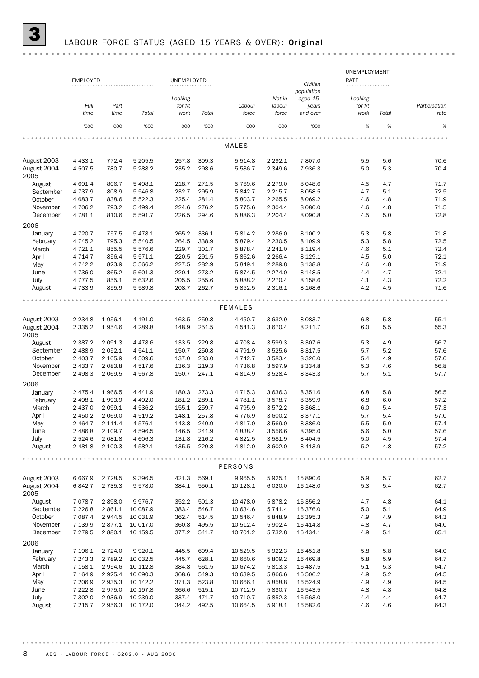|--|--|--|--|

|                     | <b>EMPLOYED</b> |             |            | UNEMPLOYED |       |                |             |                        | UNEMPLOYMENT<br><b>RATE</b> |       |               |
|---------------------|-----------------|-------------|------------|------------|-------|----------------|-------------|------------------------|-----------------------------|-------|---------------|
|                     |                 |             |            |            |       |                |             | Civilian<br>population |                             |       |               |
|                     |                 |             |            | Looking    |       |                | Not in      | aged 15                | Looking                     |       |               |
|                     | Full            | Part        |            | for f/t    |       | Labour         | labour      | years                  | for f/t                     |       | Participation |
|                     | time            | time        | Total      | work       | Total | force          | force       | and over               | work                        | Total | rate          |
|                     | '000            | '000        | '000       | '000       | '000  | '000           | '000        | '000                   | %                           | $\%$  | $\%$          |
|                     |                 |             |            |            |       |                |             |                        |                             |       |               |
|                     |                 |             |            |            |       | MALES          |             |                        |                             |       |               |
| August 2003         | 4 4 3 3.1       | 772.4       | 5 205.5    | 257.8      | 309.3 | 5 5 1 4.8      | 2 2 9 2.1   | 7807.0                 | 5.5                         | 5.6   | 70.6          |
| August 2004<br>2005 | 4 507.5         | 780.7       | 5 2 8 8.2  | 235.2      | 298.6 | 5 5 8 6.7      | 2 3 4 9.6   | 7936.3                 | 5.0                         | 5.3   | 70.4          |
| August              | 4 691.4         | 806.7       | 5 4 9 8.1  | 218.7      | 271.5 | 5769.6         | 2 2 7 9 . 0 | 8 0 48.6               | 4.5                         | 4.7   | 71.7          |
| September           | 4 7 3 7 .9      | 808.9       | 5 5 4 6.8  | 232.7      | 295.9 | 5 842.7        | 2 2 1 5 . 7 | 8 0 58.5               | 4.7                         | 5.1   | 72.5          |
| October             | 4 683.7         | 838.6       | 5 5 2 2.3  | 225.4      | 281.4 | 5 803.7        | 2 2 6 5.5   | 8 0 6 9.2              | 4.6                         | 4.8   | 71.9          |
| November            | 4 706.2         | 793.2       | 5 4 9 9.4  | 224.6      | 276.2 | 5 7 7 5.6      | 2 3 0 4.4   | 8 0 8 0.0              | 4.6                         | 4.8   | 71.5          |
| December            | 4 781.1         | 810.6       | 5 5 9 1.7  | 226.5      | 294.6 | 5886.3         | 2 2 0 4 . 4 | 8 0 9 0.8              | 4.5                         | 5.0   | 72.8          |
| 2006                |                 |             |            |            |       |                |             |                        |                             |       |               |
| January             | 4 7 2 0.7       | 757.5       | 5478.1     | 265.2      | 336.1 | 5 8 1 4.2      | 2 2 8 6.0   | 8 100.2                | 5.3                         | 5.8   | 71.8          |
| February            | 4 7 4 5.2       | 795.3       | 5 540.5    | 264.5      | 338.9 | 5879.4         | 2 2 3 0.5   | 8 109.9                | 5.3                         | 5.8   | 72.5          |
| March               | 4 7 2 1.1       | 855.5       | 5576.6     | 229.7      | 301.7 | 5878.4         | 2 2 4 1.0   | 8 1 1 9 . 4            | 4.6                         | 5.1   | 72.4          |
| April               | 4 7 1 4 . 7     | 856.4       | 5 5 7 1.1  | 220.5      | 291.5 | 5862.6         | 2 2 66.4    | 8 1 2 9 . 1            | 4.5                         | 5.0   | 72.1          |
| May                 | 4 7 4 2.2       | 823.9       | 5 5 6 6.2  | 227.5      | 282.9 | 5 849.1        | 2 2 8 9.8   | 8 1 38.8               | 4.6                         | 4.8   | 71.9          |
| June                | 4 7 3 6.0       | 865.2       | 5 601.3    | 220.1      | 273.2 | 5874.5         | 2 2 7 4 .0  | 8 1 4 8 .5             | 4.4                         | 4.7   | 72.1          |
| July                | 4 7 7 7 .5      | 855.1       | 5 632.6    | 205.5      | 255.6 | 5 888.2        | 2 2 7 0.4   | 8 1 5 8.6              | 4.1                         | 4.3   | 72.2          |
| August              | 4 7 3 3.9       | 855.9       | 5 5 8 9.8  | 208.7      | 262.7 | 5 8 5 2.5      | 2 3 1 6 . 1 | 8 1 68.6               | 4.2                         | 4.5   | 71.6          |
|                     |                 |             |            |            |       | <b>FEMALES</b> |             |                        |                             |       |               |
| August 2003         | 2 2 3 4.8       | 1956.1      | 4 191.0    | 163.5      | 259.8 | 4 4 5 0.7      | 3 6 3 2.9   | 8 0 8 3.7              | 6.8                         | 5.8   | 55.1          |
| August 2004<br>2005 | 2 3 3 5.2       | 1954.6      | 4 2 8 9.8  | 148.9      | 251.5 | 4 541.3        | 3 670.4     | 8 2 1 1.7              | 6.0                         | 5.5   | 55.3          |
| August              | 2 3 8 7 . 2     | 2 0 9 1.3   | 4 4 7 8.6  | 133.5      | 229.8 | 4 708.4        | 3 599.3     | 8 3 0 7.6              | 5.3                         | 4.9   | 56.7          |
| September           | 2 4 8 8.9       | 2 0 5 2.1   | 4 541.1    | 150.7      | 250.8 | 4 7 9 1.9      | 3 5 2 5 . 6 | 8 3 1 7 .5             | 5.7                         | 5.2   | 57.6          |
| October             | 2 403.7         | 2 105.9     | 4 509.6    | 137.0      | 233.0 | 4 7 4 2.7      | 3 5 8 3.4   | 8 3 2 6 .0             | 5.4                         | 4.9   | 57.0          |
| November            | 2 433.7         | 2 0 8 3.8   | 4 5 1 7 .6 | 136.3      | 219.3 | 4 7 3 6.8      | 3 5 9 7 . 9 | 8 3 3 4.8              | 5.3                         | 4.6   | 56.8          |
| December            | 2 4 9 8.3       | 2 0 6 9.5   | 4 5 6 7 .8 | 150.7      | 247.1 | 4 8 1 4 .9     | 3 5 28.4    | 8 3 4 3 . 3            | 5.7                         | 5.1   | 57.7          |
| 2006                |                 |             |            |            |       |                |             |                        |                             |       |               |
| January             | 2 4 7 5.4       | 1966.5      | 4 4 4 1.9  | 180.3      | 273.3 | 4 7 1 5 . 3    | 3 6 3 6 . 3 | 8 3 5 1.6              | 6.8                         | 5.8   | 56.5          |
| February            | 2 4 9 8.1       | 1993.9      | 4 4 9 2.0  | 181.2      | 289.1 | 4 781.1        | 3 5 7 8.7   | 8 3 5 9.9              | 6.8                         | 6.0   | 57.2          |
| March               | 2 437.0         | 2 0 9 9.1   | 4 5 3 6.2  | 155.1      | 259.7 | 4 7 9 5.9      | 3572.2      | 8 3 68.1               | 6.0                         | 5.4   | 57.3          |
| April               | 2 450.2         | 2 0 6 9.0   | 4 5 1 9.2  | 148.1      | 257.8 | 4 7 7 6.9      | 3 600.2     | 8 3 7 7 . 1            | 5.7                         | 5.4   | 57.0          |
| May                 | 2 4 64.7        | 2 111.4     | 4576.1     | 143.8      | 240.9 | 4 8 1 7 .0     | 3 569.0     | 8 3 8 6 . 0            | 5.5                         | 5.0   | 57.4          |
| June                | 2 4 8 6.8       | 2 109.7     | 4 5 9 6.5  | 146.5      | 241.9 | 4 8 3 8.4      | 3556.6      | 8 3 9 5.0              | 5.6                         | 5.0   | 57.6          |
| July                | 2 5 2 4 . 6     | 2 0 8 1.8   | 4 606.3    | 131.8      | 216.2 | 4 8 2 2.5      | 3 5 8 1.9   | 8 4 0 4 .5             | 5.0                         | 4.5   | 57.4          |
| August              | 2 481.8         | 2 100.3     | 4 5 8 2.1  | 135.5      | 229.8 | 4 8 1 2.0      | 3 602.0     | 8 4 1 3.9              | 5.2                         | 4.8   | 57.2          |
|                     |                 |             |            |            |       | PERSONS        |             |                        |                             |       |               |
| August 2003         | 6 6 6 7 .9      | 2 7 28.5    | 9 3 9 6.5  | 421.3      | 569.1 | 9 9 6 5.5      | 5925.1      | 15 890.6               | 5.9                         | 5.7   | 62.7          |
| August 2004<br>2005 | 6842.7          | 2 7 3 5 . 3 | 9578.0     | 384.1      | 550.1 | 10 128.1       | 6 0 20.0    | 16 148.0               | 5.3                         | 5.4   | 62.7          |
| August              | 7 0 7 8.7       | 2898.0      | 9976.7     | 352.2      | 501.3 | 10 478.0       | 5878.2      | 16 356.2               | 4.7                         | 4.8   | 64.1          |
| September           | 7 2 2 6.8       | 2 861.1     | 10 087.9   | 383.4      | 546.7 | 10 634.6       | 5 741.4     | 16 376.0               | 5.0                         | 5.1   | 64.9          |
| October             | 7 087.4         | 2944.5      | 10 031.9   | 362.4      | 514.5 | 10 546.4       | 5848.9      | 16 395.3               | 4.9                         | 4.9   | 64.3          |
| November            | 7 139.9         | 2877.1      | 10 017.0   | 360.8      | 495.5 | 10 512.4       | 5 902.4     | 16 414.8               | 4.8                         | 4.7   | 64.0          |
| December            | 7 279.5         | 2 8 8 0.1   | 10 159.5   | 377.2      | 541.7 | 10 701.2       | 5 7 3 2.8   | 16 434.1               | 4.9                         | 5.1   | 65.1          |
| 2006                |                 |             |            |            |       |                |             |                        |                             |       |               |
| January             | 7 196.1         | 2 7 2 4 .0  | 9920.1     | 445.5      | 609.4 | 10 529.5       | 5922.3      | 16 451.8               | 5.8                         | 5.8   | 64.0          |
| February            | 7 243.3         | 2 7 8 9.2   | 10 032.5   | 445.7      | 628.1 | 10 660.6       | 5 809.2     | 16 469.8               | 5.8                         | 5.9   | 64.7          |
| March               | 7 158.1         | 2954.6      | 10 112.8   | 384.8      | 561.5 | 10 674.2       | 5813.3      | 16 487.5               | 5.1                         | 5.3   | 64.7          |
| April               | 7 164.9         | 2925.4      | 10 090.3   | 368.6      | 549.3 | 10 639.5       | 5866.6      | 16 506.2               | 4.9                         | 5.2   | 64.5          |
| May                 | 7 206.9         | 2935.3      | 10 142.2   | 371.3      | 523.8 | 10 666.1       | 5858.8      | 16 524.9               | 4.9                         | 4.9   | 64.5          |
| June                | 7 2 2 2.8       | 2975.0      | 10 197.8   | 366.6      | 515.1 | 10 712.9       | 5830.7      | 16 543.5               | 4.8                         | 4.8   | 64.8          |
| July                | 7 302.0         | 2936.9      | 10 239.0   | 337.4      | 471.7 | 10 710.7       | 5 8 5 2.3   | 16 563.0               | 4.4                         | 4.4   | 64.7          |
| August              | 7 215.7         | 2956.3      | 10 172.0   | 344.2      | 492.5 | 10 664.5       | 5918.1      | 16 582.6               | 4.6                         | 4.6   | 64.3          |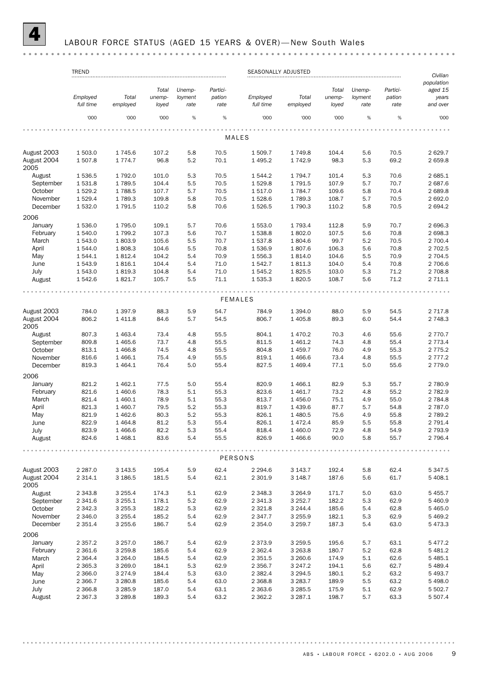### LABOUR FORCE STATUS (AGED 15 YEARS & OVER)-New South Wales

|                                    | <b>TREND</b>              |                        |                |            |              | SEASONALLY ADJUSTED    |                         |                |            |              | Civilian               |
|------------------------------------|---------------------------|------------------------|----------------|------------|--------------|------------------------|-------------------------|----------------|------------|--------------|------------------------|
|                                    |                           |                        |                |            |              |                        |                         |                |            |              | population             |
|                                    |                           |                        | Total          | Unemp-     | Partici-     |                        |                         | Total          | Unemp-     | Partici-     | aged 15                |
|                                    | Employed                  | Total                  | unemp-         | loyment    | pation       | Employed               | Total                   | unemp-         | loyment    | pation       | years                  |
|                                    | full time                 | employed               | loyed          | rate       | rate         | full time              | employed                | loyed          | rate       | rate         | and over               |
|                                    | '000                      | '000                   | '000           | %          | $\%$         | '000                   | '000                    | '000           | %          | $\%$         | '000                   |
|                                    |                           |                        |                |            |              |                        |                         |                |            |              |                        |
|                                    |                           |                        |                |            |              | MALES                  |                         |                |            |              |                        |
| August 2003                        | 1 503.0                   | 1745.6                 | 107.2          | 5.8        | 70.5         | 1 509.7                | 1749.8                  | 104.4          | 5.6        | 70.5         | 2629.7                 |
| August 2004<br>2005                | 1507.8                    | 1 7 7 4 . 7            | 96.8           | 5.2        | 70.1         | 1 4 9 5.2              | 1742.9                  | 98.3           | 5.3        | 69.2         | 2659.8                 |
| August                             | 1536.5                    | 1792.0                 | 101.0          | 5.3        | 70.5         | 1 544.2                | 1 794.7                 | 101.4          | 5.3        | 70.6         | 2 685.1                |
| September                          | 1531.8                    | 1789.5                 | 104.4          | 5.5        | 70.5         | 1529.8                 | 1 791.5                 | 107.9          | 5.7        | 70.7         | 2 687.6                |
| October                            | 1529.2                    | 1788.5                 | 107.7          | 5.7        | 70.5         | 1517.0                 | 1784.7                  | 109.6          | 5.8        | 70.4         | 2689.8                 |
| November                           | 1529.4                    | 1789.3                 | 109.8          | 5.8        | 70.5         | 1528.6                 | 1 789.3                 | 108.7          | 5.7        | 70.5         | 2692.0                 |
| December                           | 1532.0                    | 1791.5                 | 110.2          | 5.8        | 70.6         | 1526.5                 | 1790.3                  | 110.2          | 5.8        | 70.5         | 2694.2                 |
| 2006                               |                           |                        |                |            |              |                        |                         |                |            |              |                        |
| January                            | 1 536.0                   | 1795.0                 | 109.1          | 5.7        | 70.6         | 1553.0                 | 1 793.4                 | 112.8          | 5.9        | 70.7         | 2696.3                 |
| February                           | 1540.0                    | 1799.2                 | 107.3          | 5.6        | 70.7         | 1538.8                 | 1802.0                  | 107.5          | 5.6        | 70.8         | 2 698.3                |
| March                              | 1 543.0                   | 1803.9                 | 105.6          | 5.5        | 70.7         | 1537.8                 | 1804.6                  | 99.7           | 5.2        | 70.5         | 2 700.4                |
| April                              | 1 544.0                   | 1808.3                 | 104.6          | 5.5        | 70.8         | 1536.9                 | 1807.6                  | 106.3          | 5.6        | 70.8         | 2 702.5                |
| May                                | 1 544.1                   | 1812.4                 | 104.2          | 5.4        | 70.9         | 1556.3                 | 1814.0                  | 104.6          | 5.5        | 70.9         | 2 704.5                |
| June                               | 1 543.9                   | 1816.1                 | 104.4          | 5.4        | 71.0         | 1542.7                 | 1811.3                  | 104.0          | 5.4        | 70.8         | 2 706.6                |
| July                               | 1 543.0                   | 1819.3                 | 104.8          | 5.4        | 71.0         | 1545.2                 | 1825.5                  | 103.0          | 5.3        | 71.2         | 2 708.8                |
| August                             | 1 542.6                   | 1821.7                 | 105.7          | 5.5        | 71.1         | 1535.3                 | 1820.5                  | 108.7          | 5.6        | 71.2         | 2 711.1                |
|                                    |                           |                        |                |            |              |                        |                         |                |            |              |                        |
|                                    |                           |                        |                |            |              | <b>FEMALES</b>         |                         |                |            |              |                        |
| August 2003                        | 784.0                     | 1 3 9 7 . 9            | 88.3           | 5.9        | 54.7         | 784.9                  | 1 394.0                 | 88.0           | 5.9        | 54.5         | 2 7 1 7.8              |
| August 2004<br>2005                | 806.2                     | 1 4 1 1.8              | 84.6           | 5.7        | 54.5         | 806.7                  | 1 4 0 5.8               | 89.3           | 6.0        | 54.4         | 2 748.3                |
| August                             | 807.3                     | 1 4 6 3.4              | 73.4           | 4.8        | 55.5         | 804.1                  | 1 470.2                 | 70.3           | 4.6        | 55.6         | 2 770.7                |
| September                          | 809.8                     | 1 4 6 5.6              | 73.7           | 4.8        | 55.5         | 811.5                  | 1 461.2                 | 74.3           | 4.8        | 55.4         | 2 7 7 3.4              |
| October                            | 813.1                     | 1 4 6 6.8              | 74.5           | 4.8        | 55.5         | 804.8                  | 1 459.7                 | 76.0           | 4.9        | 55.3         | 2 7 7 5 . 2            |
| November                           | 816.6                     | 1 4 6 6.1              | 75.4           | 4.9        | 55.5         | 819.1                  | 1 4 6 6.6               | 73.4           | 4.8        | 55.5         | 2 7 7 7 . 2            |
| December                           | 819.3                     | 1 4 6 4 . 1            | 76.4           | 5.0        | 55.4         | 827.5                  | 1 4 6 9.4               | 77.1           | 5.0        | 55.6         | 2 7 7 9 . 0            |
| 2006                               |                           |                        |                |            |              |                        |                         |                |            |              |                        |
| January                            | 821.2                     | 1 4 6 2.1              | 77.5           | 5.0        | 55.4         | 820.9                  | 1 4 6 6.1               | 82.9           | 5.3        | 55.7         | 2 780.9                |
| February                           | 821.6                     | 1 460.6                | 78.3           | 5.1        | 55.3         | 823.6                  | 1 461.7                 | 73.2           | 4.8        | 55.2         | 2 782.9                |
| March                              | 821.4                     | 1 460.1                | 78.9           | 5.1        | 55.3         | 813.7                  | 1 456.0                 | 75.1           | 4.9        | 55.0         | 2 784.8                |
| April                              | 821.3                     | 1 460.7                | 79.5           | 5.2        | 55.3         | 819.7                  | 1 439.6                 | 87.7           | 5.7        | 54.8         | 2 787.0                |
| May                                | 821.9                     | 1 4 6 2.6              | 80.3           | 5.2        | 55.3         | 826.1                  | 1 480.5                 | 75.6           | 4.9        | 55.8         | 2 789.2                |
| June                               | 822.9                     | 1464.8                 | 81.2           | 5.3        | 55.4         | 826.1                  | 1472.4                  | 85.9           | 5.5        | 55.8         | 2 791.4                |
| July                               | 823.9                     | 1466.6                 | 82.2           | 5.3        | 55.4         | 818.4                  | 1 460.0                 | 72.9           | 4.8        | 54.9         | 2 793.9                |
| August                             | 824.6                     | 1 4 68.1               | 83.6           | 5.4        | 55.5         | 826.9                  | 1 4 6 6.6               | 90.0           | 5.8        | 55.7         | 2 796.4                |
|                                    |                           |                        |                |            |              | PERSONS                |                         |                |            |              |                        |
|                                    |                           |                        |                |            |              |                        |                         |                |            |              |                        |
| August 2003<br>August 2004<br>2005 | 2 2 8 7 .0<br>2 3 1 4 . 1 | 3 1 4 3 .5<br>3 186.5  | 195.4<br>181.5 | 5.9<br>5.4 | 62.4<br>62.1 | 2 2 9 4.6<br>2 301.9   | 3 143.7<br>3 148.7      | 192.4<br>187.6 | 5.8<br>5.6 | 62.4<br>61.7 | 5 3 4 7 . 5<br>5 408.1 |
|                                    |                           |                        |                |            |              |                        |                         |                |            |              |                        |
| August<br>September                | 2 3 4 3 . 8<br>2 3 4 1.6  | 3 2 5 5.4<br>3 2 5 5.1 | 174.3<br>178.1 | 5.1<br>5.2 | 62.9<br>62.9 | 2 3 4 8.3<br>2 3 4 1.3 | 3 2 6 4 .9<br>3 2 5 2.7 | 171.7<br>182.2 | 5.0<br>5.3 | 63.0<br>62.9 | 5 4 5 5.7<br>5 460.9   |
| October                            |                           |                        |                |            |              |                        |                         |                |            |              |                        |
|                                    | 2 3 4 2 . 3               | 3 2 5 5.3              | 182.2          | 5.3        | 62.9         | 2 3 2 1.8              | 3 244.4                 | 185.6          | 5.4        | 62.8         | 5 4 6 5.0              |
| November                           | 2 3 4 6.0                 | 3 2 5 5.4              | 185.2          | 5.4        | 62.9         | 2 3 4 7 . 7            | 3 2 5 5 . 9             | 182.1          | 5.3        | 62.9         | 5469.2                 |
| December<br>2006                   | 2 351.4                   | 3 2 5 5.6              | 186.7          | 5.4        | 62.9         | 2 3 5 4 . 0            | 3 2 5 9.7               | 187.3          | 5.4        | 63.0         | 5473.3                 |
| January                            | 2 3 5 7 . 2               | 3 2 5 7 .0             | 186.7          | 5.4        | 62.9         | 2 3 7 3 . 9            | 3 2 5 9.5               | 195.6          | 5.7        | 63.1         | 5477.2                 |
| February                           | 2 3 6 1.6                 | 3 2 5 9.8              | 185.6          | 5.4        | 62.9         | 2 3 6 2.4              | 3 2 6 3 . 8             | 180.7          | 5.2        | 62.8         | 5 4 8 1.2              |
| March                              | 2 3 6 4 . 4               | 3 2 6 4 . 0            | 184.5          | 5.4        | 62.9         | 2 3 5 1.5              | 3 260.6                 | 174.9          | $5.1\,$    | 62.6         | 5 4 8 5.1              |
| April                              | 2 3 6 5 . 3               | 3 2 6 9 . 0            | 184.1          | 5.3        | 62.9         | 2 3 5 6.7              | 3 247.2                 | 194.1          | 5.6        | 62.7         | 5 4 8 9.4              |
| May                                | 2 3 6 6.0                 | 3 2 7 4 .9             | 184.4          | 5.3        | 63.0         | 2 3 8 2.4              | 3 2 9 4.5               | 180.1          | 5.2        | 63.2         | 5 4 9 3.7              |
| June                               | 2 3 66.7                  | 3 2 8 0.8              | 185.6          | 5.4        | 63.0         | 2 3 68.8               | 3 2 8 3 . 7             | 189.9          | 5.5        | 63.2         | 5 4 9 8.0              |
| July                               | 2 3 6 6.8                 | 3 2 8 5.9              | 187.0          | 5.4        | 63.1         | 2 3 6 3.6              | 3 2 8 5 .5              | 175.9          | $5.1\,$    | 62.9         | 5 502.7                |
| August                             | 2 3 6 7 . 3               | 3 2 8 9 . 8            | 189.3          | 5.4        | 63.2         | 2 3 6 2.2              | 3 2 8 7 . 1             | 198.7          | 5.7        | 63.3         | 5 5 0 7.4              |
|                                    |                           |                        |                |            |              |                        |                         |                |            |              |                        |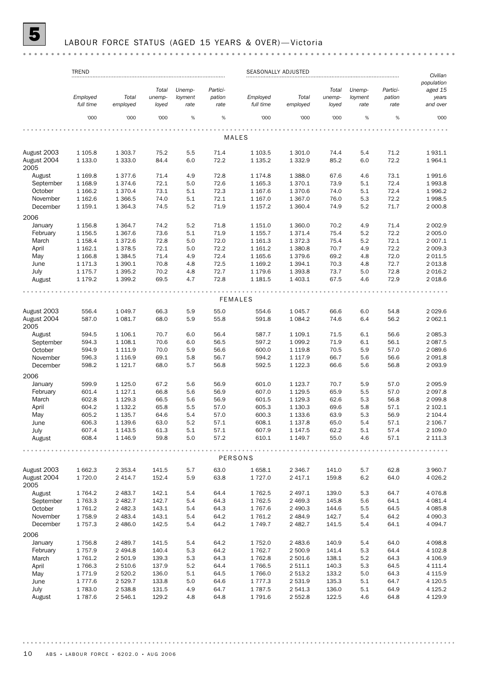# 5 LABOUR FORCE STATUS (AGED 15 YEARS & OVER)— Victoria

|                            | <b>TREND</b>          |                          | SEASONALLY ADJUSTED |                 |                |                       |                         |                 |                 | Civilian       |                        |
|----------------------------|-----------------------|--------------------------|---------------------|-----------------|----------------|-----------------------|-------------------------|-----------------|-----------------|----------------|------------------------|
|                            |                       |                          |                     |                 |                |                       |                         |                 |                 |                | population             |
|                            |                       |                          | Total               | Unemp-          | Partici-       |                       |                         | Total           | Unemp-          | Partici-       | aged 15                |
|                            | Employed<br>full time | Total<br>employed        | unemp-              | loyment<br>rate | pation<br>rate | Employed<br>full time | Total<br>employed       | unemp-<br>loyed | loyment<br>rate | pation<br>rate | years<br>and over      |
|                            |                       |                          | loyed               |                 |                |                       |                         |                 |                 |                |                        |
|                            | '000                  | '000                     | '000                | $\%$            | $\%$           | '000                  | '000                    | '000            | %               | $\%$           | '000                   |
|                            |                       |                          |                     |                 |                | MALES                 |                         |                 |                 |                |                        |
|                            |                       |                          |                     |                 |                |                       |                         |                 |                 |                |                        |
| August 2003                | 1 1 0 5.8             | 1 303.7                  | 75.2                | 5.5             | 71.4           | 1 103.5               | 1 301.0                 | 74.4            | 5.4             | 71.2           | 1931.1                 |
| August 2004<br>2005        | 1 1 3 3 . 0           | 1 3 3 3 . 0              | 84.4                | 6.0             | 72.2           | 1 1 3 5 . 2           | 1 3 3 2.9               | 85.2            | 6.0             | 72.2           | 1964.1                 |
| August                     | 1 1 6 9.8             | 1377.6                   | 71.4                | 4.9             | 72.8           | 1 174.8               | 1 3 8 8.0               | 67.6            | 4.6             | 73.1           | 1991.6                 |
| September                  | 1 1 68.9              | 1374.6                   | 72.1                | 5.0             | 72.6           | 1 1 65.3              | 1 370.1                 | 73.9            | 5.1             | 72.4           | 1993.8                 |
| October                    | 1 1 66.2              | 1 370.4                  | 73.1                | 5.1             | 72.3           | 1 1 6 7 . 6           | 1 370.6                 | 74.0            | 5.1             | 72.4           | 1996.2                 |
| November                   | 1 1 6 2.6             | 1 3 6 6.5                | 74.0                | 5.1             | 72.1           | 1 1 6 7 .0            | 1 3 6 7 .0              | 76.0            | 5.3             | 72.2           | 1998.5                 |
| December                   | 1 159.1               | 1 3 6 4 . 3              | 74.5                | 5.2             | 71.9           | 1 1 5 7 . 2           | 1 3 6 0.4               | 74.9            | 5.2             | 71.7           | 2 000.8                |
| 2006                       |                       |                          |                     |                 |                |                       |                         |                 |                 |                |                        |
| January                    | 1 1 5 6.8             | 1 3 6 4 . 7              | 74.2                | 5.2             | 71.8           | 1 1 5 1 . 0           | 1 360.0                 | 70.2            | 4.9             | 71.4           | 2 0 0 2.9              |
| February                   | 1 1 5 6.5             | 1 3 6 7 . 6              | 73.6                | 5.1             | 71.9           | 1 1 55.7              | 1 3 7 1 . 4             | 75.4            | 5.2             | 72.2           | 2 005.0                |
| March                      | 1 1 58.4              | 1372.6                   | 72.8                | 5.0             | 72.0           | 1 1 6 1 . 3           | 1 3 7 2 . 3             | 75.4            | 5.2             | 72.1           | 2 007.1                |
| April                      | 1 1 6 2.1             | 1378.5                   | 72.1                | 5.0             | 72.2           | 1 1 6 1 . 2           | 1 3 8 0.8               | 70.7            | 4.9             | 72.2           | 2 009.3                |
| May                        | 1 1 66.8              | 1 3 8 4 .5               | 71.4                | 4.9             | 72.4           | 1 1 65.6              | 1 3 7 9.6               | 69.2            | 4.8             | 72.0           | 2 0 1 1.5              |
| June                       | 1 171.3               | 1 3 9 0.1                | 70.8                | 4.8             | 72.5           | 1 1 69.2              | 1 3 9 4 . 1             | 70.3            | 4.8             | 72.7           | 2 0 1 3.8              |
| July                       | 1 175.7               | 1 3 9 5.2                | 70.2                | 4.8             | 72.7           | 1 179.6               | 1 3 9 3.8               | 73.7            | 5.0             | 72.8           | 2 0 16.2               |
| August                     | 1 179.2               | 1 3 9 9.2                | 69.5                | 4.7             | 72.8           | 1 181.5               | 1 403.1                 | 67.5            | 4.6             | 72.9           | 2 018.6                |
|                            |                       |                          |                     |                 |                | <b>FEMALES</b>        |                         |                 |                 |                |                        |
|                            |                       |                          |                     |                 |                |                       |                         |                 |                 |                |                        |
| August 2003                | 556.4                 | 1 0 4 9.7                | 66.3                | 5.9             | 55.0           | 554.6                 | 1 0 4 5 . 7             | 66.6            | 6.0             | 54.8           | 2 0 2 9.6              |
| August 2004<br>2005        | 587.0                 | 1 0 8 1.7                | 68.0                | 5.9             | 55.8           | 591.8                 | 1 0 8 4.2               | 74.6            | 6.4             | 56.2           | 2 062.1                |
| August                     | 594.5                 | 1 106.1                  | 70.7                | 6.0             | 56.4           | 587.7                 | 1 109.1                 | 71.5            | 6.1             | 56.6           | 2 085.3                |
| September                  | 594.3                 | 1 108.1                  | 70.6                | 6.0             | 56.5           | 597.2                 | 1 0 9 9.2               | 71.9            | 6.1             | 56.1           | 2 087.5                |
| October                    | 594.9                 | 1 1 1 1.9                | 70.0                | 5.9             | 56.6           | 600.0                 | 1 1 1 9.8               | 70.5            | 5.9             | 57.0           | 2 089.6                |
| November                   | 596.3                 | 1 1 1 6.9                | 69.1                | 5.8             | 56.7           | 594.2                 | 1 117.9                 | 66.7            | 5.6             | 56.6           | 2 0 9 1.8              |
| December                   | 598.2                 | 1 1 2 1 . 7              | 68.0                | 5.7             | 56.8           | 592.5                 | 1 1 2 2.3               | 66.6            | 5.6             | 56.8           | 2 0 9 3.9              |
| 2006                       |                       |                          |                     |                 |                |                       |                         |                 |                 |                |                        |
| January                    | 599.9                 | 1 1 2 5 . 0              | 67.2                | 5.6             | 56.9           | 601.0                 | 1 1 2 3 . 7             | 70.7            | 5.9             | 57.0           | 2 0 9 5.9              |
| February                   | 601.4                 | 1 1 2 7 . 1              | 66.8                | 5.6             | 56.9           | 607.0                 | 1 1 2 9.5               | 65.9            | 5.5             | 57.0           | 2 0 9 7.8              |
| March                      | 602.8                 | 1 1 2 9 . 3              | 66.5                | 5.6             | 56.9           | 601.5                 | 1 1 2 9 . 3             | 62.6            | 5.3             | 56.8           | 2 0 9 9.8              |
| April                      | 604.2                 | 1 1 3 2.2                | 65.8                | 5.5             | 57.0           | 605.3                 | 1 130.3                 | 69.6            | 5.8             | 57.1           | 2 102.1                |
| May                        | 605.2                 | 1 1 3 5.7                | 64.6                | 5.4             | 57.0           | 600.3                 | 1 1 3 3.6               | 63.9            | 5.3             | 56.9           | 2 104.4                |
| June                       | 606.3                 | 1 1 3 9.6                | 63.0                | 5.2             | 57.1           | 608.1                 | 1 1 3 7 . 8             | 65.0            | 5.4             | 57.1           | 2 106.7                |
| July                       | 607.4                 | 1 1 4 3 .5               | 61.3                | 5.1             | 57.1           | 607.9                 | 1 1 4 7 .5              | 62.2            | 5.1             | 57.4           | 2 109.0                |
| August                     | 608.4                 | 1 1 4 6.9                | 59.8                | 5.0             | 57.2           | 610.1                 | 1 149.7                 | 55.0            | 4.6             | 57.1           | 2 111.3                |
|                            |                       |                          |                     |                 |                | PERSONS               |                         |                 |                 |                |                        |
|                            |                       |                          |                     |                 |                |                       |                         |                 |                 |                |                        |
| August 2003<br>August 2004 | 1 662.3<br>1 720.0    | 2 3 5 3 . 4<br>2 4 1 4.7 | 141.5<br>152.4      | 5.7<br>5.9      | 63.0<br>63.8   | 1658.1<br>1727.0      | 2 3 4 6.7<br>2 417.1    | 141.0<br>159.8  | 5.7<br>6.2      | 62.8<br>64.0   | 3 960.7<br>4 0 26.2    |
| 2005                       |                       |                          |                     |                 |                |                       |                         |                 |                 |                |                        |
| August                     | 1 764.2               | 2 483.7                  | 142.1               | 5.4             | 64.4           | 1762.5                | 2 497.1                 | 139.0           | 5.3             | 64.7           | 4 0 76.8               |
| September                  | 1763.3                | 2 4 8 2.7                | 142.7               | 5.4             | 64.3           | 1762.5                | 2 4 6 9.3               | 145.8           | 5.6             | 64.1           | 4 0 8 1.4              |
| October<br>November        | 1 761.2<br>1758.9     | 2 4 8 2.3<br>2 4 8 3.4   | 143.1<br>143.1      | 5.4             | 64.3<br>64.2   | 1767.6<br>1761.2      | 2 490.3                 | 144.6<br>142.7  | 5.5<br>5.4      | 64.5<br>64.2   | 4 0 8 5.8<br>4 0 9 0.3 |
| December                   | 1 7 5 7 . 3           | 2 486.0                  | 142.5               | 5.4<br>5.4      | 64.2           | 1 7 4 9 . 7           | 2 4 8 4 .9<br>2 4 8 2.7 | 141.5           | 5.4             | 64.1           | 4 0 94.7               |
| 2006                       |                       |                          |                     |                 |                |                       |                         |                 |                 |                |                        |
| January                    | 1756.8                | 2 489.7                  | 141.5               | 5.4             | 64.2           | 1752.0                | 2 483.6                 | 140.9           | 5.4             | 64.0           | 4 0 98.8               |
| February                   | 1 757.9               | 2 4 9 4.8                | 140.4               | 5.3             | 64.2           | 1762.7                | 2 500.9                 | 141.4           | 5.3             | 64.4           | 4 102.8                |
| March                      | 1 761.2               | 2 501.9                  | 139.3               | 5.3             | 64.3           | 1762.8                | 2 501.6                 | 138.1           | 5.2             | 64.3           | 4 106.9                |
| April                      | 1766.3                | 2 510.6                  | 137.9               | 5.2             | 64.4           | 1766.5                | 2 511.1                 | 140.3           | 5.3             | 64.5           | 4 111.4                |
| May                        | 1 771.9               | 2 5 2 0.2                | 136.0               | 5.1             | 64.5           | 1766.0                | 2 513.2                 | 133.2           | 5.0             | 64.3           | 4 1 1 5.9              |
| June                       | 1 777.6               | 2 5 2 9.7                | 133.8               | 5.0             | 64.6           | 1 7 7 7 .3            | 2 531.9                 | 135.3           | 5.1             | 64.7           | 4 1 2 0.5              |
| July                       | 1783.0                | 2 538.8                  | 131.5               | 4.9             | 64.7           | 1787.5                | 2 541.3                 | 136.0           | 5.1             | 64.9           | 4 1 2 5 . 2            |
| August                     | 1 787.6               | 2 546.1                  | 129.2               | 4.8             | 64.8           | 1791.6                | 2 5 5 2.8               | 122.5           | 4.6             | 64.8           | 4 1 2 9.9              |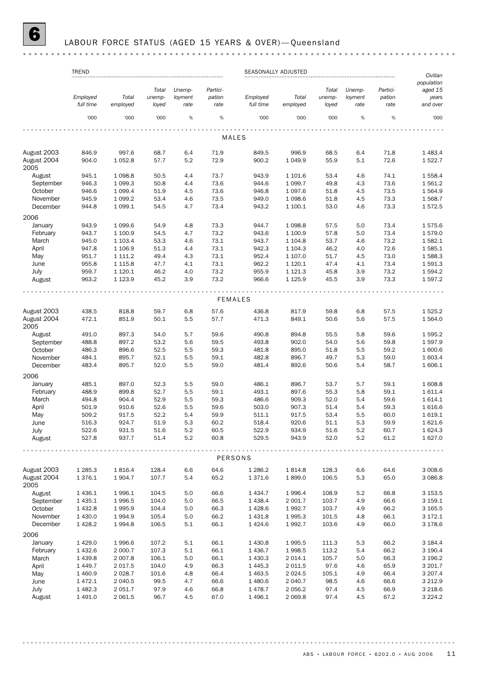# 6 LABOUR FORCE STATUS (AGED 15 YEARS & OVER)— Queensland

|                      | <b>TREND</b>           |                  |                |            |              | SEASONALLY ADJUSTED |                   |                |            |              | Civilian           |
|----------------------|------------------------|------------------|----------------|------------|--------------|---------------------|-------------------|----------------|------------|--------------|--------------------|
|                      |                        |                  |                |            |              |                     |                   |                |            |              | population         |
|                      |                        |                  | Total          | Unemp-     | Partici-     |                     |                   | Total          | Unemp-     | Partici-     | aged 15            |
|                      | Employed               | Total            | unemp-         | loyment    | pation       | Employed            | Total             | unemp-         | loyment    | pation       | years              |
|                      | full time              | employed         | loyed          | rate       | rate         | full time           | employed          | loyed          | rate       | rate         | and over           |
|                      | '000                   | '000             | '000           | %          | $\%$         | '000                | '000              | '000           | %          | %            | '000               |
|                      |                        |                  |                |            |              | <b>MALES</b>        |                   |                |            |              |                    |
|                      |                        |                  |                |            |              |                     |                   |                |            |              |                    |
| August 2003          | 846.9                  | 997.6            | 68.7           | 6.4        | 71.9         | 849.5               | 996.9             | 68.5           | 6.4        | 71.8         | 1 4 8 3 . 4        |
| August 2004<br>2005  | 904.0                  | 1 0 5 2.8        | 57.7           | 5.2        | 72.9         | 900.2               | 1 0 4 9.9         | 55.9           | 5.1        | 72.6         | 1522.7             |
| August               | 945.1                  | 1 0 98.8         | 50.5           | 4.4        | 73.7         | 943.9               | 1 101.6           | 53.4           | 4.6        | 74.1         | 1 558.4            |
| September            | 946.3                  | 1 0 9 9.3        | 50.8           | 4.4        | 73.6         | 944.6               | 1 0 9 9.7         | 49.8           | 4.3        | 73.6         | 1561.2             |
| October              | 946.6                  | 1 0 9 9.4        | 51.9           | 4.5        | 73.6         | 946.8               | 1 0 9 7 .6        | 51.8           | 4.5        | 73.5         | 1564.9             |
| November             | 945.9                  | 1 0 9 9.2        | 53.4           | 4.6        | 73.5         | 949.0               | 1 0 98.6          | 51.8           | 4.5        | 73.3         | 1 568.7            |
| December             | 944.8                  | 1 0 9 9.1        | 54.5           | 4.7        | 73.4         | 943.2               | 1 100.1           | 53.0           | 4.6        | 73.3         | 1572.5             |
| 2006                 |                        |                  |                |            |              |                     |                   |                |            |              |                    |
| January              | 943.9                  | 1 0 9 9.6        | 54.9           | 4.8        | 73.3         | 944.7               | 1 0 98.8          | 57.5           | 5.0        | 73.4         | 1575.6             |
| February             | 943.7                  | 1 100.9          | 54.5           | 4.7        | 73.2         | 943.6               | 1 100.9           | 57.8           | 5.0        | 73.4         | 1579.0             |
| March                | 945.0                  | 1 103.4          | 53.3           | 4.6        | 73.1         | 943.7               | 1 1 0 4.8         | 53.7           | 4.6        | 73.2         | 1582.1             |
| April                | 947.8                  | 1 106.9          | 51.3           | 4.4        | 73.1         | 942.3               | 1 1 0 4 .3        | 46.2           | 4.0        | 72.6         | 1585.1             |
| May                  | 951.7                  | 1 1 1 1 .2       | 49.4           | 4.3        | 73.1         | 952.4               | 1 107.0           | 51.7           | 4.5        | 73.0         | 1588.3             |
| June                 | 955.8                  | 1 1 1 5.8        | 47.7           | 4.1        | 73.1         | 962.2               | 1 1 2 0.1         | 47.4           | 4.1        | 73.4         | 1591.3             |
| July                 | 959.7                  | 1 1 2 0.1        | 46.2           | 4.0        | 73.2         | 955.9               | 1 1 2 1 . 3       | 45.8           | 3.9        | 73.2         | 1594.2             |
| August               | 963.2                  | 1 1 2 3 . 9      | 45.2           | 3.9        | 73.2         | 966.6               | 1 1 2 5 . 9       | 45.5           | 3.9        | 73.3         | 1597.2             |
|                      |                        |                  |                |            |              |                     |                   |                |            |              |                    |
|                      |                        |                  |                |            |              | <b>FEMALES</b>      |                   |                |            |              |                    |
| August 2003          | 438.5                  | 818.8            | 59.7           | 6.8        | 57.6         | 436.8               | 817.9             | 59.8           | 6.8        | 57.5         | 1 5 2 5 . 2        |
| August 2004<br>2005  | 472.1                  | 851.9            | 50.1           | 5.5        | 57.7         | 471.3               | 849.1             | 50.6           | 5.6        | 57.5         | 1 5 6 4 . 0        |
| August               | 491.0                  | 897.3            | 54.0           | 5.7        | 59.6         | 490.8               | 894.8             | 55.5           | 5.8        | 59.6         | 1595.2             |
| September            | 488.8                  | 897.2            | 53.2           | 5.6        | 59.5         | 493.8               | 902.0             | 54.0           | 5.6        | 59.8         | 1597.9             |
| October              | 486.3                  | 896.6            | 52.5           | 5.5        | 59.3         | 481.8               | 895.0             | 51.8           | 5.5        | 59.2         | 1 600.6            |
| November             | 484.1                  | 895.7            | 52.1           | 5.5        | 59.1         | 482.8               | 896.7             | 49.7           | 5.3        | 59.0         | 1 603.4            |
| December             | 483.4                  | 895.7            | 52.0           | 5.5        | 59.0         | 481.4               | 892.6             | 50.6           | 5.4        | 58.7         | 1606.1             |
| 2006                 |                        |                  |                |            |              |                     |                   |                |            |              |                    |
| January              | 485.1                  | 897.0            | 52.3           | 5.5        | 59.0         | 486.1               | 896.7             | 53.7           | 5.7        | 59.1         | 1608.8             |
| February             | 488.9                  | 899.8            | 52.7           | 5.5        | 59.1         | 493.1               | 897.6             | 55.3           | 5.8        | 59.1         | 1611.4             |
| March                | 494.8                  | 904.4            | 52.9           | 5.5        | 59.3         | 486.6               | 909.3             | 52.0           | 5.4        | 59.6         | 1614.1             |
| April                | 501.9                  | 910.6            | 52.6           | 5.5        | 59.6         | 503.0               | 907.3             | 51.4           | 5.4        | 59.3         | 1616.6             |
|                      | 509.2                  |                  |                | 5.4        | 59.9         |                     |                   | 53.4           |            |              |                    |
| May                  |                        | 917.5            | 52.2           | 5.3        |              | 511.1               | 917.5             |                | 5.5        | 60.0         | 1619.1             |
| June                 | 516.3                  | 924.7            | 51.9           |            | 60.2         | 518.4               | 920.6             | 51.1           | 5.3        | 59.9         | 1621.6             |
| July<br>August       | 522.6<br>527.8         | 931.5<br>937.7   | 51.6<br>51.4   | 5.2<br>5.2 | 60.5<br>60.8 | 522.9<br>529.5      | 934.9<br>943.9    | 51.6<br>52.0   | 5.2<br>5.2 | 60.7<br>61.2 | 1 624.3<br>1 627.0 |
|                      |                        |                  |                |            |              |                     |                   |                |            |              |                    |
|                      |                        |                  |                |            |              | PERSONS             |                   |                |            |              |                    |
| August 2003          | 1 2 8 5 . 3            | 1816.4           | 128.4          | 6.6        | 64.6         | 1 2 8 6.2           | 1814.8            | 128.3          | 6.6        | 64.6         | 3 008.6            |
| August 2004<br>2005  | 1376.1                 | 1904.7           | 107.7          | 5.4        | 65.2         | 1371.6              | 1899.0            | 106.5          | 5.3        | 65.0         | 3 0 8 6.8          |
| August               | 1 4 3 6.1              | 1996.1           | 104.5          | 5.0        | 66.6         | 1434.7              | 1996.4            | 108.9          | 5.2        | 66.8         | 3 153.5            |
|                      |                        |                  |                |            |              |                     |                   |                |            |              | 3 159.1            |
| September<br>October | 1 4 3 5.1<br>1 4 3 2.8 | 1996.5<br>1995.9 | 104.0<br>104.4 | 5.0<br>5.0 | 66.5<br>66.3 | 1438.4<br>1428.6    | 2 001.7<br>1992.7 | 103.7<br>103.7 | 4.9<br>4.9 | 66.6<br>66.2 | 3 165.5            |
|                      |                        |                  |                |            |              |                     |                   |                |            |              |                    |
| November             | 1 4 3 0.0              | 1994.9           | 105.4          | 5.0        | 66.2         | 1431.8              | 1995.3            | 101.5          | 4.8        | 66.1         | 3 172.1            |
| December<br>2006     | 1 4 28.2               | 1994.8           | 106.5          | 5.1        | 66.1         | 1424.6              | 1992.7            | 103.6          | 4.9        | 66.0         | 3 178.6            |
| January              | 1 4 2 9.0              | 1996.6           | 107.2          | 5.1        | 66.1         | 1430.8              | 1995.5            | 111.3          | 5.3        | 66.2         | 3 184.4            |
| February             | 1 4 3 2.6              | 2 000.7          | 107.3          | 5.1        | 66.1         | 1 4 3 6.7           | 1998.5            | 113.2          | 5.4        | 66.2         | 3 190.4            |
|                      |                        |                  |                |            |              |                     |                   |                |            |              |                    |
| March                | 1 4 3 9.8              | 2 0 0 7.8        | 106.1          | 5.0        | 66.1         | 1 4 3 0.3           | 2014.1            | 105.7          | 5.0        | 66.3         | 3 196.2            |
| April                | 1 4 4 9.7              | 2017.5           | 104.0          | 4.9        | 66.3         | 1 4 4 5 . 3         | 2 0 1 1.5         | 97.6           | 4.6        | 65.9         | 3 201.7            |
| May                  | 1 460.9                | 2028.7           | 101.6          | 4.8        | 66.4         | 1 4 6 3.5           | 2 0 2 4 .5        | 105.1          | 4.9        | 66.4         | 3 207.4            |
| June                 | 1 472.1                | 2 040.5          | 99.5           | 4.7        | 66.6         | 1480.6              | 2 040.7           | 98.5           | 4.6        | 66.6         | 3 2 1 2.9          |
| July                 | 1 482.3                | 2 0 5 1.7        | 97.9           | 4.6        | 66.8         | 1478.7              | 2 0 5 6.2         | 97.4           | 4.5        | 66.9         | 3 2 18.6           |
| August               | 1 4 9 1.0              | 2 0 6 1.5        | 96.7           | 4.5        | 67.0         | 1 4 9 6.1           | 2 0 6 9.8         | 97.4           | 4.5        | 67.2         | 3 2 2 4 . 2        |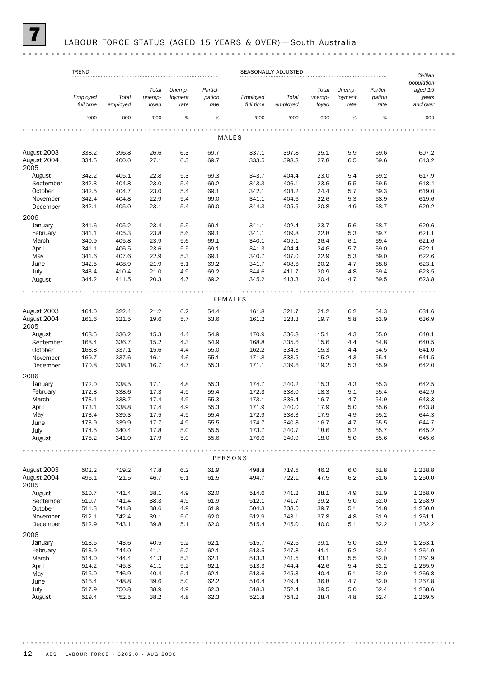# LABOUR FORCE STATUS (AGED 15 YEARS & OVER)-South Australia

|                                    | <b>TREND</b>          | <b>SEASONALLY ADJUSTED</b> |                          |                           |                            |                       |                   |                          | Civilian                  |                            |                                            |
|------------------------------------|-----------------------|----------------------------|--------------------------|---------------------------|----------------------------|-----------------------|-------------------|--------------------------|---------------------------|----------------------------|--------------------------------------------|
|                                    | Employed<br>full time | Total<br>employed          | Total<br>unemp-<br>loyed | Unemp-<br>loyment<br>rate | Partici-<br>pation<br>rate | Employed<br>full time | Total<br>employed | Total<br>unemp-<br>loyed | Unemp-<br>loyment<br>rate | Partici-<br>pation<br>rate | population<br>aged 15<br>years<br>and over |
|                                    | '000                  | '000                       | '000                     | %                         | %                          | '000                  | '000              | '000                     | %                         | %                          | '000                                       |
|                                    |                       |                            |                          |                           |                            | MALES                 |                   |                          |                           |                            |                                            |
|                                    |                       |                            |                          |                           |                            |                       |                   |                          |                           |                            |                                            |
| August 2003                        | 338.2                 | 396.8                      | 26.6                     | 6.3                       | 69.7                       | 337.1                 | 397.8             | 25.1                     | 5.9                       | 69.6                       | 607.2                                      |
| August 2004<br>2005                | 334.5                 | 400.0                      | 27.1                     | 6.3                       | 69.7                       | 333.5                 | 398.8             | 27.8                     | 6.5                       | 69.6                       | 613.2                                      |
| August                             | 342.2                 | 405.1                      | 22.8                     | 5.3                       | 69.3                       | 343.7                 | 404.4             | 23.0                     | 5.4                       | 69.2                       | 617.9                                      |
| September<br>October               | 342.3<br>342.5        | 404.8<br>404.7             | 23.0<br>23.0             | 5.4<br>5.4                | 69.2<br>69.1               | 343.3<br>342.1        | 406.1<br>404.2    | 23.6<br>24.4             | 5.5<br>5.7                | 69.5<br>69.3               | 618.4<br>619.0                             |
| November                           | 342.4                 | 404.8                      | 22.9                     | 5.4                       | 69.0                       | 341.1                 | 404.6             | 22.6                     | 5.3                       | 68.9                       | 619.6                                      |
| December                           | 342.1                 | 405.0                      | 23.1                     | 5.4                       | 69.0                       | 344.3                 | 405.5             | 20.8                     | 4.9                       | 68.7                       | 620.2                                      |
|                                    |                       |                            |                          |                           |                            |                       |                   |                          |                           |                            |                                            |
| 2006                               | 341.6                 | 405.2                      | 23.4                     | 5.5                       | 69.1                       | 341.1                 | 402.4             | 23.7                     | 5.6                       | 68.7                       | 620.6                                      |
| January<br>February                | 341.1                 | 405.3                      | 23.8                     | 5.6                       | 69.1                       | 341.1                 | 409.8             | 22.8                     | 5.3                       | 69.7                       | 621.1                                      |
| March                              | 340.9                 | 405.8                      | 23.9                     | 5.6                       | 69.1                       | 340.1                 | 405.1             | 26.4                     | 6.1                       | 69.4                       | 621.6                                      |
| April                              | 341.1                 | 406.5                      | 23.6                     | 5.5                       | 69.1                       | 341.3                 | 404.4             | 24.6                     | 5.7                       | 69.0                       | 622.1                                      |
| May                                | 341.6                 | 407.6                      | 22.9                     | 5.3                       | 69.1                       | 340.7                 | 407.0             | 22.9                     | 5.3                       | 69.0                       | 622.6                                      |
| June                               | 342.5                 | 408.9                      | 21.9                     | 5.1                       | 69.2                       | 341.7                 | 408.6             | 20.2                     | 4.7                       | 68.8                       | 623.1                                      |
| July                               | 343.4                 | 410.4                      | 21.0                     | 4.9                       | 69.2                       | 344.6                 | 411.7             | 20.9                     | 4.8                       | 69.4                       | 623.5                                      |
| August                             | 344.2                 | 411.5                      | 20.3                     | 4.7                       | 69.2                       | 345.2                 | 413.3             | 20.4                     | 4.7                       | 69.5                       | 623.8                                      |
|                                    |                       |                            |                          |                           |                            |                       |                   |                          |                           |                            |                                            |
|                                    |                       |                            |                          |                           |                            | <b>FEMALES</b>        |                   |                          |                           |                            |                                            |
| August 2003                        | 164.0                 | 322.4                      | 21.2                     | 6.2                       | 54.4                       | 161.8                 | 321.7             | 21.2                     | 6.2                       | 54.3                       | 631.6                                      |
| August 2004<br>2005                | 161.6                 | 321.5                      | 19.6                     | 5.7                       | 53.6                       | 161.2                 | 323.3             | 19.7                     | 5.8                       | 53.9                       | 636.9                                      |
| August                             | 168.5                 | 336.2                      | 15.3                     | 4.4                       | 54.9                       | 170.9                 | 336.8             | 15.1                     | 4.3                       | 55.0                       | 640.1                                      |
| September                          | 168.4                 | 336.7                      | 15.2                     | 4.3                       | 54.9                       | 168.8                 | 335.6             | 15.6                     | 4.4                       | 54.8                       | 640.5                                      |
| October                            | 168.8                 | 337.1                      | 15.6                     | 4.4                       | 55.0                       | 162.2                 | 334.3             | 15.3                     | 4.4                       | 54.5                       | 641.0                                      |
| November                           | 169.7                 | 337.6                      | 16.1                     | 4.6                       | 55.1                       | 171.8                 | 338.5             | 15.2                     | 4.3                       | 55.1                       | 641.5                                      |
| December<br>2006                   | 170.8                 | 338.1                      | 16.7                     | 4.7                       | 55.3                       | 171.1                 | 339.6             | 19.2                     | 5.3                       | 55.9                       | 642.0                                      |
| January                            | 172.0                 | 338.5                      | 17.1                     | 4.8                       | 55.3                       | 174.7                 | 340.2             | 15.3                     | 4.3                       | 55.3                       | 642.5                                      |
| February                           | 172.8                 | 338.6                      | 17.3                     | 4.9                       | 55.4                       | 172.3                 | 338.0             | 18.3                     | 5.1                       | 55.4                       | 642.9                                      |
| March                              | 173.1                 | 338.7                      | 17.4                     | 4.9                       | 55.3                       | 173.1                 | 336.4             | 16.7                     | 4.7                       | 54.9                       | 643.3                                      |
| April                              | 173.1                 | 338.8                      | 17.4                     | 4.9                       | 55.3                       | 171.9                 | 340.0             | 17.9                     | 5.0                       | 55.6                       | 643.8                                      |
| May                                | 173.4                 | 339.3                      | 17.5                     | 4.9                       | 55.4                       | 172.9                 | 338.3             | 17.5                     | 4.9                       | 55.2                       | 644.3                                      |
| June                               | 173.9                 | 339.9                      | 17.7                     | 4.9                       | 55.5                       | 174.7                 | 340.8             | 16.7                     | 4.7                       | 55.5                       | 644.7                                      |
| July                               | 174.5                 | 340.4                      | 17.8                     | $5.0\,$                   | 55.5                       | 173.7                 | 340.7             | 18.6                     | 5.2                       | 55.7                       | 645.2                                      |
| August                             | 175.2                 | 341.0                      | 17.9                     | 5.0                       | 55.6                       | 176.6                 | 340.9             | 18.0                     | 5.0                       | 55.6                       | 645.6                                      |
|                                    |                       |                            |                          |                           |                            | PERSONS               |                   |                          |                           |                            |                                            |
|                                    |                       |                            |                          |                           |                            |                       |                   |                          |                           |                            |                                            |
| August 2003<br>August 2004<br>2005 | 502.2<br>496.1        | 719.2<br>721.5             | 47.8<br>46.7             | 6.2<br>6.1                | 61.9<br>61.5               | 498.8<br>494.7        | 719.5<br>722.1    | 46.2<br>47.5             | 6.0<br>6.2                | 61.8<br>61.6               | 1 2 3 8.8<br>1 250.0                       |
| August                             | 510.7                 | 741.4                      | 38.1                     | 4.9                       | 62.0                       | 514.6                 | 741.2             | 38.1                     | 4.9                       | 61.9                       | 1 258.0                                    |
| September                          | 510.7                 | 741.4                      | 38.3                     | 4.9                       | 61.9                       | 512.1                 | 741.7             | 39.2                     | 5.0                       | 62.0                       | 1 2 5 8.9                                  |
| October                            | 511.3                 | 741.8                      | 38.6                     | 4.9                       | 61.9                       | 504.3                 | 738.5             | 39.7                     | 5.1                       | 61.8                       | 1 260.0                                    |
| November                           | 512.1                 | 742.4                      | 39.1                     | 5.0                       | 62.0                       | 512.9                 | 743.1             | 37.8                     | 4.8                       | 61.9                       | 1 2 6 1 . 1                                |
| December                           | 512.9                 | 743.1                      | 39.8                     | 5.1                       | 62.0                       | 515.4                 | 745.0             | 40.0                     | 5.1                       | 62.2                       | 1 262.2                                    |
| 2006                               |                       |                            |                          |                           |                            |                       |                   |                          |                           |                            |                                            |
| January                            | 513.5                 | 743.6                      | 40.5                     | 5.2                       | 62.1                       | 515.7                 | 742.6             | 39.1                     | 5.0                       | 61.9                       | 1 2 6 3 . 1                                |
| February                           | 513.9                 | 744.0                      | 41.1                     | 5.2                       | 62.1                       | 513.5                 | 747.8             | 41.1                     | 5.2                       | 62.4                       | 1 2 64.0                                   |
| March                              | 514.0                 | 744.4                      | 41.3                     | 5.3                       | 62.1                       | 513.3                 | 741.5             | 43.1                     | 5.5                       | 62.0                       | 1 2 6 4 .9                                 |
| April                              | 514.2                 | 745.3                      | 41.1                     | 5.2                       | 62.1                       | 513.3                 | 744.4             | 42.6                     | 5.4                       | 62.2                       | 1 2 6 5.9                                  |
| May                                | 515.0                 | 746.9                      | 40.4                     | 5.1                       | 62.1                       | 513.6                 | 745.3             | 40.4                     | 5.1                       | 62.0                       | 1 2 6 6.8                                  |
| June                               | 516.4                 | 748.8                      | 39.6                     | 5.0                       | 62.2                       | 516.4                 | 749.4             | 36.8                     | 4.7                       | 62.0                       | 1 2 6 7 .8                                 |
| July                               | 517.9                 | 750.8                      | 38.9                     | 4.9<br>4.8                | 62.3                       | 518.3                 | 752.4             | 39.5                     | 5.0<br>4.8                | 62.4                       | 1 2 68.6                                   |
| August                             | 519.4                 | 752.5                      | 38.2                     |                           | 62.3                       | 521.8                 | 754.2             | 38.4                     |                           | 62.4                       | 1 2 6 9.5                                  |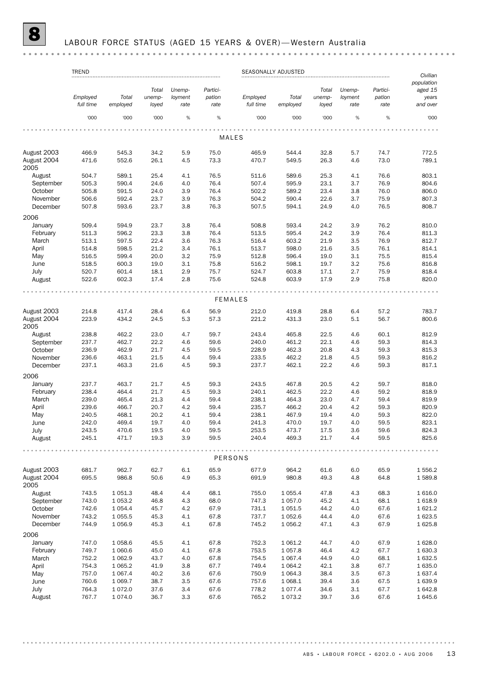# 8 LABOUR FORCE STATUS (AGED 15 YEARS & OVER)— Western Australia

|                      | <b>TREND</b><br>SEASONALLY ADJUSTED |                |                 |                   |                    |                       |                |                 | Civilian          |                    |                                            |
|----------------------|-------------------------------------|----------------|-----------------|-------------------|--------------------|-----------------------|----------------|-----------------|-------------------|--------------------|--------------------------------------------|
|                      | Employed<br>full time               | Total          | Total<br>unemp- | Unemp-<br>loyment | Partici-<br>pation | Employed<br>full time | Total          | Total<br>unemp- | Unemp-<br>loyment | Partici-<br>pation | population<br>aged 15<br>years<br>and over |
|                      |                                     | employed       | loyed           | rate              | rate               |                       | employed       | loyed           | rate              | rate               |                                            |
|                      | '000                                | '000           | '000            | %                 | %                  | '000                  | '000           | '000            | %                 | %                  | '000                                       |
|                      |                                     |                |                 |                   |                    | <b>MALES</b>          |                |                 |                   |                    |                                            |
| August 2003          | 466.9                               | 545.3          | 34.2            | 5.9               | 75.0               | 465.9                 | 544.4          | 32.8            | 5.7               | 74.7               | 772.5                                      |
| August 2004<br>2005  | 471.6                               | 552.6          | 26.1            | 4.5               | 73.3               | 470.7                 | 549.5          | 26.3            | 4.6               | 73.0               | 789.1                                      |
| August               | 504.7                               | 589.1          | 25.4            | 4.1               | 76.5               | 511.6                 | 589.6          | 25.3            | 4.1               | 76.6               | 803.1                                      |
| September            | 505.3                               | 590.4          | 24.6            | 4.0               | 76.4               | 507.4                 | 595.9          | 23.1            | 3.7               | 76.9               | 804.6                                      |
| October              | 505.8                               | 591.5          | 24.0            | 3.9               | 76.4               | 502.2                 | 589.2          | 23.4            | 3.8               | 76.0               | 806.0                                      |
| November             | 506.6                               | 592.4          | 23.7            | 3.9               | 76.3               | 504.2                 | 590.4          | 22.6            | 3.7               | 75.9               | 807.3                                      |
| December             | 507.8                               | 593.6          | 23.7            | 3.8               | 76.3               | 507.5                 | 594.1          | 24.9            | 4.0               | 76.5               | 808.7                                      |
| 2006                 |                                     |                |                 |                   |                    |                       |                |                 |                   |                    |                                            |
| January              | 509.4                               | 594.9          | 23.7            | 3.8               | 76.4               | 508.8                 | 593.4          | 24.2            | 3.9               | 76.2               | 810.0                                      |
| February             | 511.3                               | 596.2          | 23.3            | 3.8               | 76.4               | 513.5                 | 595.4          | 24.2            | 3.9               | 76.4               | 811.3                                      |
| March                | 513.1                               | 597.5          | 22.4            | 3.6               | 76.3               | 516.4                 | 603.2          | 21.9            | 3.5               | 76.9               | 812.7                                      |
| April<br>May         | 514.8<br>516.5                      | 598.5<br>599.4 | 21.2<br>20.0    | 3.4<br>3.2        | 76.1<br>75.9       | 513.7<br>512.8        | 598.0<br>596.4 | 21.6<br>19.0    | 3.5<br>3.1        | 76.1<br>75.5       | 814.1<br>815.4                             |
| June                 | 518.5                               | 600.3          | 19.0            | 3.1               | 75.8               | 516.2                 | 598.1          | 19.7            | 3.2               | 75.6               | 816.8                                      |
| July                 | 520.7                               | 601.4          | 18.1            | 2.9               | 75.7               | 524.7                 | 603.8          | 17.1            | 2.7               | 75.9               | 818.4                                      |
| August               | 522.6                               | 602.3          | 17.4            | 2.8               | 75.6               | 524.8                 | 603.9          | 17.9            | 2.9               | 75.8               | 820.0                                      |
|                      |                                     |                |                 |                   |                    |                       |                |                 |                   |                    |                                            |
|                      |                                     |                |                 |                   |                    | <b>FEMALES</b>        |                |                 |                   |                    |                                            |
| August 2003          | 214.8                               | 417.4          | 28.4            | 6.4               | 56.9               | 212.0                 | 419.8          | 28.8            | 6.4               | 57.2               | 783.7                                      |
| August 2004<br>2005  | 223.9                               | 434.2          | 24.5            | 5.3               | 57.3               | 221.2                 | 431.3          | 23.0            | 5.1               | 56.7               | 800.6                                      |
| August               | 238.8                               | 462.2          | 23.0            | 4.7               | 59.7               | 243.4                 | 465.8          | 22.5            | 4.6               | 60.1               | 812.9                                      |
| September            | 237.7                               | 462.7          | 22.2            | 4.6               | 59.6               | 240.0                 | 461.2          | 22.1            | 4.6               | 59.3               | 814.3                                      |
| October              | 236.9                               | 462.9          | 21.7            | 4.5               | 59.5               | 228.9                 | 462.3          | 20.8            | 4.3               | 59.3               | 815.3                                      |
| November<br>December | 236.6<br>237.1                      | 463.1<br>463.3 | 21.5<br>21.6    | 4.4<br>4.5        | 59.4<br>59.3       | 233.5<br>237.7        | 462.2<br>462.1 | 21.8<br>22.2    | 4.5<br>4.6        | 59.3<br>59.3       | 816.2<br>817.1                             |
| 2006                 |                                     |                |                 |                   |                    |                       |                |                 |                   |                    |                                            |
| January              | 237.7                               | 463.7          | 21.7            | 4.5               | 59.3               | 243.5                 | 467.8          | 20.5            | 4.2               | 59.7               | 818.0                                      |
| February             | 238.4                               | 464.4          | 21.7            | 4.5               | 59.3               | 240.1                 | 462.5          | 22.2            | 4.6               | 59.2               | 818.9                                      |
| March                | 239.0                               | 465.4          | 21.3            | 4.4               | 59.4               | 238.1                 | 464.3          | 23.0            | 4.7               | 59.4               | 819.9                                      |
| April                | 239.6                               | 466.7          | 20.7            | 4.2               | 59.4               | 235.7                 | 466.2          | 20.4            | 4.2               | 59.3               | 820.9                                      |
| May                  | 240.5                               | 468.1          | 20.2            | 4.1               | 59.4               | 238.1                 | 467.9          | 19.4            | 4.0               | 59.3               | 822.0                                      |
| June                 | 242.0                               | 469.4          | 19.7            | 4.0               | 59.4               | 241.3                 | 470.0          | 19.7            | 4.0               | 59.5               | 823.1                                      |
| July<br>August       | 243.5<br>245.1                      | 470.6<br>471.7 | 19.5<br>19.3    | 4.0<br>3.9        | 59.5<br>59.5       | 253.5<br>240.4        | 473.7<br>469.3 | 17.5<br>21.7    | 3.6<br>4.4        | 59.6<br>59.5       | 824.3<br>825.6                             |
|                      |                                     |                |                 |                   |                    |                       |                |                 |                   |                    |                                            |
|                      |                                     |                |                 |                   |                    | PERSONS               |                |                 |                   |                    |                                            |
| August 2003          | 681.7                               | 962.7          | 62.7            | 6.1               | 65.9               | 677.9                 | 964.2          | 61.6            | 6.0               | 65.9               | 1 556.2                                    |
| August 2004<br>2005  | 695.5                               | 986.8          | 50.6            | 4.9               | 65.3               | 691.9                 | 980.8          | 49.3            | 4.8               | 64.8               | 1589.8                                     |
| August               | 743.5                               | 1 0 5 1.3      | 48.4            | 4.4               | 68.1               | 755.0                 | 1 0 5 5.4      | 47.8            | 4.3               | 68.3               | 1 616.0                                    |
| September            | 743.0                               | 1 0 5 3.2      | 46.8            | 4.3               | 68.0               | 747.3                 | 1 0 5 7 .0     | 45.2            | 4.1               | 68.1               | 1618.9                                     |
| October              | 742.6                               | 1 0 5 4 . 4    | 45.7            | 4.2               | 67.9               | 731.1                 | 1 0 5 1.5      | 44.2            | 4.0               | 67.6               | 1 621.2                                    |
| November             | 743.2                               | 1 0 5 5.5      | 45.3            | 4.1               | 67.8               | 737.7                 | 1052.6         | 44.4            | 4.0               | 67.6               | 1 623.5                                    |
| December<br>2006     | 744.9                               | 1056.9         | 45.3            | 4.1               | 67.8               | 745.2                 | 1 0 5 6.2      | 47.1            | 4.3               | 67.9               | 1625.8                                     |
| January              | 747.0                               | 1058.6         | 45.5            | 4.1               | 67.8               | 752.3                 | 1 0 6 1.2      | 44.7            | 4.0               | 67.9               | 1 628.0                                    |
| February             | 749.7                               | 1 0 6 0.6      | 45.0            | 4.1               | 67.8               | 753.5                 | 1 0 5 7.8      | 46.4            | 4.2               | 67.7               | 1 630.3                                    |
| March                | 752.2                               | 1 0 6 2.9      | 43.7            | 4.0               | 67.8               | 754.5                 | 1 0 6 7 .4     | 44.9            | 4.0               | 68.1               | 1 632.5                                    |
| April                | 754.3                               | 1 0 6 5.2      | 41.9            | 3.8               | 67.7               | 749.4                 | 1 0 6 4.2      | 42.1            | 3.8               | 67.7               | 1 635.0                                    |
| May                  | 757.0                               | 1 0 6 7 . 4    | 40.2            | 3.6               | 67.6               | 750.9                 | 1 0 6 4 .3     | 38.4            | 3.5               | 67.3               | 1 637.4                                    |
| June                 | 760.6                               | 1 0 69.7       | 38.7            | 3.5               | 67.6               | 757.6                 | 1 0 68.1       | 39.4            | 3.6               | 67.5               | 1 639.9                                    |
| July                 | 764.3                               | 1072.0         | 37.6            | 3.4               | 67.6               | 778.2                 | 1077.4         | 34.6            | 3.1               | 67.7               | 1 642.8                                    |
| August               | 767.7                               | 1074.0         | 36.7            | 3.3               | 67.6               | 765.2                 | 1073.2         | 39.7            | 3.6               | 67.6               | 1 645.6                                    |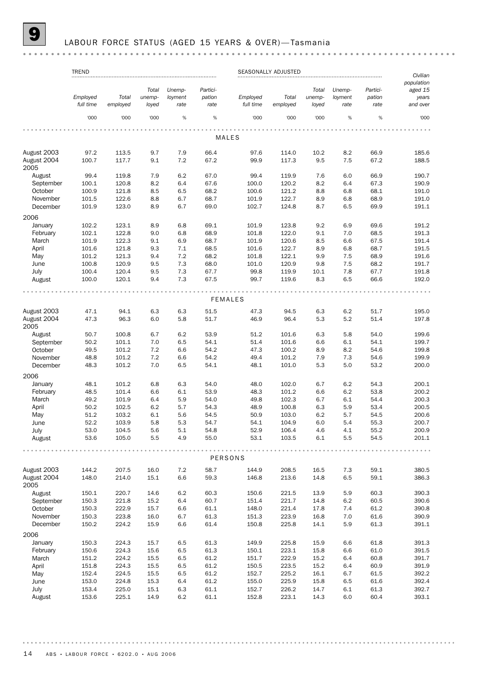### LABOUR FORCE STATUS (AGED 15 YEARS & OVER)-Tasmania

#### TREND SEASONALLY ADJUSTED *Civilian population Total Unemp-Partici-Total Unemp-Particiaged 15 Employed Total unemployment pation Employed Total unemployment pation years full time employed loyed rate rate full time employed loyed rate rate and over* '000 '000 '000 % % '000 '000 '000 % % '000 . . . . . . . MALES August 2003 97.2 113.5 9.7 7.9 66.4 97.6 114.0 10.2 8.2 66.9 185.6 August 2004 100.7 117.7 9.1 7.2 67.2 99.9 117.3 9.5 7.5 67.2 188.5 2005 August 99.4 119.8 7.9 6.2 67.0 99.4 119.9 7.6 6.0 66.9 190.7 September 100.1 120.8 8.2 6.4 67.6 100.0 120.2 8.2 6.4 67.3 190.9 October 100.9 121.8 8.5 6.5 68.2 100.6 121.2 8.8 6.8 68.1 191.0 November 101.5 122.6 8.8 6.7 68.7 101.9 122.7 8.9 6.8 68.9 191.0 December 101.9 123.0 8.9 6.7 69.0 102.7 124.8 8.7 6.5 69.9 191.1 2006 January 102.2 123.1 8.9 6.8 69.1 101.9 123.8 9.2 6.9 69.6 191.2 February 102.1 122.8 9.0 6.8 68.9 101.8 122.0 9.1 7.0 68.5 191.3 March 101.9 122.3 9.1 6.9 68.7 101.9 120.6 8.5 6.6 67.5 191.4 April 101.6 121.8 9.3 7.1 68.5 101.6 122.7 8.9 6.8 68.7 191.5 May 101.2 121.3 9.4 7.2 68.2 101.8 122.1 9.9 7.5 68.9 191.6 June 100.8 120.9 9.5 7.3 68.0 101.0 120.9 9.8 7.5 68.2 191.7 July 100.4 120.4 9.5 7.3 67.7 99.8 119.9 10.1 7.8 67.7 191.8 August 100.0 120.1 9.4 7.3 67.5 99.7 119.6 8.3 6.5 66.6 192.0 FEMALES August 2003 47.1 94.1 6.3 6.3 51.5 47.3 94.5 6.3 6.2 51.7 195.0 August 2004 47.3 96.3 6.0 5.8 51.7 46.9 96.4 5.3 5.2 51.4 197.8 2005 August 50.7 100.8 6.7 6.2 53.9 51.2 101.6 6.3 5.8 54.0 199.6 September 50.2 101.1 7.0 6.5 54.1 51.4 101.6 6.6 6.1 54.1 199.7 October 49.5 101.2 7.2 6.6 54.2 47.3 100.2 8.9 8.2 54.6 199.8 November 48.8 101.2 7.2 6.6 54.2 49.4 101.2 7.9 7.3 54.6 199.9 December 48.3 101.2 7.0 6.5 54.1 48.1 101.0 5.3 5.0 53.2 200.0 2006 January 48.1 101.2 6.8 6.3 54.0 48.0 102.0 6.7 6.2 54.3 200.1 February 48.5 101.4 6.6 6.1 53.9 48.3 101.2 6.6 6.2 53.8 200.2 March 49.2 101.9 6.4 5.9 54.0 49.8 102.3 6.7 6.1 54.4 200.3 April 50.2 102.5 6.2 5.7 54.3 48.9 100.8 6.3 5.9 53.4 200.5 May 51.2 103.2 6.1 5.6 54.5 50.9 103.0 6.2 5.7 54.5 200.6 June 52.2 103.9 5.8 5.3 54.7 54.1 104.9 6.0 5.4 55.3 200.7 July 53.0 104.5 5.6 5.1 54.8 52.9 106.4 4.6 4.1 55.2 200.9 August 53.6 105.0 5.5 4.9 55.0 53.1 103.5 6.1 5.5 54.5 201.1 . . . . . . . . . . . . . . . . . . . . . . . . . . . . . . . . . . . . . . . . . . . PERSONS August 2003 144.2 207.5 16.0 7.2 58.7 144.9 208.5 16.5 7.3 59.1 380.5 August 2004 148.0 214.0 15.1 6.6 59.3 146.8 213.6 14.8 6.5 59.1 386.3 2005 August 150.1 220.7 14.6 6.2 60.3 150.6 221.5 13.9 5.9 60.3 390.3 September 150.3 221.8 15.2 6.4 60.7 151.4 221.7 14.8 6.2 60.5 390.6 October 150.3 222.9 15.7 6.6 61.1 148.0 221.4 17.8 7.4 61.2 390.8 November 150.3 223.8 16.0 6.7 61.3 151.3 223.9 16.8 7.0 61.6 390.9 December 150.2 224.2 15.9 6.6 61.4 150.8 225.8 14.1 5.9 61.3 391.1 2006 January 150.3 224.3 15.7 6.5 61.3 149.9 225.8 15.9 6.6 61.8 391.3 February 150.6 224.3 15.6 6.5 61.3 150.1 223.1 15.8 6.6 61.0 391.5 March 151.2 224.2 15.5 6.5 61.2 151.7 222.9 15.2 6.4 60.8 391.7 April 151.8 224.3 15.5 6.5 61.2 150.5 223.5 15.2 6.4 60.9 391.9 May 152.4 224.5 15.5 6.5 61.2 152.7 225.2 16.1 6.7 61.5 392.2 June 153.0 224.8 15.3 6.4 61.2 155.0 225.9 15.8 6.5 61.6 392.4 July 153.4 225.0 15.1 6.3 61.1 152.7 226.2 14.7 6.1 61.3 392.7 August 153.6 225.1 14.9 6.2 61.1 152.8 223.1 14.3 6.0 60.4 393.1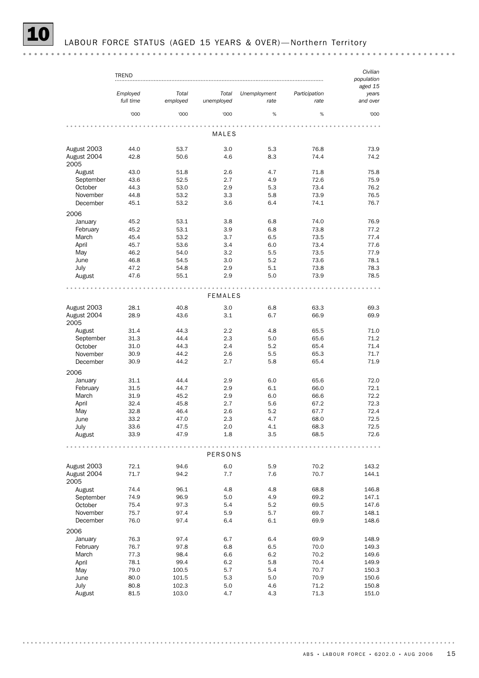|                      | TREND                 |                   |                     |                      |                       | Civilian          |
|----------------------|-----------------------|-------------------|---------------------|----------------------|-----------------------|-------------------|
|                      |                       |                   |                     |                      |                       | population        |
|                      |                       |                   |                     |                      |                       | aged 15           |
|                      | Employed<br>full time | Total<br>employed | Total<br>unemployed | Unemployment<br>rate | Participation<br>rate | years<br>and over |
|                      | '000                  | '000              | '000                | %                    | %                     | '000              |
|                      |                       |                   |                     |                      |                       |                   |
|                      |                       |                   | MALES               |                      |                       |                   |
| August 2003          | 44.0                  | 53.7              | 3.0                 | 5.3                  | 76.8                  | 73.9              |
| August 2004<br>2005  | 42.8                  | 50.6              | 4.6                 | 8.3                  | 74.4                  | 74.2              |
| August               | 43.0                  | 51.8              | 2.6                 | 4.7                  | 71.8                  | 75.8              |
| September            | 43.6                  | 52.5              | 2.7                 | 4.9                  | 72.6                  | 75.9              |
| October              | 44.3                  | 53.0              | 2.9                 | 5.3                  | 73.4                  | 76.2              |
| November<br>December | 44.8<br>45.1          | 53.2<br>53.2      | 3.3<br>3.6          | 5.8<br>6.4           | 73.9<br>74.1          | 76.5<br>76.7      |
| 2006                 |                       |                   |                     |                      |                       |                   |
| January              | 45.2                  | 53.1              | 3.8                 | 6.8                  | 74.0                  | 76.9              |
| February             | 45.2                  | 53.1              | 3.9                 | 6.8                  | 73.8                  | 77.2              |
| March                | 45.4                  | 53.2              | 3.7                 | 6.5                  | 73.5                  | 77.4              |
| April                | 45.7                  | 53.6              | 3.4                 | 6.0                  | 73.4                  | 77.6              |
| May                  | 46.2                  | 54.0              | 3.2                 | 5.5                  | 73.5                  | 77.9              |
| June                 | 46.8                  | 54.5              | 3.0                 | 5.2                  | 73.6                  | 78.1              |
| July                 | 47.2                  | 54.8              | 2.9                 | 5.1                  | 73.8                  | 78.3              |
| August               | 47.6                  | 55.1              | 2.9                 | 5.0                  | 73.9                  | 78.5              |
|                      |                       |                   |                     |                      |                       |                   |
|                      |                       |                   | <b>FEMALES</b>      |                      |                       |                   |
| August 2003          | 28.1                  | 40.8              | 3.0                 | 6.8                  | 63.3                  | 69.3              |
| August 2004<br>2005  | 28.9                  | 43.6              | 3.1                 | 6.7                  | 66.9                  | 69.9              |
| August               | 31.4                  | 44.3              | 2.2                 | 4.8                  | 65.5                  | 71.0              |
| September            | 31.3                  | 44.4              | 2.3                 | 5.0                  | 65.6                  | 71.2              |
| October              | 31.0                  | 44.3              | 2.4                 | 5.2                  | 65.4                  | 71.4              |
| November<br>December | 30.9<br>30.9          | 44.2<br>44.2      | 2.6<br>2.7          | 5.5<br>5.8           | 65.3<br>65.4          | 71.7<br>71.9      |
| 2006                 |                       |                   |                     |                      |                       |                   |
| January              | 31.1                  | 44.4              | 2.9                 | 6.0                  | 65.6                  | 72.0              |
| February             | 31.5                  | 44.7              | 2.9                 | 6.1                  | 66.0                  | 72.1              |
| March                | 31.9                  | 45.2              | 2.9                 | 6.0                  | 66.6                  | 72.2              |
| April                | 32.4                  | 45.8              | 2.7                 | 5.6                  | 67.2                  | 72.3              |
| May                  | 32.8                  | 46.4              | 2.6                 | 5.2                  | 67.7                  | 72.4              |
| June                 | 33.2                  | 47.0              | 2.3                 | 4.7                  | 68.0                  | 72.5              |
| July                 | 33.6                  | 47.5              | 2.0                 | 4.1                  | 68.3                  | 72.5              |
| August               | 33.9                  | 47.9              | 1.8                 | 3.5                  | 68.5                  | 72.6              |
|                      |                       |                   |                     |                      |                       |                   |
|                      |                       |                   | PERSONS             |                      |                       |                   |
| August 2003          | 72.1                  | 94.6              | 6.0                 | 5.9                  | 70.2                  | 143.2             |
| August 2004<br>2005  | 71.7                  | 94.2              | 7.7                 | 7.6                  | 70.7                  | 144.1             |
| August               | 74.4                  | 96.1              | 4.8                 | 4.8                  | 68.8                  | 146.8             |
| September            | 74.9                  | 96.9              | 5.0                 | 4.9                  | 69.2                  | 147.1             |
| October              | 75.4                  | 97.3              | 5.4                 | 5.2                  | 69.5                  | 147.6             |
| November             | 75.7                  | 97.4              | 5.9                 | 5.7                  | 69.7                  | 148.1             |
| December             | 76.0                  | 97.4              | 6.4                 | 6.1                  | 69.9                  | 148.6             |
| 2006                 |                       |                   |                     |                      |                       |                   |
| January              | 76.3                  | 97.4              | 6.7                 | 6.4                  | 69.9                  | 148.9             |
| February             | 76.7                  | 97.8              | 6.8                 | 6.5                  | 70.0                  | 149.3             |
| March                | 77.3                  | 98.4              | 6.6                 | 6.2                  | 70.2                  | 149.6             |
| April                | 78.1                  | 99.4              | 6.2                 | 5.8                  | 70.4                  | 149.9             |
| May                  | 79.0                  | 100.5             | 5.7                 | 5.4                  | 70.7                  | 150.3             |
| June                 | 80.0                  | 101.5             | 5.3                 | 5.0                  | 70.9                  | 150.6             |
| July<br>August       | 80.8<br>81.5          | 102.3<br>103.0    | 5.0<br>4.7          | 4.6<br>4.3           | 71.2<br>71.3          | 150.8<br>151.0    |
|                      |                       |                   |                     |                      |                       |                   |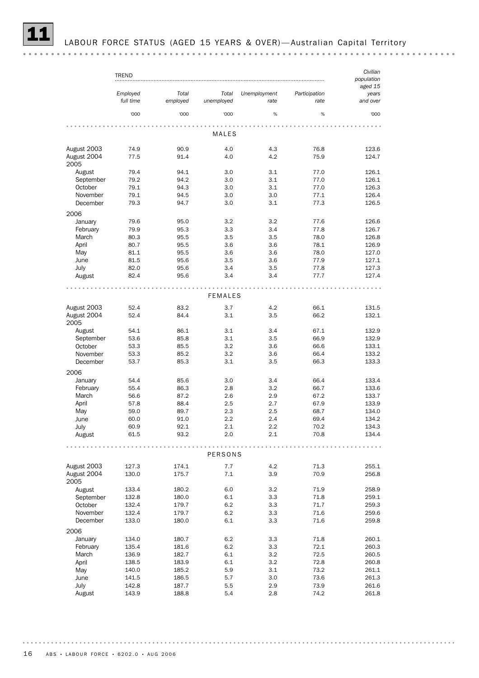|                                    | <b>TREND</b>          |                   |                     |                      |                       | Civilian<br>population       |
|------------------------------------|-----------------------|-------------------|---------------------|----------------------|-----------------------|------------------------------|
|                                    | Employed<br>full time | Total<br>employed | Total<br>unemployed | Unemployment<br>rate | Participation<br>rate | aged 15<br>years<br>and over |
|                                    | '000                  | '000              | '000                | $\%$                 | %                     | '000                         |
|                                    |                       |                   | MALES               |                      |                       |                              |
| August 2003                        | 74.9                  | 90.9              | 4.0                 | 4.3                  | 76.8                  | 123.6                        |
| August 2004<br>2005                | 77.5                  | 91.4              | 4.0                 | 4.2                  | 75.9                  | 124.7                        |
| August                             | 79.4                  | 94.1              | 3.0                 | 3.1                  | 77.0                  | 126.1                        |
| September                          | 79.2                  | 94.2              | 3.0                 | 3.1                  | 77.0                  | 126.1                        |
| October                            | 79.1                  | 94.3              | 3.0                 | 3.1                  | 77.0                  | 126.3                        |
| November                           | 79.1                  | 94.5              | 3.0                 | 3.0                  | 77.1                  | 126.4                        |
| December                           | 79.3                  | 94.7              | 3.0                 | 3.1                  | 77.3                  | 126.5                        |
| 2006                               |                       |                   |                     |                      |                       |                              |
| January                            | 79.6                  | 95.0              | 3.2<br>3.3          | 3.2<br>3.4           | 77.6                  | 126.6                        |
| February<br>March                  | 79.9<br>80.3          | 95.3<br>95.5      | 3.5                 | 3.5                  | 77.8<br>78.0          | 126.7<br>126.8               |
| April                              | 80.7                  | 95.5              | 3.6                 | 3.6                  | 78.1                  | 126.9                        |
| May                                | 81.1                  | 95.5              | 3.6                 | 3.6                  | 78.0                  | 127.0                        |
| June                               | 81.5                  | 95.6              | 3.5                 | 3.6                  | 77.9                  | 127.1                        |
| July                               | 82.0                  | 95.6              | 3.4                 | 3.5                  | 77.8                  | 127.3                        |
| August                             | 82.4                  | 95.6              | 3.4                 | 3.4                  | 77.7                  | 127.4                        |
|                                    |                       |                   | <b>FEMALES</b>      |                      |                       |                              |
|                                    |                       |                   |                     |                      |                       |                              |
| August 2003                        | 52.4                  | 83.2              | 3.7                 | 4.2                  | 66.1                  | 131.5                        |
| August 2004<br>2005                | 52.4                  | 84.4              | 3.1                 | 3.5                  | 66.2                  | 132.1                        |
| August                             | 54.1                  | 86.1              | 3.1                 | 3.4                  | 67.1                  | 132.9                        |
| September                          | 53.6                  | 85.8              | 3.1                 | 3.5                  | 66.9                  | 132.9                        |
| October                            | 53.3                  | 85.5              | 3.2                 | 3.6                  | 66.6                  | 133.1                        |
| November<br>December               | 53.3<br>53.7          | 85.2<br>85.3      | 3.2<br>3.1          | 3.6<br>3.5           | 66.4<br>66.3          | 133.2<br>133.3               |
|                                    |                       |                   |                     |                      |                       |                              |
| 2006<br>January                    | 54.4                  | 85.6              | 3.0                 | 3.4                  | 66.4                  | 133.4                        |
| February                           | 55.4                  | 86.3              | 2.8                 | 3.2                  | 66.7                  | 133.6                        |
| March                              | 56.6                  | 87.2              | 2.6                 | 2.9                  | 67.2                  | 133.7                        |
| April                              | 57.8                  | 88.4              | 2.5                 | 2.7                  | 67.9                  | 133.9                        |
| May                                | 59.0                  | 89.7              | 2.3                 | 2.5                  | 68.7                  | 134.0                        |
| June                               | 60.0                  | 91.0              | 2.2                 | 2.4                  | 69.4                  | 134.2                        |
| July                               | 60.9                  | 92.1              | 2.1                 | 2.2                  | 70.2                  | 134.3                        |
| August                             | 61.5                  | 93.2              | 2.0                 | 2.1                  | 70.8                  | 134.4                        |
|                                    |                       |                   | PERSONS             |                      |                       |                              |
|                                    |                       |                   |                     |                      |                       |                              |
| August 2003<br>August 2004<br>2005 | 127.3<br>130.0        | 174.1<br>175.7    | 7.7<br>7.1          | 4.2<br>3.9           | 71.3<br>70.9          | 255.1<br>256.8               |
| August                             | 133.4                 | 180.2             | 6.0                 | 3.2                  | 71.9                  | 258.9                        |
| September                          | 132.8                 | 180.0             | 6.1                 | 3.3                  | 71.8                  | 259.1                        |
| October                            | 132.4                 | 179.7             | 6.2                 | 3.3                  | 71.7                  | 259.3                        |
| November                           | 132.4                 | 179.7             | 6.2                 | 3.3                  | 71.6                  | 259.6                        |
| December                           | 133.0                 | 180.0             | 6.1                 | 3.3                  | 71.6                  | 259.8                        |
| 2006                               |                       |                   |                     |                      |                       |                              |
| January                            | 134.0                 | 180.7             | 6.2                 | 3.3                  | 71.8                  | 260.1                        |
| February                           | 135.4                 | 181.6             | 6.2                 | 3.3                  | 72.1                  | 260.3                        |
| March                              | 136.9                 | 182.7             | 6.1                 | 3.2                  | 72.5                  | 260.5                        |
| April                              | 138.5                 | 183.9             | 6.1                 | 3.2                  | 72.8                  | 260.8                        |
| May                                | 140.0                 | 185.2             | 5.9                 | 3.1                  | 73.2                  | 261.1                        |
| June                               | 141.5                 | 186.5             | 5.7                 | 3.0                  | 73.6                  | 261.3                        |
| July                               | 142.8                 | 187.7             | 5.5                 | 2.9                  | 73.9                  | 261.6                        |
| August                             | 143.9                 | 188.8             | 5.4                 | 2.8                  | 74.2                  | 261.8                        |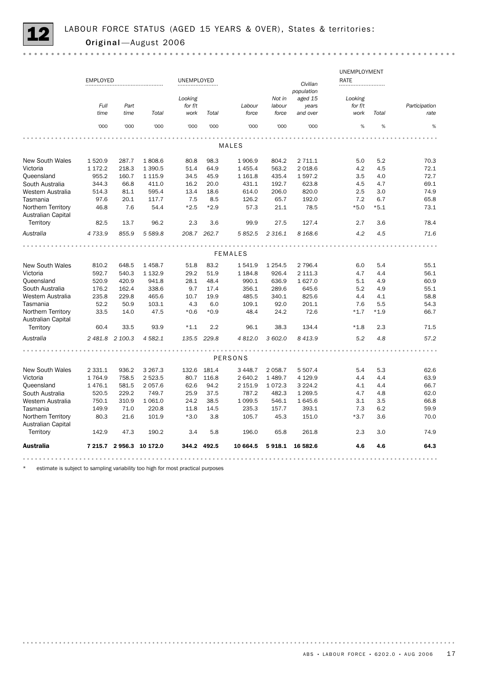

|                                                 |                 |                 |                |            |             |                |             |             | UNEMPLOYMENT |        |               |
|-------------------------------------------------|-----------------|-----------------|----------------|------------|-------------|----------------|-------------|-------------|--------------|--------|---------------|
|                                                 | <b>EMPLOYED</b> |                 |                | UNEMPLOYED |             |                |             | Civilian    | RATE         |        |               |
|                                                 |                 |                 |                |            |             |                |             | population  |              |        |               |
|                                                 |                 |                 |                | Looking    |             |                | Not in      | aged 15     | Looking      |        |               |
|                                                 | Full            | Part            |                | for f/t    |             | Labour         | labour      | years       | for f/t      |        | Participation |
|                                                 | time            | time            | Total          | work       | Total       | force          | force       | and over    | work         | Total  | rate          |
|                                                 | '000            | '000            | '000           | '000       | '000        | '000           | '000        | '000        | %            | %      | %             |
|                                                 |                 |                 |                |            |             |                |             |             |              |        |               |
|                                                 |                 |                 |                |            |             | <b>MALES</b>   |             |             |              |        |               |
| <b>New South Wales</b>                          | 1520.9          | 287.7           | 1808.6         | 80.8       | 98.3        | 1906.9         | 804.2       | 2 711.1     | 5.0          | 5.2    | 70.3          |
| Victoria                                        | 1 172.2         | 218.3           | 1 3 9 0.5      | 51.4       | 64.9        | 1 4 5 5.4      | 563.2       | 2 018.6     | 4.2          | 4.5    | 72.1          |
| Queensland                                      | 955.2           | 160.7           | 1 1 1 5.9      | 34.5       | 45.9        | 1 1 6 1.8      | 435.4       | 1 597.2     | 3.5          | 4.0    | 72.7          |
| South Australia                                 | 344.3           | 66.8            | 411.0          | 16.2       | 20.0        | 431.1          | 192.7       | 623.8       | 4.5          | 4.7    | 69.1          |
| Western Australia                               | 514.3           | 81.1            | 595.4          | 13.4       | 18.6        | 614.0          | 206.0       | 820.0       | 2.5          | 3.0    | 74.9          |
| Tasmania                                        | 97.6            | 20.1            | 117.7          | 7.5        | 8.5         | 126.2          | 65.7        | 192.0       | 7.2          | 6.7    | 65.8          |
| Northern Territory<br><b>Australian Capital</b> | 46.8            | 7.6             | 54.4           | $*2.5$     | $*2.9$      | 57.3           | 21.1        | 78.5        | $*5.0$       | $*5.1$ | 73.1          |
| Territory                                       | 82.5            | 13.7            | 96.2           | 2.3        | 3.6         | 99.9           | 27.5        | 127.4       | 2.7          | 3.6    | 78.4          |
| Australia                                       | 4733.9          | 855.9           | 5 5 8 9.8      |            | 208.7 262.7 | 5 852.5        | 2 3 1 6 . 1 | 8 1 68.6    | 4.2          | 4.5    | 71.6          |
|                                                 |                 |                 |                |            |             |                |             |             |              |        |               |
|                                                 |                 |                 |                |            |             | <b>FEMALES</b> |             |             |              |        |               |
| <b>New South Wales</b>                          | 810.2           | 648.5           | 1458.7         | 51.8       | 83.2        | 1541.9         | 1 2 5 4 . 5 | 2 796.4     | 6.0          | 5.4    | 55.1          |
| Victoria                                        | 592.7           | 540.3           | 1 132.9        | 29.2       | 51.9        | 1 1 8 4 . 8    | 926.4       | 2 111.3     | 4.7          | 4.4    | 56.1          |
| Queensland                                      | 520.9           | 420.9           | 941.8          | 28.1       | 48.4        | 990.1          | 636.9       | 1 627.0     | 5.1          | 4.9    | 60.9          |
| South Australia                                 | 176.2           | 162.4           | 338.6          | 9.7        | 17.4        | 356.1          | 289.6       | 645.6       | 5.2          | 4.9    | 55.1          |
| Western Australia                               | 235.8           | 229.8           | 465.6          | 10.7       | 19.9        | 485.5          | 340.1       | 825.6       | 4.4          | 4.1    | 58.8          |
| Tasmania                                        | 52.2            | 50.9            | 103.1          | 4.3        | 6.0         | 109.1          | 92.0        | 201.1       | 7.6          | 5.5    | 54.3          |
| Northern Territory                              | 33.5            | 14.0            | 47.5           | $*0.6$     | $*0.9$      | 48.4           | 24.2        | 72.6        | $*1.7$       | $*1.9$ | 66.7          |
| Australian Capital                              |                 |                 |                |            |             |                |             |             |              |        |               |
| Territory                                       | 60.4            | 33.5            | 93.9           | $*1.1$     | 2.2         | 96.1           | 38.3        | 134.4       | $*1.8$       | 2.3    | 71.5          |
| Australia                                       |                 | 2 481.8 2 100.3 | 4 582.1        |            | 135.5 229.8 | 4 812.0        | 3 602.0     | 8 4 1 3.9   | 5.2          | 4.8    | 57.2          |
|                                                 |                 |                 |                |            |             |                |             |             |              |        |               |
|                                                 |                 |                 |                |            |             | PERSONS        |             |             |              |        |               |
| <b>New South Wales</b>                          | 2 3 3 1.1       | 936.2           | 3 2 6 7 . 3    | 132.6      | 181.4       | 3 4 4 8.7      | 2 0 58.7    | 5 507.4     | 5.4          | 5.3    | 62.6          |
| Victoria                                        | 1764.9          | 758.5           | 2 5 2 3.5      | 80.7       | 116.8       | 2 640.2        | 1 489.7     | 4 1 2 9.9   | 4.4          | 4.4    | 63.9          |
| Queensland                                      | 1476.1          | 581.5           | 2 0 5 7.6      | 62.6       | 94.2        | 2 151.9        | 1 0 7 2.3   | 3 2 2 4 . 2 | 4.1          | 4.4    | 66.7          |
| South Australia                                 | 520.5           | 229.2           | 749.7          | 25.9       | 37.5        | 787.2          | 482.3       | 1 2 6 9.5   | 4.7          | 4.8    | 62.0          |
| Western Australia                               | 750.1           | 310.9           | 1 0 6 1 .0     | 24.2       | 38.5        | 1 0 9 9.5      | 546.1       | 1 645.6     | 3.1          | 3.5    | 66.8          |
| Tasmania                                        | 149.9           | 71.0            | 220.8          | 11.8       | 14.5        | 235.3          | 157.7       | 393.1       | 7.3          | 6.2    | 59.9          |
| Northern Territory<br><b>Australian Capital</b> | 80.3            | 21.6            | 101.9          | $*3.0$     | 3.8         | 105.7          | 45.3        | 151.0       | $*3.7$       | 3.6    | 70.0          |
| Territory                                       | 142.9           | 47.3            | 190.2          | 3.4        | 5.8         | 196.0          | 65.8        | 261.8       | 2.3          | 3.0    | 74.9          |
| Australia                                       | 7 215.7         |                 | 2956.3 10172.0 |            | 344.2 492.5 | 10 664.5       | 5918.1      | 16 582.6    | 4.6          | 4.6    | 64.3          |
|                                                 |                 |                 |                |            |             |                |             |             |              |        |               |

estimate is subject to sampling variability too high for most practical purposes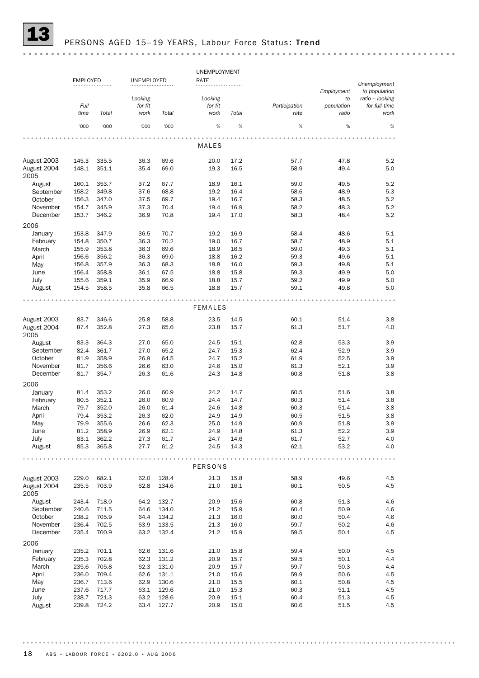

# PERSONS AGED 15-19 YEARS, Labour Force Status: Trend

|                                    | UNEMPLOYMENT<br><b>EMPLOYED</b><br>UNEMPLOYED |                |              |                |                |              |               |              |                               |
|------------------------------------|-----------------------------------------------|----------------|--------------|----------------|----------------|--------------|---------------|--------------|-------------------------------|
|                                    |                                               |                |              |                | RATE           |              |               | Employment   | Unemployment<br>to population |
|                                    |                                               |                | Looking      |                | Looking        |              |               | to           | ratio - looking               |
|                                    | Full                                          |                | for f/t      |                | for f/t        |              | Participation | population   | for full-time                 |
|                                    | time                                          | Total          | work         | Total          | work           | Total        | rate          | ratio        | work                          |
|                                    | '000                                          | '000           | '000         | '000           | %              | $\%$         | %             | %            | %                             |
|                                    |                                               |                |              |                |                |              |               |              |                               |
|                                    |                                               |                |              |                | MALES          |              |               |              |                               |
| August 2003                        | 145.3                                         | 335.5          | 36.3         | 69.6           | 20.0           | 17.2         | 57.7          | 47.8         | 5.2                           |
| August 2004<br>2005                | 148.1                                         | 351.1          | 35.4         | 69.0           | 19.3           | 16.5         | 58.9          | 49.4         | 5.0                           |
| August                             | 160.1                                         | 353.7          | 37.2         | 67.7           | 18.9           | 16.1         | 59.0          | 49.5         | 5.2                           |
| September                          | 158.2                                         | 349.8          | 37.6         | 68.8           | 19.2           | 16.4         | 58.6          | 48.9         | 5.3                           |
| October                            | 156.3                                         | 347.0          | 37.5         | 69.7           | 19.4           | 16.7         | 58.3          | 48.5         | 5.2                           |
| November                           | 154.7                                         | 345.9          | 37.3         | 70.4           | 19.4           | 16.9         | 58.2          | 48.3         | 5.2                           |
| December                           | 153.7                                         | 346.2          | 36.9         | 70.8           | 19.4           | 17.0         | 58.3          | 48.4         | 5.2                           |
| 2006                               |                                               |                |              |                |                |              |               |              |                               |
| January                            | 153.8                                         | 347.9          | 36.5         | 70.7           | 19.2           | 16.9         | 58.4          | 48.6         | 5.1                           |
| February                           | 154.8                                         | 350.7          | 36.3         | 70.2           | 19.0           | 16.7         | 58.7          | 48.9         | 5.1                           |
| March                              | 155.9                                         | 353.8          | 36.3         | 69.6           | 18.9           | 16.5         | 59.0          | 49.3         | 5.1                           |
| April                              | 156.6                                         | 356.2          | 36.3         | 69.0           | 18.8           | 16.2         | 59.3          | 49.6         | 5.1                           |
| May                                | 156.8                                         | 357.9          | 36.3         | 68.3           | 18.8           | 16.0         | 59.3          | 49.8         | 5.1                           |
| June                               | 156.4                                         | 358.8          | 36.1         | 67.5           | 18.8           | 15.8         | 59.3          | 49.9         | 5.0                           |
| July                               | 155.6                                         | 359.1          | 35.9         | 66.9           | 18.8           | 15.7         | 59.2          | 49.9         | 5.0                           |
| August                             | 154.5                                         | 358.5          | 35.8         | 66.5           | 18.8           | 15.7         | 59.1          | 49.8         | 5.0                           |
|                                    |                                               |                |              |                | <b>FEMALES</b> |              |               |              |                               |
|                                    |                                               |                |              |                |                |              |               |              |                               |
| August 2003<br>August 2004<br>2005 | 83.7<br>87.4                                  | 346.6<br>352.8 | 25.8<br>27.3 | 58.8<br>65.6   | 23.5<br>23.8   | 14.5<br>15.7 | 60.1<br>61.3  | 51.4<br>51.7 | 3.8<br>4.0                    |
| August                             | 83.3                                          | 364.3          | 27.0         | 65.0           | 24.5           | 15.1         | 62.8          | 53.3         | 3.9                           |
| September                          | 82.4                                          | 361.7          | 27.0         | 65.2           | 24.7           | 15.3         | 62.4          | 52.9         | 3.9                           |
| October                            | 81.9                                          | 358.9          | 26.9         | 64.5           | 24.7           | 15.2         | 61.9          | 52.5         | 3.9                           |
| November                           | 81.7                                          | 356.6          | 26.6         | 63.0           | 24.6           | 15.0         | 61.3          | 52.1         | 3.9                           |
| December                           | 81.7                                          | 354.7          | 26.3         | 61.6           | 24.3           | 14.8         | 60.8          | 51.8         | 3.8                           |
| 2006                               |                                               |                |              |                |                |              |               |              |                               |
| January                            | 81.4                                          | 353.2          | 26.0         | 60.9           | 24.2           | 14.7         | 60.5          | 51.6         | 3.8                           |
| February                           | 80.5                                          | 352.1          | 26.0         | 60.9           | 24.4           | 14.7         | 60.3          | 51.4         | 3.8                           |
| March                              | 79.7                                          | 352.0          | 26.0         | 61.4           | 24.6           | 14.8         | 60.3          | 51.4         | 3.8                           |
| April                              | 79.4                                          | 353.2          | 26.3         | 62.0           | 24.9           | 14.9         | 60.5          | 51.5         | 3.8                           |
| May                                | 79.9                                          | 355.6          | 26.6         | 62.3           | 25.0           | 14.9         | 60.9          | 51.8         | 3.9                           |
| June                               | 81.2                                          | 358.9          | 26.9         | 62.1           | 24.9           | 14.8         | 61.3          | 52.2         | 3.9                           |
| July                               | 83.1                                          | 362.2          | 27.3         | 61.7           | 24.7           | 14.6         | 61.7          | 52.7         | 4.0                           |
| August                             | 85.3                                          | 365.8          | 27.7         | 61.2           | 24.5           | 14.3         | 62.1          | 53.2         | 4.0                           |
|                                    |                                               |                |              |                | PERSONS        |              |               |              |                               |
|                                    |                                               |                |              |                |                |              |               |              |                               |
| August 2003<br>August 2004<br>2005 | 229.0<br>235.5                                | 682.1<br>703.9 | 62.0<br>62.8 | 128.4<br>134.6 | 21.3<br>21.0   | 15.8<br>16.1 | 58.9<br>60.1  | 49.6<br>50.5 | 4.5<br>4.5                    |
| August                             | 243.4                                         | 718.0          | 64.2         | 132.7          | 20.9           | 15.6         | 60.8          | 51.3         | 4.6                           |
| September                          | 240.6                                         | 711.5          | 64.6         | 134.0          | 21.2           | 15.9         | 60.4          | 50.9         | 4.6                           |
| October                            | 238.2                                         | 705.9          | 64.4         | 134.2          | 21.3           | 16.0         | 60.0          | 50.4         | 4.6                           |
| November                           | 236.4                                         | 702.5          | 63.9         | 133.5          | 21.3           | 16.0         | 59.7          | 50.2         | 4.6                           |
| December                           | 235.4                                         | 700.9          | 63.2         | 132.4          | 21.2           | 15.9         | 59.5          | 50.1         | 4.5                           |
| 2006                               |                                               |                |              |                |                |              |               |              |                               |
| January                            | 235.2                                         | 701.1          | 62.6         | 131.6          | 21.0           | 15.8         | 59.4          | 50.0         | 4.5                           |
| February                           | 235.3                                         | 702.8          | 62.3         | 131.2          | 20.9           | 15.7         | 59.5          | 50.1         | 4.4                           |
| March                              | 235.6                                         | 705.8          | 62.3         | 131.0          | 20.9           | 15.7         | 59.7          | 50.3         | 4.4                           |
| April                              | 236.0                                         | 709.4          | 62.6         | 131.1          | 21.0           | 15.6         | 59.9          | 50.6         | 4.5                           |
| May                                | 236.7                                         | 713.6          | 62.9         | 130.6          | 21.0           | 15.5         | 60.1          | 50.8         | 4.5                           |
| June                               | 237.6                                         | 717.7          | 63.1         | 129.6          | 21.0           | 15.3         | 60.3          | 51.1         | 4.5                           |
| July                               | 238.7                                         | 721.3          | 63.2         | 128.6          | 20.9           | 15.1         | 60.4          | 51.3         | 4.5                           |
| August                             | 239.8                                         | 724.2          | 63.4         | 127.7          | 20.9           | 15.0         | 60.6          | 51.5         | 4.5                           |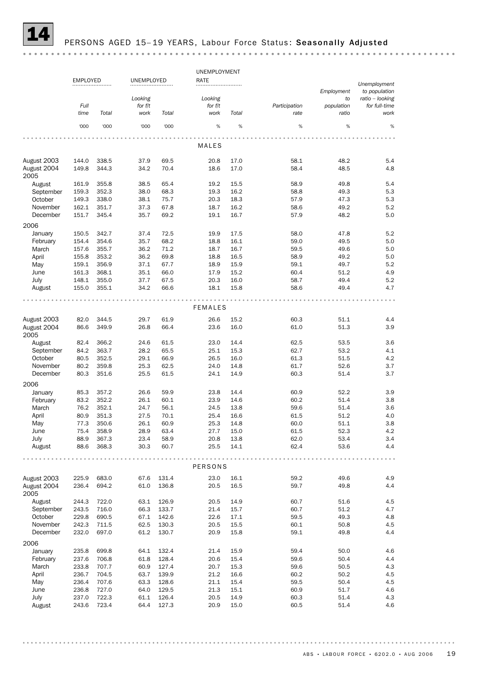

### PERSONS AGED 15-19 YEARS, Labour Force Status: Seasonally Adjusted

UNEMPLOYMENT EMPLOYED UNEMPLOYED RATE *Unemployment Employment to population Looking ratio – looking Looking to Full for f/t for f/t Participation population for full-time time Total work Total work Total rate ratio work* '000 '000 '000 '000 % % % % % MALES August 2003 144.0 338.5 37.9 69.5 20.8 17.0 58.1 48.2 5.4 August 2004 149.8 344.3 34.2 70.4 18.6 17.0 58.4 48.5 4.8 2005 August 161.9 355.8 38.5 65.4 19.2 15.5 58.9 49.8 5.4 September 159.3 352.3 38.0 68.3 19.3 16.2 58.8 49.3 5.3 October 149.3 338.0 38.1 75.7 20.3 18.3 57.9 47.3 5.3 November 162.1 351.7 37.3 67.8 18.7 16.2 58.6 49.2 5.2 December 151.7 345.4 35.7 69.2 19.1 16.7 57.9 48.2 5.0 2006 January 150.5 342.7 37.4 72.5 19.9 17.5 58.0 47.8 5.2 February 154.4 354.6 35.7 68.2 18.8 16.1 59.0 49.5 5.0 March 157.6 355.7 36.2 71.2 18.7 16.7 59.5 49.6 5.0 April 155.8 353.2 36.2 69.8 18.8 16.5 58.9 49.2 5.0 May 159.1 356.9 37.1 67.7 18.9 15.9 59.1 49.7 5.2<br>
June 161.3 368.1 35.1 66.0 17.9 15.2 60.4 51.2 4.9 June 161.3 368.1 35.1 66.0 17.9 15.2 60.4 51.2 4.9 July 148.1 355.0 37.7 67.5 20.3 16.0 58.7 49.4 5.2 August 155.0 355.1 34.2 66.6 18.1 15.8 58.6 49.4 4.7  $\overline{a}$ FEMALES August 2003 82.0 344.5 29.7 61.9 26.6 15.2 60.3 51.1 4.4 August 2004 86.6 349.9 26.8 66.4 23.6 16.0 61.0 51.3 3.9 2005 August 82.4 366.2 24.6 61.5 23.0 14.4 62.5 53.5 3.6 September 84.2 363.7 28.2 65.5 25.1 15.3 62.7 53.2 4.1 0ctober 80.5 352.5 29.1 66.9 26.5 16.0 61.3 51.5 4.2 November 80.2 359.8 25.3 62.5 24.0 14.8 61.7 52.6 3.7 December 80.3 351.6 25.5 61.5 24.1 14.9 60.3 51.4 3.7 2006 January 85.3 357.2 26.6 59.9 23.8 14.4 60.9 52.2 3.9 February 83.2 352.2 26.1 60.1 23.9 14.6 60.2 51.4 3.8 March 76.2 352.1 24.7 56.1 24.5 13.8 59.6 51.4 3.6 April 80.9 351.3 27.5 70.1 25.4 16.6 61.5 51.2 4.0 May 77.3 350.6 26.1 60.9 25.3 14.8 60.0 51.1 3.8 June 75.4 358.9 28.9 63.4 27.7 15.0 61.5 52.3 4.2 July 88.9 367.3 23.4 58.9 20.8 13.8 62.0 53.4 3.4 August 88.6 368.3 30.3 60.7 25.5 14.1 62.4 53.6 4.4 . . . . . . . . . . . . . . . . . . . . . . . . . . . . . . PERSONS August 2003 225.9 683.0 67.6 131.4 23.0 16.1 59.2 49.6 4.9 August 2004 236.4 694.2 61.0 136.8 20.5 16.5 59.7 49.8 4.4 2005 August 244.3 722.0 63.1 126.9 20.5 14.9 60.7 51.6 4.5 September 243.5 716.0 66.3 133.7 21.4 15.7 60.7 51.2 4.7 October 229.8 690.5 67.1 142.6 22.6 17.1 59.5 49.3 4.8 November 242.3 711.5 62.5 130.3 20.5 15.5 60.1 50.8 4.5 December 232.0 697.0 61.2 130.7 20.9 15.8 59.1 49.8 4.4 2006 January 235.8 699.8 64.1 132.4 21.4 15.9 59.4 50.0 4.6 February 237.6 706.8 61.8 128.4 20.6 15.4 59.6 50.4 4.4 March 233.8 707.7 60.9 127.4 20.7 15.3 59.6 50.5 4.3 April 236.7 704.5 63.7 139.9 21.2 16.6 60.2 50.2 4.5 May 236.4 707.6 63.3 128.6 21.1 15.4 59.5 50.4 4.5 June 236.8 727.0 64.0 129.5 21.3 15.1 60.9 51.7 4.6 July 237.0 722.3 61.1 126.4 20.5 14.9 60.3 51.4 4.3 August 243.6 723.4 64.4 127.3 20.9 15.0 60.5 51.4 4.6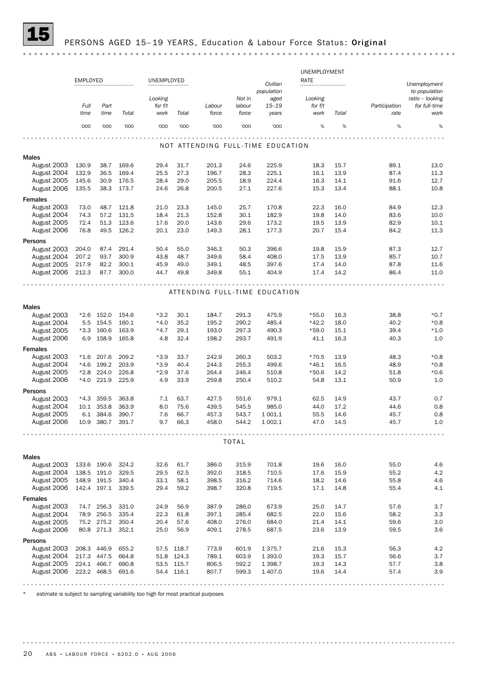

|                            |                 |                            |                |              |                          |                |                |                                   | UNEMPLOYMENT |              |               |                 |  |  |
|----------------------------|-----------------|----------------------------|----------------|--------------|--------------------------|----------------|----------------|-----------------------------------|--------------|--------------|---------------|-----------------|--|--|
|                            | <b>EMPLOYED</b> |                            |                | UNEMPLOYED   |                          |                |                | Civilian                          | RATE         |              |               | Unemployment    |  |  |
|                            |                 |                            |                |              |                          |                |                | population                        |              |              |               | to population   |  |  |
|                            |                 |                            |                | Looking      |                          |                | Not in         | aged                              | Looking      |              |               | ratio - looking |  |  |
|                            | Full            | Part                       |                | for f/t      |                          | Labour         | labour         | $15 - 19$                         | for f/t      |              | Participation | for full-time   |  |  |
|                            | time            | time                       | Total          | work         | Total                    | force          | force          | years                             | work         | Total        | rate          | work            |  |  |
|                            | '000            | '000                       | '000           | '000         | '000                     | '000           | '000           | '000                              | $\%$         | %            | %             | %               |  |  |
|                            |                 |                            |                |              |                          |                |                |                                   |              |              |               |                 |  |  |
|                            |                 |                            |                |              |                          |                |                | NOT ATTENDING FULL-TIME EDUCATION |              |              |               |                 |  |  |
| Males                      |                 |                            |                |              |                          |                |                |                                   |              |              |               |                 |  |  |
| August 2003                | 130.9           | 38.7                       | 169.6          | 29.4         | 31.7                     | 201.3          | 24.6           | 225.9                             | 18.3         | 15.7         | 89.1          | 13.0            |  |  |
| August 2004                | 132.9           | 36.5                       | 169.4          | 25.5         | 27.3                     | 196.7          | 28.3           | 225.1                             | 16.1         | 13.9         | 87.4          | 11.3            |  |  |
| August 2005                | 145.6           | 30.9                       | 176.5          | 28.4         | 29.0                     | 205.5          | 18.9           | 224.4                             | 16.3         | 14.1         | 91.6          | 12.7            |  |  |
| August 2006                | 135.5           | 38.3                       | 173.7          | 24.6         | 26.8                     | 200.5          | 27.1           | 227.6                             | 15.3         | 13.4         | 88.1          | 10.8            |  |  |
| <b>Females</b>             |                 |                            |                |              |                          |                |                |                                   |              |              |               |                 |  |  |
| August 2003                | 73.0            | 48.7                       | 121.8          | 21.0         | 23.3                     | 145.0          | 25.7           | 170.8                             | 22.3         | 16.0         | 84.9          | 12.3            |  |  |
| August 2004                | 74.3            | 57.2                       | 131.5          | 18.4         | 21.3                     | 152.8          | 30.1           | 182.9                             | 19.8         | 14.0         | 83.6          | 10.0            |  |  |
| August 2005                | 72.4            | 51.3                       | 123.6          | 17.6         | 20.0                     | 143.6          | 29.6           | 173.2                             | 19.5         | 13.9         | 82.9          | 10.1            |  |  |
| August 2006                | 76.8            | 49.5                       | 126.2          | 20.1         | 23.0                     | 149.3          | 28.1           | 177.3                             | 20.7         | 15.4         | 84.2          | 11.3            |  |  |
| Persons                    |                 |                            |                |              |                          |                |                |                                   |              |              |               |                 |  |  |
| August 2003                | 204.0           | 87.4                       | 291.4          | 50.4         | 55.0                     | 346.3          | 50.3           | 396.6                             | 19.8         | 15.9         | 87.3          | 12.7            |  |  |
| August 2004                | 207.2           | 93.7                       | 300.9          | 43.8         | 48.7                     | 349.6          | 58.4           | 408.0                             | 17.5         | 13.9         | 85.7          | 10.7            |  |  |
| August 2005                | 217.9           | 82.2                       | 300.1          | 45.9         | 49.0                     | 349.1          | 48.5           | 397.6                             | 17.4         | 14.0         | 87.8          | 11.6            |  |  |
| August 2006                | 212.3           | 87.7                       | 300.0          | 44.7         | 49.8                     | 349.8          | 55.1           | 404.9                             | 17.4         | 14.2         | 86.4          | 11.0            |  |  |
|                            |                 |                            |                |              |                          |                |                |                                   |              |              |               |                 |  |  |
|                            |                 |                            |                |              |                          |                |                | ATTENDING FULL-TIME EDUCATION     |              |              |               |                 |  |  |
|                            |                 |                            |                |              |                          |                |                |                                   |              |              |               |                 |  |  |
| Males                      |                 |                            |                |              |                          |                |                |                                   |              |              |               |                 |  |  |
| August 2003                |                 | *2.6 152.0                 | 154.6          | $*3.2$       | 30.1                     | 184.7          | 291.3          | 475.9                             | $*55.0$      | 16.3         | 38.8          | $*0.7$          |  |  |
| August 2004                | 5.5             | 154.5                      | 160.1          | $*4.0$       | 35.2                     | 195.2          | 290.2          | 485.4                             | $*42.2$      | 18.0         | 40.2          | $*0.8$          |  |  |
| August 2005                | *3.3            | 160.6                      | 163.9          | $*4.7$       | 29.1                     | 193.0          | 297.3          | 490.3                             | $*59.0$      | 15.1         | 39.4          | $*1.0$          |  |  |
| August 2006                | 6.9             | 158.9                      | 165.8          | 4.8          | 32.4                     | 198.2          | 293.7          | 491.9                             | 41.1         | 16.3         | 40.3          | 1.0             |  |  |
| <b>Females</b>             |                 |                            |                |              |                          |                |                |                                   |              |              |               |                 |  |  |
| August 2003                | $*1.6$          | 207.6                      | 209.2          | $*3.9$       | 33.7                     | 242.9          | 260.3          | 503.2                             | $*70.5$      | 13.9         | 48.3          | $*0.8$          |  |  |
| August 2004                | *4.6            | 199.2                      | 203.9          | $*3.9$       | 40.4                     | 244.3          | 255.3          | 499.6                             | $*46.1$      | 16.5         | 48.9          | $*0.8$          |  |  |
| August 2005                | $*2.8$          | 224.0                      | 226.8          | $*2.9$       | 37.6                     | 264.4          | 246.4          | 510.8                             | $*50.6$      | 14.2         | 51.8          | $*0.6$          |  |  |
| August 2006                | *4.0            | 221.9                      | 225.9          | 4.9          | 33.9                     | 259.8          | 250.4          | 510.2                             | 54.8         | 13.1         | 50.9          | 1.0             |  |  |
| Persons                    |                 |                            |                |              |                          |                |                |                                   |              |              |               |                 |  |  |
| August 2003                | $*4.3$          | 359.5                      | 363.8          | 7.1          | 63.7                     | 427.5          | 551.6          | 979.1                             | 62.5         | 14.9         | 43.7          | 0.7             |  |  |
| August 2004                |                 | 10.1 353.8                 | 363.9          | 8.0          | 75.6                     | 439.5          | 545.5          | 985.0                             | 44.0         | 17.2         | 44.6          | 0.8             |  |  |
| August 2005                | 6.1             | 384.6                      | 390.7          | 7.6          | 66.7                     | 457.3          | 543.7          | 1 001.1                           | 55.5         | 14.6         | 45.7          | 0.8             |  |  |
| August 2006                | 10.9            | 380.7                      | 391.7          | 9.7          | 66.3                     | 458.0          | 544.2          | 1 0 0 2.1                         | 47.0         | 14.5         | 45.7          | 1.0             |  |  |
|                            |                 |                            |                |              |                          |                |                |                                   |              |              |               |                 |  |  |
|                            |                 |                            |                |              |                          |                | <b>TOTAL</b>   |                                   |              |              |               |                 |  |  |
| Males                      |                 |                            |                |              |                          |                |                |                                   |              |              |               |                 |  |  |
| August 2003                |                 | 133.6 190.6                | 324.2          | 32.6         | 61.7                     | 386.0          | 315.9          | 701.8                             | 19.6         | 16.0         | 55.0          | 4.6             |  |  |
| August 2004                |                 | 138.5 191.0                | 329.5          | 29.5         | 62.5                     | 392.0          | 318.5          | 710.5                             | 17.6         | 15.9         | 55.2          | 4.2             |  |  |
| August 2005                |                 | 148.9 191.5                | 340.4          | 33.1         | 58.1                     | 398.5          | 316.2          | 714.6                             | 18.2         | 14.6         | 55.8          | 4.6             |  |  |
| August 2006                |                 | 142.4 197.1 339.5          |                | 29.4         | 59.2                     | 398.7          | 320.8          | 719.5                             | 17.1         | 14.8         | 55.4          | 4.1             |  |  |
|                            |                 |                            |                |              |                          |                |                |                                   |              |              |               |                 |  |  |
| <b>Females</b>             |                 |                            |                |              |                          |                |                |                                   |              |              |               |                 |  |  |
| August 2003                |                 | 74.7 256.3                 | 331.0          | 24.9         | 56.9<br>61.8             | 387.9          | 286.0          | 673.9                             | 25.0         | 14.7         | 57.6<br>58.2  | 3.7             |  |  |
| August 2004<br>August 2005 | 78.9            | 256.5<br>75.2 275.2        | 335.4<br>350.4 | 22.3<br>20.4 | 57.6                     | 397.1<br>408.0 | 285.4<br>276.0 | 682.5<br>684.0                    | 22.0<br>21.4 | 15.6<br>14.1 | 59.6          | 3.3<br>3.0      |  |  |
| August 2006                |                 | 80.8 271.3                 | 352.1          | 25.0         | 56.9                     | 409.1          | 278.5          | 687.5                             | 23.6         | 13.9         | 59.5          | 3.6             |  |  |
|                            |                 |                            |                |              |                          |                |                |                                   |              |              |               |                 |  |  |
| Persons                    |                 |                            |                |              |                          |                |                |                                   |              |              |               |                 |  |  |
| August 2003                |                 | 208.3 446.9                | 655.2          | 57.5         | 118.7                    | 773.9          | 601.9          | 1 3 7 5 . 7                       | 21.6         | 15.3         | 56.3          | 4.2             |  |  |
| August 2004<br>August 2005 |                 | 217.3 447.5<br>224.1 466.7 | 664.8<br>690.8 |              | 51.8 124.3<br>53.5 115.7 | 789.1<br>806.5 | 603.9<br>592.2 | 1 3 9 3 . 0<br>1 3 9 8.7          | 19.3         | 15.7<br>14.3 | 56.6          | 3.7<br>3.8      |  |  |
| August 2006                |                 | 223.2 468.5                | 691.6          |              | 54.4 116.1               | 807.7          | 599.3          | 1 407.0                           | 19.3<br>19.6 | 14.4         | 57.7<br>57.4  | 3.9             |  |  |
|                            |                 |                            |                |              |                          |                |                |                                   |              |              |               |                 |  |  |
|                            |                 |                            |                |              |                          |                |                |                                   |              |              |               |                 |  |  |

\* estimate is subject to sampling variability too high for most practical purposes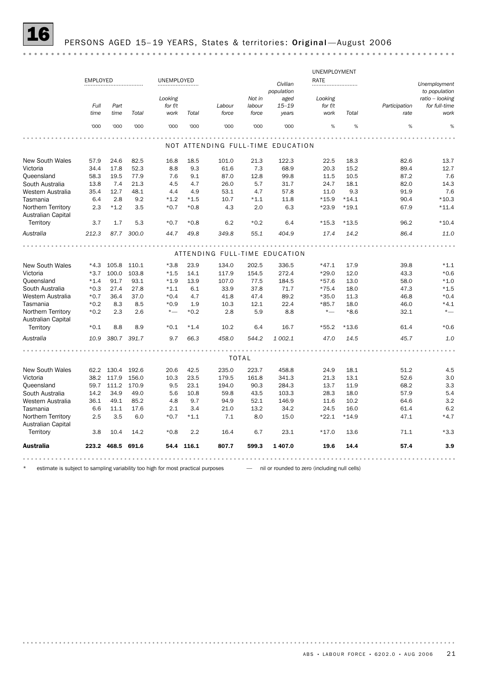# PERSONS AGED 15-19 YEARS, States & territories: Original-August 2006

|                                                 |                 |              |            |            |            |                                   |              |            | UNEMPLOYMENT |         |               |                 |
|-------------------------------------------------|-----------------|--------------|------------|------------|------------|-----------------------------------|--------------|------------|--------------|---------|---------------|-----------------|
|                                                 | <b>EMPLOYED</b> |              |            | UNEMPLOYED |            |                                   |              | Civilian   | RATE         |         |               | Unemployment    |
|                                                 |                 |              |            |            |            |                                   |              | population |              |         |               | to population   |
|                                                 |                 |              |            | Looking    |            |                                   | Not in       | aged       | Looking      |         |               | ratio - looking |
|                                                 | Full            | Part         |            | for $f/t$  |            | Labour                            | labour       | $15 - 19$  | for f/t      |         | Participation | for full-time   |
|                                                 | time            | time         | Total      | work       | Total      | force                             | force        | years      | work         | Total   | rate          | work            |
|                                                 | '000            | '000         | '000       | '000       | '000       | '000                              | '000         | '000       | %            | %       | %             | %               |
|                                                 |                 |              |            |            |            | NOT ATTENDING FULL-TIME EDUCATION |              |            |              |         |               |                 |
|                                                 |                 |              |            |            |            |                                   |              |            |              |         |               |                 |
| <b>New South Wales</b>                          | 57.9            | 24.6         | 82.5       | 16.8       | 18.5       | 101.0                             | 21.3         | 122.3      | 22.5         | 18.3    | 82.6          | 13.7            |
| Victoria                                        | 34.4            | 17.8         | 52.3       | 8.8        | 9.3        | 61.6                              | 7.3          | 68.9       | 20.3         | 15.2    | 89.4          | 12.7            |
| Queensland                                      | 58.3            | 19.5         | 77.9       | 7.6        | 9.1        | 87.0                              | 12.8         | 99.8       | 11.5         | 10.5    | 87.2          | 7.6             |
| South Australia                                 | 13.8            | 7.4          | 21.3       | 4.5        | 4.7        | 26.0                              | 5.7          | 31.7       | 24.7         | 18.1    | 82.0          | 14.3            |
| Western Australia                               | 35.4            | 12.7         | 48.1       | 4.4        | 4.9        | 53.1                              | 4.7          | 57.8       | 11.0         | 9.3     | 91.9          | 7.6             |
| Tasmania                                        | 6.4             | 2.8          | 9.2        | $*1.2$     | $*1.5$     | 10.7                              | $*1.1$       | 11.8       | $*15.9$      | $*14.1$ | 90.4          | $*10.3$         |
| Northern Territory<br><b>Australian Capital</b> | 2.3             | $*1.2$       | 3.5        | $*0.7$     | $*0.8$     | 4.3                               | 2.0          | 6.3        | $*23.9$      | $*19.1$ | 67.9          | $*11.4$         |
| Territory                                       | 3.7             | 1.7          | 5.3        | $*0.7$     | $*0.8$     | 6.2                               | $*0.2$       | 6.4        | $*15.3$      | $*13.5$ | 96.2          | $*10.4$         |
| Australia                                       | 212.3           |              | 87.7 300.0 | 44.7       | 49.8       | 349.8                             | 55.1         | 404.9      | 17.4         | 14.2    | 86.4          | 11.0            |
|                                                 |                 |              |            |            |            |                                   |              |            |              |         |               |                 |
|                                                 |                 |              |            |            |            | ATTENDING FULL-TIME EDUCATION     |              |            |              |         |               |                 |
| <b>New South Wales</b>                          |                 | $*4.3$ 105.8 | 110.1      | $*3.8$     | 23.9       | 134.0                             | 202.5        | 336.5      | $*47.1$      | 17.9    | 39.8          | $*1.1$          |
| Victoria                                        | $*3.7$          | 100.0        | 103.8      | $*1.5$     | 14.1       | 117.9                             | 154.5        | 272.4      | $*29.0$      | 12.0    | 43.3          | $*0.6$          |
| Queensland                                      | $*1.4$          | 91.7         | 93.1       | $*1.9$     | 13.9       | 107.0                             | 77.5         | 184.5      | $*57.6$      | 13.0    | 58.0          | $*1.0$          |
| South Australia                                 | $*0.3$          | 27.4         | 27.8       | $*1.1$     | 6.1        | 33.9                              | 37.8         | 71.7       | $*75.4$      | 18.0    | 47.3          | $*1.5$          |
| Western Australia                               | $*0.7$          | 36.4         | 37.0       | $*0.4$     | 4.7        | 41.8                              | 47.4         | 89.2       | $*35.0$      | 11.3    | 46.8          | $*0.4$          |
| Tasmania                                        | $*0.2$          | 8.3          | 8.5        | $*0.9$     | 1.9        | 10.3                              | 12.1         | 22.4       | $*85.7$      | 18.0    | 46.0          | $*4.1$          |
| Northern Territory                              | $*0.2$          | 2.3          | 2.6        | $*$ —      | $*0.2$     | 2.8                               | 5.9          | 8.8        | $*$ —        | $*8.6$  | 32.1          | $*_{-}$         |
| Australian Capital                              |                 |              |            |            |            |                                   |              |            |              |         |               |                 |
| Territory                                       | $*0.1$          | 8.8          | 8.9        | $*0.1$     | $*1.4$     | 10.2                              | 6.4          | 16.7       | $*55.2$      | $*13.6$ | 61.4          | $*0.6$          |
| Australia                                       | 10.9            | 380.7        | 391.7      | 9.7        | 66.3       | 458.0                             | 544.2        | 1 002.1    | 47.0         | 14.5    | 45.7          | 1.0             |
|                                                 |                 |              |            |            |            |                                   |              |            |              |         |               |                 |
|                                                 |                 |              |            |            |            |                                   | <b>TOTAL</b> |            |              |         |               |                 |
| <b>New South Wales</b>                          |                 | 62.2 130.4   | 192.6      | 20.6       | 42.5       | 235.0                             | 223.7        | 458.8      | 24.9         | 18.1    | 51.2          | 4.5             |
| Victoria                                        | 38.2            | 117.9        | 156.0      | 10.3       | 23.5       | 179.5                             | 161.8        | 341.3      | 21.3         | 13.1    | 52.6          | 3.0             |
| Queensland                                      | 59.7            | 111.2        | 170.9      | 9.5        | 23.1       | 194.0                             | 90.3         | 284.3      | 13.7         | 11.9    | 68.2          | 3.3             |
| South Australia                                 | 14.2            | 34.9         | 49.0       | 5.6        | 10.8       | 59.8                              | 43.5         | 103.3      | 28.3         | 18.0    | 57.9          | 5.4             |
| Western Australia                               | 36.1            | 49.1         | 85.2       | 4.8        | 9.7        | 94.9                              | 52.1         | 146.9      | 11.6         | 10.2    | 64.6          | 3.2             |
| Tasmania                                        | 6.6             | 11.1         | 17.6       | 2.1        | 3.4        | 21.0                              | 13.2         | 34.2       | 24.5         | 16.0    | 61.4          | 6.2             |
| Northern Territory                              | 2.5             | 3.5          | 6.0        | $*0.7$     | $*1.1$     | 7.1                               | 8.0          | 15.0       | $*22.1$      | $*14.9$ | 47.1          | $*4.7$          |
| <b>Australian Capital</b><br>Territory          | 3.8             | 10.4         | 14.2       | $*0.8$     | 2.2        | 16.4                              | 6.7          | 23.1       | $*17.0$      | 13.6    | 71.1          | $*3.3$          |
| <b>Australia</b>                                |                 | 223.2 468.5  | 691.6      |            | 54.4 116.1 | 807.7                             | 599.3        | 1 407.0    | 19.6         | 14.4    | 57.4          | 3.9             |
|                                                 |                 |              |            |            |            |                                   |              |            |              |         |               |                 |

estimate is subject to sampling variability too high for most practical purposes  $-$  nil or rounded to zero (including null cells)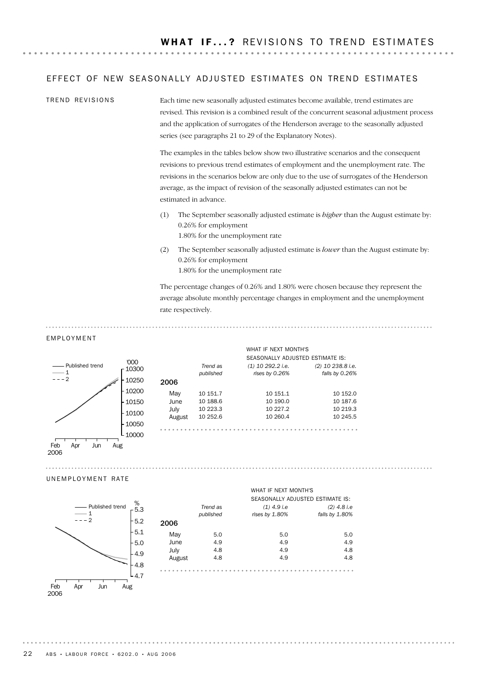### EFFECT OF NEW SEASONALLY ADJUSTED ESTIMATES ON TREND ESTIMATES

Each time new seasonally adjusted estimates become available, trend estimates are revised. This revision is a combined result of the concurrent seasonal adjustment process and the application of surrogates of the Henderson average to the seasonally adjusted series (see paragraphs 21 to 29 of the Explanatory Notes). TREND REVISIONS

> The examples in the tables below show two illustrative scenarios and the consequent revisions to previous trend estimates of employment and the unemployment rate. The revisions in the scenarios below are only due to the use of surrogates of the Henderson average, as the impact of revision of the seasonally adjusted estimates can not be estimated in advance.

- (1) The September seasonally adjusted estimate is *higher* than the August estimate by: 0.26% for employment 1.80% for the unemployment rate
- (2) The September seasonally adjusted estimate is *lower* than the August estimate by: 0.26% for employment 1.80% for the unemployment rate

The percentage changes of 0.26% and 1.80% were chosen because they represent the average absolute monthly percentage changes in employment and the unemployment rate respectively.

#### EMPLOYMENT



#### UNEMPLOYMENT RATE

2006



|        | Trend as  | $(1)$ 4.9 i.e  | $(2)$ 4.8 i.e  |
|--------|-----------|----------------|----------------|
|        | published | rises by 1.80% | falls by 1.80% |
| 06     |           |                |                |
| May    | 5.0       | 5.0            | 5.0            |
| June   | 4.9       | 4.9            | 4.9            |
| July   | 4.8       | 4.9            | 4.8            |
| August | 4.8       | 4.9            | 4.8            |
|        |           |                |                |

WHAT IF NEXT MONTH'S

SEASONALLY ADJUSTED ESTIMATE IS:

 $\sim$ 

22 ABS • LABOUR FORCE • 6202.0 • AUG 2006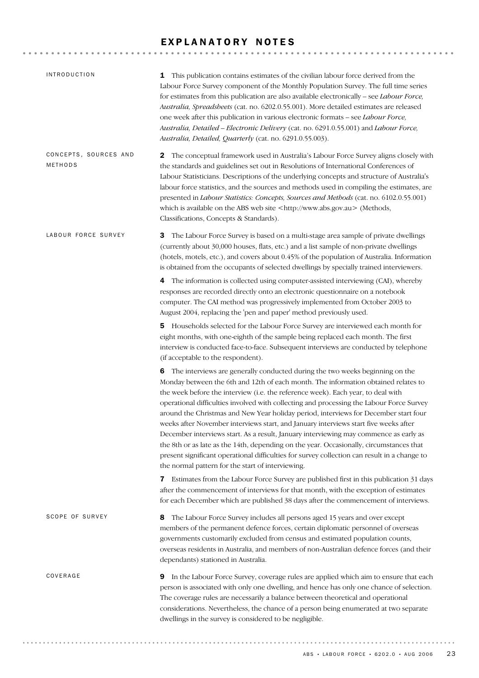# EXPLANATORY NOTES

| <b>INTRODUCTION</b>              | This publication contains estimates of the civilian labour force derived from the<br>1<br>Labour Force Survey component of the Monthly Population Survey. The full time series<br>for estimates from this publication are also available electronically - see Labour Force,<br>Australia, Spreadsheets (cat. no. 6202.0.55.001). More detailed estimates are released<br>one week after this publication in various electronic formats - see Labour Force,<br>Australia, Detailed - Electronic Delivery (cat. no. 6291.0.55.001) and Labour Force,<br>Australia, Detailed, Quarterly (cat. no. 6291.0.55.003).                                                                                                                                                                                                                                                                |
|----------------------------------|-------------------------------------------------------------------------------------------------------------------------------------------------------------------------------------------------------------------------------------------------------------------------------------------------------------------------------------------------------------------------------------------------------------------------------------------------------------------------------------------------------------------------------------------------------------------------------------------------------------------------------------------------------------------------------------------------------------------------------------------------------------------------------------------------------------------------------------------------------------------------------|
| CONCEPTS, SOURCES AND<br>METHODS | 2 The conceptual framework used in Australia's Labour Force Survey aligns closely with<br>the standards and guidelines set out in Resolutions of International Conferences of<br>Labour Statisticians. Descriptions of the underlying concepts and structure of Australia's<br>labour force statistics, and the sources and methods used in compiling the estimates, are<br>presented in Labour Statistics: Concepts, Sources and Methods (cat. no. 6102.0.55.001)<br>which is available on the ABS web site <http: www.abs.gov.au=""> (Methods,<br/>Classifications, Concepts &amp; Standards).</http:>                                                                                                                                                                                                                                                                      |
| LABOUR FORCE SURVEY              | The Labour Force Survey is based on a multi-stage area sample of private dwellings<br>3<br>(currently about 30,000 houses, flats, etc.) and a list sample of non-private dwellings<br>(hotels, motels, etc.), and covers about 0.45% of the population of Australia. Information<br>is obtained from the occupants of selected dwellings by specially trained interviewers.                                                                                                                                                                                                                                                                                                                                                                                                                                                                                                   |
|                                  | 4 The information is collected using computer-assisted interviewing (CAI), whereby<br>responses are recorded directly onto an electronic questionnaire on a notebook<br>computer. The CAI method was progressively implemented from October 2003 to<br>August 2004, replacing the 'pen and paper' method previously used.                                                                                                                                                                                                                                                                                                                                                                                                                                                                                                                                                     |
|                                  | 5 Households selected for the Labour Force Survey are interviewed each month for<br>eight months, with one-eighth of the sample being replaced each month. The first<br>interview is conducted face-to-face. Subsequent interviews are conducted by telephone<br>(if acceptable to the respondent).                                                                                                                                                                                                                                                                                                                                                                                                                                                                                                                                                                           |
|                                  | 6 The interviews are generally conducted during the two weeks beginning on the<br>Monday between the 6th and 12th of each month. The information obtained relates to<br>the week before the interview (i.e. the reference week). Each year, to deal with<br>operational difficulties involved with collecting and processing the Labour Force Survey<br>around the Christmas and New Year holiday period, interviews for December start four<br>weeks after November interviews start, and January interviews start five weeks after<br>December interviews start. As a result, January interviewing may commence as early as<br>the 8th or as late as the 14th, depending on the year. Occasionally, circumstances that<br>present significant operational difficulties for survey collection can result in a change to<br>the normal pattern for the start of interviewing. |
|                                  | <b>7</b> Estimates from the Labour Force Survey are published first in this publication 31 days<br>after the commencement of interviews for that month, with the exception of estimates<br>for each December which are published 38 days after the commencement of interviews.                                                                                                                                                                                                                                                                                                                                                                                                                                                                                                                                                                                                |
| SCOPE OF SURVEY                  | The Labour Force Survey includes all persons aged 15 years and over except<br>8<br>members of the permanent defence forces, certain diplomatic personnel of overseas<br>governments customarily excluded from census and estimated population counts,<br>overseas residents in Australia, and members of non-Australian defence forces (and their<br>dependants) stationed in Australia.                                                                                                                                                                                                                                                                                                                                                                                                                                                                                      |
| COVERAGE                         | <b>9</b> In the Labour Force Survey, coverage rules are applied which aim to ensure that each<br>person is associated with only one dwelling, and hence has only one chance of selection.<br>The coverage rules are necessarily a balance between theoretical and operational<br>considerations. Nevertheless, the chance of a person being enumerated at two separate<br>dwellings in the survey is considered to be negligible.                                                                                                                                                                                                                                                                                                                                                                                                                                             |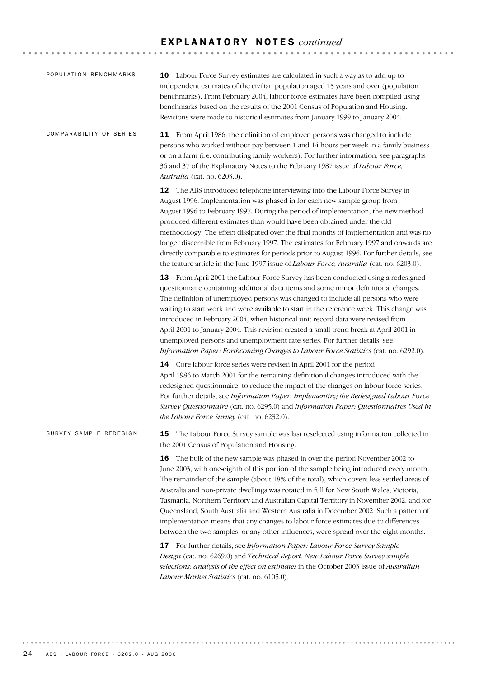## E X P L A N A T O R Y N O T E S *continued*

| POPULATION BENCHMARKS   | 10 Labour Force Survey estimates are calculated in such a way as to add up to<br>independent estimates of the civilian population aged 15 years and over (population<br>benchmarks). From February 2004, labour force estimates have been compiled using<br>benchmarks based on the results of the 2001 Census of Population and Housing.<br>Revisions were made to historical estimates from January 1999 to January 2004.                                                                                                                                                                                                                                                                                                                                                                                                                                                                  |  |  |  |  |  |  |  |  |  |
|-------------------------|----------------------------------------------------------------------------------------------------------------------------------------------------------------------------------------------------------------------------------------------------------------------------------------------------------------------------------------------------------------------------------------------------------------------------------------------------------------------------------------------------------------------------------------------------------------------------------------------------------------------------------------------------------------------------------------------------------------------------------------------------------------------------------------------------------------------------------------------------------------------------------------------|--|--|--|--|--|--|--|--|--|
| COMPARABILITY OF SERIES | 11 From April 1986, the definition of employed persons was changed to include<br>persons who worked without pay between 1 and 14 hours per week in a family business<br>or on a farm (i.e. contributing family workers). For further information, see paragraphs<br>36 and 37 of the Explanatory Notes to the February 1987 issue of Labour Force,<br>Australia (cat. no. 6203.0).                                                                                                                                                                                                                                                                                                                                                                                                                                                                                                           |  |  |  |  |  |  |  |  |  |
|                         | 12 The ABS introduced telephone interviewing into the Labour Force Survey in<br>August 1996. Implementation was phased in for each new sample group from<br>August 1996 to February 1997. During the period of implementation, the new method<br>produced different estimates than would have been obtained under the old<br>methodology. The effect dissipated over the final months of implementation and was no<br>longer discernible from February 1997. The estimates for February 1997 and onwards are<br>directly comparable to estimates for periods prior to August 1996. For further details, see<br>the feature article in the June 1997 issue of <i>Labour Force</i> , <i>Australia</i> (cat. no. 6203.0).                                                                                                                                                                       |  |  |  |  |  |  |  |  |  |
|                         | 13 From April 2001 the Labour Force Survey has been conducted using a redesigned<br>questionnaire containing additional data items and some minor definitional changes.<br>The definition of unemployed persons was changed to include all persons who were<br>waiting to start work and were available to start in the reference week. This change was<br>introduced in February 2004, when historical unit record data were revised from<br>April 2001 to January 2004. This revision created a small trend break at April 2001 in<br>unemployed persons and unemployment rate series. For further details, see<br>Information Paper: Forthcoming Changes to Labour Force Statistics (cat. no. 6292.0).                                                                                                                                                                                    |  |  |  |  |  |  |  |  |  |
|                         | 14 Core labour force series were revised in April 2001 for the period<br>April 1986 to March 2001 for the remaining definitional changes introduced with the<br>redesigned questionnaire, to reduce the impact of the changes on labour force series.<br>For further details, see Information Paper: Implementing the Redesigned Labour Force<br>Survey Questionnaire (cat. no. 6295.0) and Information Paper: Questionnaires Used in<br>the Labour Force Survey (cat. no. 6232.0).                                                                                                                                                                                                                                                                                                                                                                                                          |  |  |  |  |  |  |  |  |  |
| SURVEY SAMPLE REDESIGN  | The Labour Force Survey sample was last reselected using information collected in<br>15<br>the 2001 Census of Population and Housing.                                                                                                                                                                                                                                                                                                                                                                                                                                                                                                                                                                                                                                                                                                                                                        |  |  |  |  |  |  |  |  |  |
|                         | 16 The bulk of the new sample was phased in over the period November 2002 to<br>June 2003, with one-eighth of this portion of the sample being introduced every month.<br>The remainder of the sample (about 18% of the total), which covers less settled areas of<br>Australia and non-private dwellings was rotated in full for New South Wales, Victoria,<br>Tasmania, Northern Territory and Australian Capital Territory in November 2002, and for<br>Queensland, South Australia and Western Australia in December 2002. Such a pattern of<br>implementation means that any changes to labour force estimates due to differences<br>between the two samples, or any other influences, were spread over the eight months.<br>17 For further details, see Information Paper: Labour Force Survey Sample<br>Design (cat. no. 6269.0) and Technical Report: New Labour Force Survey sample |  |  |  |  |  |  |  |  |  |
|                         | selections: analysis of the effect on estimates in the October 2003 issue of Australian<br>Labour Market Statistics (cat. no. 6105.0).                                                                                                                                                                                                                                                                                                                                                                                                                                                                                                                                                                                                                                                                                                                                                       |  |  |  |  |  |  |  |  |  |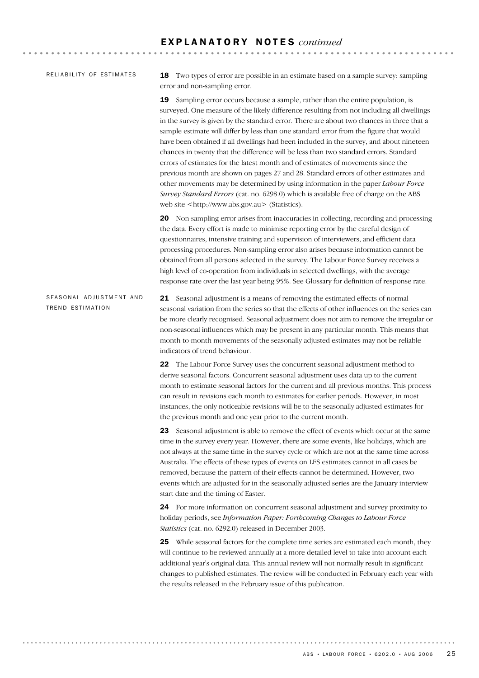### RELIABILITY OF ESTIMATES

18 Two types of error are possible in an estimate based on a sample survey: sampling error and non-sampling error.

19 Sampling error occurs because a sample, rather than the entire population, is surveyed. One measure of the likely difference resulting from not including all dwellings in the survey is given by the standard error. There are about two chances in three that a sample estimate will differ by less than one standard error from the figure that would have been obtained if all dwellings had been included in the survey, and about nineteen chances in twenty that the difference will be less than two standard errors. Standard errors of estimates for the latest month and of estimates of movements since the previous month are shown on pages 27 and 28. Standard errors of other estimates and other movements may be determined by using information in the paper *Labour Force Survey Standard Errors* (cat. no. 6298.0) which is available free of charge on the ABS web site <http://www.abs.gov.au> (Statistics).

20 Non-sampling error arises from inaccuracies in collecting, recording and processing the data. Every effort is made to minimise reporting error by the careful design of questionnaires, intensive training and supervision of interviewers, and efficient data processing procedures. Non-sampling error also arises because information cannot be obtained from all persons selected in the survey. The Labour Force Survey receives a high level of co-operation from individuals in selected dwellings, with the average response rate over the last year being 95%. See Glossary for definition of response rate.

21 Seasonal adjustment is a means of removing the estimated effects of normal seasonal variation from the series so that the effects of other influences on the series can be more clearly recognised. Seasonal adjustment does not aim to remove the irregular or non-seasonal influences which may be present in any particular month. This means that month-to-month movements of the seasonally adjusted estimates may not be reliable indicators of trend behaviour. SEASONAL ADJUSTMENT AND TREND ESTIMATION

> 22 The Labour Force Survey uses the concurrent seasonal adjustment method to derive seasonal factors. Concurrent seasonal adjustment uses data up to the current month to estimate seasonal factors for the current and all previous months. This process can result in revisions each month to estimates for earlier periods. However, in most instances, the only noticeable revisions will be to the seasonally adjusted estimates for the previous month and one year prior to the current month.

> 23 Seasonal adjustment is able to remove the effect of events which occur at the same time in the survey every year. However, there are some events, like holidays, which are not always at the same time in the survey cycle or which are not at the same time across Australia. The effects of these types of events on LFS estimates cannot in all cases be removed, because the pattern of their effects cannot be determined. However, two events which are adjusted for in the seasonally adjusted series are the January interview start date and the timing of Easter.

24 For more information on concurrent seasonal adjustment and survey proximity to holiday periods, see *Information Paper: Forthcoming Changes to Labour Force Statistics* (cat. no. 6292.0) released in December 2003.

25 While seasonal factors for the complete time series are estimated each month, they will continue to be reviewed annually at a more detailed level to take into account each additional year's original data. This annual review will not normally result in significant changes to published estimates. The review will be conducted in February each year with the results released in the February issue of this publication.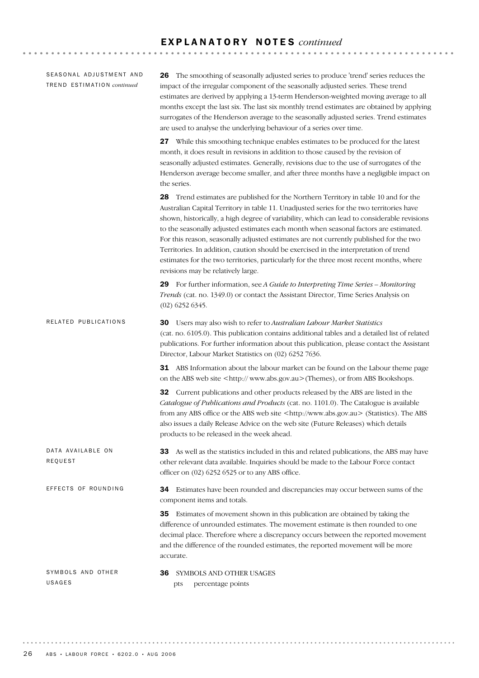### E X P L A N A T O R Y N O T E S *continued*

36 SYMBOLS AND OTHER USAGES pts percentage points SYMBOLS AND OTHER USAGES 34 Estimates have been rounded and discrepancies may occur between sums of the component items and totals. 35 Estimates of movement shown in this publication are obtained by taking the difference of unrounded estimates. The movement estimate is then rounded to one decimal place. Therefore where a discrepancy occurs between the reported movement and the difference of the rounded estimates, the reported movement will be more accurate. EFFECTS OF ROUNDING 33 As well as the statistics included in this and related publications, the ABS may have other relevant data available. Inquiries should be made to the Labour Force contact officer on (02) 6252 6525 or to any ABS office. DATA AVAILABLE ON REQUEST 30 Users may also wish to refer to *Australian Labour Market Statistics* (cat. no. 6105.0). This publication contains additional tables and a detailed list of related publications. For further information about this publication, please contact the Assistant Director, Labour Market Statistics on (02) 6252 7636. **31** ABS Information about the labour market can be found on the Labour theme page on the ABS web site <http:// www.abs.gov.au>(Themes), or from ABS Bookshops. 32 Current publications and other products released by the ABS are listed in the *Catalogue of Publications and Products* (cat. no. 1101.0). The Catalogue is available from any ABS office or the ABS web site <http://www.abs.gov.au> (Statistics). The ABS also issues a daily Release Advice on the web site (Future Releases) which details products to be released in the week ahead. RELATED PUBLICATIONS 26 The smoothing of seasonally adjusted series to produce 'trend' series reduces the impact of the irregular component of the seasonally adjusted series. These trend estimates are derived by applying a 13-term Henderson-weighted moving average to all months except the last six. The last six monthly trend estimates are obtained by applying surrogates of the Henderson average to the seasonally adjusted series. Trend estimates are used to analyse the underlying behaviour of a series over time. 27 While this smoothing technique enables estimates to be produced for the latest month, it does result in revisions in addition to those caused by the revision of seasonally adjusted estimates. Generally, revisions due to the use of surrogates of the Henderson average become smaller, and after three months have a negligible impact on the series. 28 Trend estimates are published for the Northern Territory in table 10 and for the Australian Capital Territory in table 11. Unadjusted series for the two territories have shown, historically, a high degree of variability, which can lead to considerable revisions to the seasonally adjusted estimates each month when seasonal factors are estimated. For this reason, seasonally adjusted estimates are not currently published for the two Territories. In addition, caution should be exercised in the interpretation of trend estimates for the two territories, particularly for the three most recent months, where revisions may be relatively large. 29 For further information, see *A Guide to Interpreting Time Series – Monitoring Trends* (cat. no. 1349.0) or contact the Assistant Director, Time Series Analysis on (02) 6252 6345. SEASONAL ADJUSTMENT AND TR E N D ES T I M A T I O N *continued*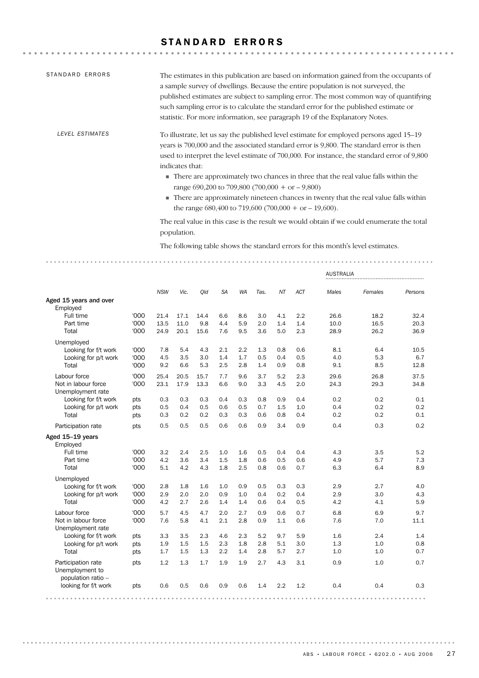# STANDARD ERRORS

| STANDARD ERRORS | The estimates in this publication are based on information gained from the occupants of<br>a sample survey of dwellings. Because the entire population is not surveyed, the<br>published estimates are subject to sampling error. The most common way of quantifying<br>such sampling error is to calculate the standard error for the published estimate or<br>statistic. For more information, see paragraph 19 of the Explanatory Notes.                                                                                                                                                            |
|-----------------|--------------------------------------------------------------------------------------------------------------------------------------------------------------------------------------------------------------------------------------------------------------------------------------------------------------------------------------------------------------------------------------------------------------------------------------------------------------------------------------------------------------------------------------------------------------------------------------------------------|
| LEVEL ESTIMATES | To illustrate, let us say the published level estimate for employed persons aged 15–19<br>years is 700,000 and the associated standard error is 9,800. The standard error is then<br>used to interpret the level estimate of 700,000. For instance, the standard error of 9,800<br>indicates that:<br>• There are approximately two chances in three that the real value falls within the<br>range 690,200 to 709,800 (700,000 + or $-9,800$ )<br>■ There are approximately nineteen chances in twenty that the real value falls within<br>the range $680,400$ to $719,600$ $(700,000 + or -19,600)$ . |
|                 | The real value in this case is the result we would obtain if we could enumerate the total<br>population.                                                                                                                                                                                                                                                                                                                                                                                                                                                                                               |
|                 | The following table shows the standard errors for this month's level estimates.                                                                                                                                                                                                                                                                                                                                                                                                                                                                                                                        |

|                                                             |      |            |      |      |           |           |      |     |            | <b>AUSTRALIA</b> |         |         |
|-------------------------------------------------------------|------|------------|------|------|-----------|-----------|------|-----|------------|------------------|---------|---------|
|                                                             |      | <b>NSW</b> | Vic. | Qld  | <b>SA</b> | <b>WA</b> | Tas. | NT  | <b>ACT</b> | Males            | Females | Persons |
| Aged 15 years and over<br>Employed                          |      |            |      |      |           |           |      |     |            |                  |         |         |
| Full time                                                   | '000 | 21.4       | 17.1 | 14.4 | 6.6       | 8.6       | 3.0  | 4.1 | 2.2        | 26.6             | 18.2    | 32.4    |
| Part time                                                   | '000 | 13.5       | 11.0 | 9.8  | 4.4       | 5.9       | 2.0  | 1.4 | 1.4        | 10.0             | 16.5    | 20.3    |
| Total                                                       | '000 | 24.9       | 20.1 | 15.6 | 7.6       | 9.5       | 3.6  | 5.0 | 2.3        | 28.9             | 26.2    | 36.9    |
| Unemployed                                                  |      |            |      |      |           |           |      |     |            |                  |         |         |
| Looking for f/t work                                        | '000 | 7.8        | 5.4  | 4.3  | 2.1       | 2.2       | 1.3  | 0.8 | 0.6        | 8.1              | 6.4     | 10.5    |
| Looking for p/t work                                        | '000 | 4.5        | 3.5  | 3.0  | 1.4       | 1.7       | 0.5  | 0.4 | 0.5        | 4.0              | 5.3     | 6.7     |
| Total                                                       | '000 | 9.2        | 6.6  | 5.3  | 2.5       | 2.8       | 1.4  | 0.9 | 0.8        | 9.1              | 8.5     | 12.8    |
| Labour force                                                | '000 | 25.4       | 20.5 | 15.7 | 7.7       | 9.6       | 3.7  | 5.2 | 2.3        | 29.6             | 26.8    | 37.5    |
| Not in labour force<br>Unemployment rate                    | '000 | 23.1       | 17.9 | 13.3 | 6.6       | 9.0       | 3.3  | 4.5 | 2.0        | 24.3             | 29.3    | 34.8    |
| Looking for f/t work                                        | pts  | 0.3        | 0.3  | 0.3  | 0.4       | 0.3       | 0.8  | 0.9 | 0.4        | 0.2              | 0.2     | 0.1     |
| Looking for p/t work                                        | pts  | 0.5        | 0.4  | 0.5  | 0.6       | 0.5       | 0.7  | 1.5 | 1.0        | 0.4              | 0.2     | 0.2     |
| Total                                                       | pts  | 0.3        | 0.2  | 0.2  | 0.3       | 0.3       | 0.6  | 0.8 | 0.4        | 0.2              | 0.2     | 0.1     |
| Participation rate                                          | pts  | 0.5        | 0.5  | 0.5  | 0.6       | 0.6       | 0.9  | 3.4 | 0.9        | 0.4              | 0.3     | 0.2     |
| Aged 15-19 years<br>Employed                                |      |            |      |      |           |           |      |     |            |                  |         |         |
| Full time                                                   | '000 | 3.2        | 2.4  | 2.5  | 1.0       | 1.6       | 0.5  | 0.4 | 0.4        | 4.3              | 3.5     | 5.2     |
| Part time                                                   | '000 | 4.2        | 3.6  | 3.4  | 1.5       | 1.8       | 0.6  | 0.5 | 0.6        | 4.9              | 5.7     | 7.3     |
| Total                                                       | '000 | 5.1        | 4.2  | 4.3  | 1.8       | 2.5       | 0.8  | 0.6 | 0.7        | 6.3              | 6.4     | 8.9     |
| Unemployed                                                  |      |            |      |      |           |           |      |     |            |                  |         |         |
| Looking for f/t work                                        | '000 | 2.8        | 1.8  | 1.6  | 1.0       | 0.9       | 0.5  | 0.3 | 0.3        | 2.9              | 2.7     | 4.0     |
| Looking for p/t work                                        | '000 | 2.9        | 2.0  | 2.0  | 0.9       | 1.0       | 0.4  | 0.2 | 0.4        | 2.9              | 3.0     | 4.3     |
| Total                                                       | '000 | 4.2        | 2.7  | 2.6  | 1.4       | 1.4       | 0.6  | 0.4 | 0.5        | 4.2              | 4.1     | 5.9     |
| Labour force                                                | '000 | 5.7        | 4.5  | 4.7  | 2.0       | 2.7       | 0.9  | 0.6 | 0.7        | 6.8              | 6.9     | 9.7     |
| Not in labour force<br>Unemployment rate                    | '000 | 7.6        | 5.8  | 4.1  | 2.1       | 2.8       | 0.9  | 1.1 | 0.6        | 7.6              | 7.0     | 11.1    |
| Looking for f/t work                                        | pts  | 3.3        | 3.5  | 2.3  | 4.6       | 2.3       | 5.2  | 9.7 | 5.9        | 1.6              | 2.4     | 1.4     |
| Looking for p/t work                                        | pts  | 1.9        | 1.5  | 1.5  | 2.3       | 1.8       | 2.8  | 5.1 | 3.0        | 1.3              | 1.0     | 0.8     |
| Total                                                       | pts  | 1.7        | 1.5  | 1.3  | 2.2       | 1.4       | 2.8  | 5.7 | 2.7        | 1.0              | 1.0     | 0.7     |
| Participation rate<br>Unemployment to<br>population ratio - | pts  | 1.2        | 1.3  | 1.7  | 1.9       | 1.9       | 2.7  | 4.3 | 3.1        | 0.9              | 1.0     | 0.7     |
| looking for f/t work                                        | pts  | 0.6        | 0.5  | 0.6  | 0.9       | 0.6       | 1.4  | 2.2 | 1.2        | 0.4              | 0.4     | 0.3     |
|                                                             |      |            |      |      |           |           |      |     |            |                  |         |         |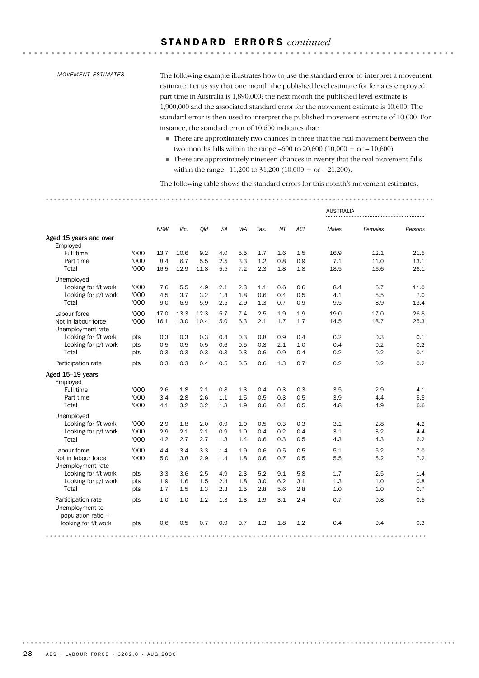### S T A N D A R D E R R O R S *continued*

### *MOVEMENT ESTIMATES*

The following example illustrates how to use the standard error to interpret a movement estimate. Let us say that one month the published level estimate for females employed part time in Australia is 1,890,000; the next month the published level estimate is 1,900,000 and the associated standard error for the movement estimate is 10,600. The standard error is then used to interpret the published movement estimate of 10,000. For instance, the standard error of 10,600 indicates that:

. . . . . . . . . . . . . . . .

- ! There are approximately two chances in three that the real movement between the two months falls within the range –600 to 20,600 (10,000 + or – 10,600)
- ! There are approximately nineteen chances in twenty that the real movement falls within the range –11,200 to 31,200 (10,000 + or – 21,200).

The following table shows the standard errors for this month's movement estimates.

|                                                             |            |            |            |            |            |            |            |            |            | <b>AUSTRALIA</b> |            |            |
|-------------------------------------------------------------|------------|------------|------------|------------|------------|------------|------------|------------|------------|------------------|------------|------------|
|                                                             |            | <b>NSW</b> | Vic.       | Qld        | <b>SA</b>  | <b>WA</b>  | Tas.       | <b>NT</b>  | <b>ACT</b> | Males            | Females    | Persons    |
| Aged 15 years and over<br>Employed                          |            |            |            |            |            |            |            |            |            |                  |            |            |
| Full time                                                   | '000       | 13.7       | 10.6       | 9.2        | 4.0        | 5.5        | 1.7        | 1.6        | 1.5        | 16.9             | 12.1       | 21.5       |
| Part time                                                   | '000       | 8.4        | 6.7        | 5.5        | 2.5        | 3.3        | 1.2        | 0.8        | 0.9        | 7.1              | 11.0       | 13.1       |
| Total                                                       | '000       | 16.5       | 12.9       | 11.8       | 5.5        | 7.2        | 2.3        | 1.8        | 1.8        | 18.5             | 16.6       | 26.1       |
| Unemployed                                                  |            |            |            |            |            |            |            |            |            |                  |            |            |
| Looking for f/t work                                        | '000       | 7.6        | 5.5        | 4.9        | 2.1        | 2.3        | 1.1        | 0.6        | 0.6        | 8.4              | 6.7        | 11.0       |
| Looking for p/t work                                        | '000       | 4.5        | 3.7        | 3.2        | 1.4        | 1.8        | 0.6        | 0.4        | 0.5        | 4.1              | 5.5        | 7.0        |
| Total                                                       | '000       | 9.0        | 6.9        | 5.9        | 2.5        | 2.9        | 1.3        | 0.7        | 0.9        | 9.5              | 8.9        | 13.4       |
| Labour force                                                | '000       | 17.0       | 13.3       | 12.3       | 5.7        | 7.4        | 2.5        | 1.9        | 1.9        | 19.0             | 17.0       | 26.8       |
| Not in labour force                                         | '000       | 16.1       | 13.0       | 10.4       | 5.0        | 6.3        | 2.1        | 1.7        | 1.7        | 14.5             | 18.7       | 25.3       |
| Unemployment rate                                           |            |            |            |            |            |            |            |            |            |                  |            |            |
| Looking for f/t work                                        | pts        | 0.3        | 0.3        | 0.3        | 0.4        | 0.3        | 0.8        | 0.9        | 0.4        | 0.2<br>0.4       | 0.3<br>0.2 | 0.1<br>0.2 |
| Looking for p/t work<br>Total                               | pts<br>pts | 0.5<br>0.3 | 0.5<br>0.3 | 0.5<br>0.3 | 0.6<br>0.3 | 0.5<br>0.3 | 0.8<br>0.6 | 2.1<br>0.9 | 1.0<br>0.4 | 0.2              | 0.2        | 0.1        |
|                                                             |            |            |            |            |            |            |            |            |            |                  |            |            |
| Participation rate                                          | pts        | 0.3        | 0.3        | 0.4        | 0.5        | 0.5        | 0.6        | 1.3        | 0.7        | 0.2              | 0.2        | 0.2        |
| Aged 15-19 years<br>Employed                                |            |            |            |            |            |            |            |            |            |                  |            |            |
| Full time                                                   | '000       | 2.6        | 1.8        | 2.1        | 0.8        | 1.3        | 0.4        | 0.3        | 0.3        | 3.5              | 2.9        | 4.1        |
| Part time                                                   | '000       | 3.4        | 2.8        | 2.6        | 1.1        | 1.5        | 0.5        | 0.3        | 0.5        | 3.9              | 4.4        | 5.5        |
| Total                                                       | '000       | 4.1        | 3.2        | 3.2        | 1.3        | 1.9        | 0.6        | 0.4        | 0.5        | 4.8              | 4.9        | 6.6        |
| Unemployed                                                  |            |            |            |            |            |            |            |            |            |                  |            |            |
| Looking for f/t work                                        | '000       | 2.9        | 1.8        | 2.0        | 0.9        | 1.0        | 0.5        | 0.3        | 0.3        | 3.1              | 2.8        | 4.2        |
| Looking for p/t work                                        | '000       | 2.9        | 2.1        | 2.1        | 0.9        | 1.0        | 0.4        | 0.2        | 0.4        | 3.1              | 3.2        | 4.4        |
| Total                                                       | '000       | 4.2        | 2.7        | 2.7        | 1.3        | 1.4        | 0.6        | 0.3        | 0.5        | 4.3              | 4.3        | 6.2        |
| Labour force                                                | '000       | 4.4        | 3.4        | 3.3        | 1.4        | 1.9        | 0.6        | 0.5        | 0.5        | 5.1              | 5.2        | 7.0        |
| Not in labour force                                         | '000       | 5.0        | 3.8        | 2.9        | 1.4        | 1.8        | 0.6        | 0.7        | 0.5        | 5.5              | 5.2        | 7.2        |
| Unemployment rate                                           |            |            |            |            |            |            |            |            |            |                  |            |            |
| Looking for f/t work                                        | pts        | 3.3        | 3.6        | 2.5        | 4.9        | 2.3        | 5.2        | 9.1        | 5.8        | 1.7              | 2.5        | 1.4        |
| Looking for p/t work                                        | pts        | 1.9        | 1.6        | 1.5        | 2.4        | 1.8        | 3.0        | 6.2        | 3.1        | 1.3              | 1.0        | 0.8        |
| Total                                                       | pts        | 1.7        | 1.5        | 1.3        | 2.3        | 1.5        | 2.8        | 5.6        | 2.8        | 1.0              | 1.0        | 0.7        |
| Participation rate<br>Unemployment to<br>population ratio - | pts        | 1.0        | 1.0        | 1.2        | 1.3        | 1.3        | 1.9        | 3.1        | 2.4        | 0.7              | 0.8        | 0.5        |
| looking for f/t work                                        | pts        | 0.6        | 0.5        | 0.7        | 0.9        | 0.7        | 1.3        | 1.8        | 1.2        | 0.4              | 0.4        | 0.3        |
|                                                             |            |            |            |            |            |            |            |            |            |                  |            |            |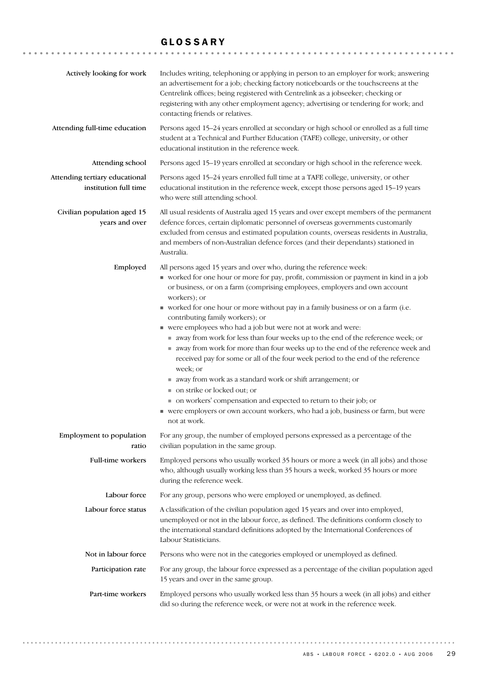# GLOSSARY

| Actively looking for work                               | Includes writing, telephoning or applying in person to an employer for work; answering<br>an advertisement for a job; checking factory noticeboards or the touchscreens at the<br>Centrelink offices; being registered with Centrelink as a jobseeker; checking or<br>registering with any other employment agency; advertising or tendering for work; and<br>contacting friends or relatives.                                                                                                                                                                                                                                                                                                                                                                                                                                                                                                                                                                                                     |
|---------------------------------------------------------|----------------------------------------------------------------------------------------------------------------------------------------------------------------------------------------------------------------------------------------------------------------------------------------------------------------------------------------------------------------------------------------------------------------------------------------------------------------------------------------------------------------------------------------------------------------------------------------------------------------------------------------------------------------------------------------------------------------------------------------------------------------------------------------------------------------------------------------------------------------------------------------------------------------------------------------------------------------------------------------------------|
| Attending full-time education                           | Persons aged 15-24 years enrolled at secondary or high school or enrolled as a full time<br>student at a Technical and Further Education (TAFE) college, university, or other<br>educational institution in the reference week.                                                                                                                                                                                                                                                                                                                                                                                                                                                                                                                                                                                                                                                                                                                                                                    |
| Attending school                                        | Persons aged 15-19 years enrolled at secondary or high school in the reference week.                                                                                                                                                                                                                                                                                                                                                                                                                                                                                                                                                                                                                                                                                                                                                                                                                                                                                                               |
| Attending tertiary educational<br>institution full time | Persons aged 15-24 years enrolled full time at a TAFE college, university, or other<br>educational institution in the reference week, except those persons aged 15-19 years<br>who were still attending school.                                                                                                                                                                                                                                                                                                                                                                                                                                                                                                                                                                                                                                                                                                                                                                                    |
| Civilian population aged 15<br>years and over           | All usual residents of Australia aged 15 years and over except members of the permanent<br>defence forces, certain diplomatic personnel of overseas governments customarily<br>excluded from census and estimated population counts, overseas residents in Australia,<br>and members of non-Australian defence forces (and their dependants) stationed in<br>Australia.                                                                                                                                                                                                                                                                                                                                                                                                                                                                                                                                                                                                                            |
| Employed                                                | All persons aged 15 years and over who, during the reference week:<br>worked for one hour or more for pay, profit, commission or payment in kind in a job<br>or business, or on a farm (comprising employees, employers and own account<br>workers); or<br>worked for one hour or more without pay in a family business or on a farm (i.e.<br>contributing family workers); or<br>■ were employees who had a job but were not at work and were:<br>away from work for less than four weeks up to the end of the reference week; or<br>away from work for more than four weeks up to the end of the reference week and<br>received pay for some or all of the four week period to the end of the reference<br>week; or<br>■ away from work as a standard work or shift arrangement; or<br>■ on strike or locked out; or<br>• on workers' compensation and expected to return to their job; or<br>• were employers or own account workers, who had a job, business or farm, but were<br>not at work. |
| Employment to population<br>ratio                       | For any group, the number of employed persons expressed as a percentage of the<br>civilian population in the same group.                                                                                                                                                                                                                                                                                                                                                                                                                                                                                                                                                                                                                                                                                                                                                                                                                                                                           |
| Full-time workers                                       | Employed persons who usually worked 35 hours or more a week (in all jobs) and those<br>who, although usually working less than 35 hours a week, worked 35 hours or more<br>during the reference week.                                                                                                                                                                                                                                                                                                                                                                                                                                                                                                                                                                                                                                                                                                                                                                                              |
| Labour force                                            | For any group, persons who were employed or unemployed, as defined.                                                                                                                                                                                                                                                                                                                                                                                                                                                                                                                                                                                                                                                                                                                                                                                                                                                                                                                                |
| Labour force status                                     | A classification of the civilian population aged 15 years and over into employed,<br>unemployed or not in the labour force, as defined. The definitions conform closely to<br>the international standard definitions adopted by the International Conferences of<br>Labour Statisticians.                                                                                                                                                                                                                                                                                                                                                                                                                                                                                                                                                                                                                                                                                                          |
| Not in labour force                                     | Persons who were not in the categories employed or unemployed as defined.                                                                                                                                                                                                                                                                                                                                                                                                                                                                                                                                                                                                                                                                                                                                                                                                                                                                                                                          |
| Participation rate                                      | For any group, the labour force expressed as a percentage of the civilian population aged<br>15 years and over in the same group.                                                                                                                                                                                                                                                                                                                                                                                                                                                                                                                                                                                                                                                                                                                                                                                                                                                                  |
| Part-time workers                                       | Employed persons who usually worked less than 35 hours a week (in all jobs) and either<br>did so during the reference week, or were not at work in the reference week.                                                                                                                                                                                                                                                                                                                                                                                                                                                                                                                                                                                                                                                                                                                                                                                                                             |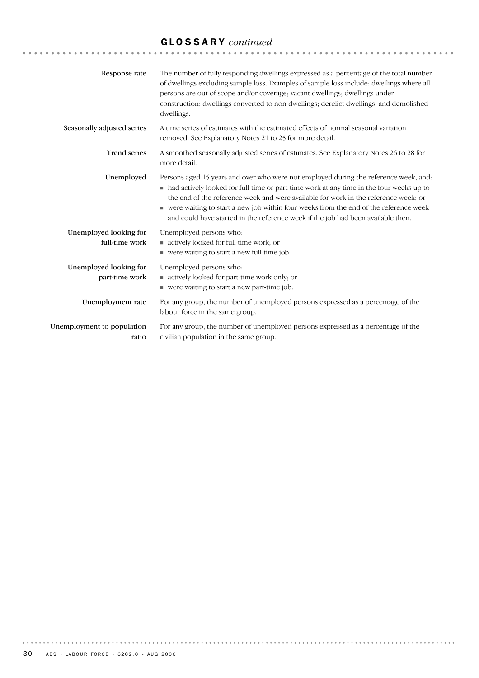# GLOSSARY *continued*

| Response rate                            | The number of fully responding dwellings expressed as a percentage of the total number<br>of dwellings excluding sample loss. Examples of sample loss include: dwellings where all<br>persons are out of scope and/or coverage; vacant dwellings; dwellings under<br>construction; dwellings converted to non-dwellings; derelict dwellings; and demolished<br>dwellings.                                                                              |
|------------------------------------------|--------------------------------------------------------------------------------------------------------------------------------------------------------------------------------------------------------------------------------------------------------------------------------------------------------------------------------------------------------------------------------------------------------------------------------------------------------|
| Seasonally adjusted series               | A time series of estimates with the estimated effects of normal seasonal variation<br>removed. See Explanatory Notes 21 to 25 for more detail.                                                                                                                                                                                                                                                                                                         |
| <b>Trend series</b>                      | A smoothed seasonally adjusted series of estimates. See Explanatory Notes 26 to 28 for<br>more detail.                                                                                                                                                                                                                                                                                                                                                 |
| Unemployed                               | Persons aged 15 years and over who were not employed during the reference week, and:<br>• had actively looked for full-time or part-time work at any time in the four weeks up to<br>the end of the reference week and were available for work in the reference week; or<br>• were waiting to start a new job within four weeks from the end of the reference week<br>and could have started in the reference week if the job had been available then. |
| Unemployed looking for<br>full-time work | Unemployed persons who:<br>actively looked for full-time work; or<br>■ were waiting to start a new full-time job.                                                                                                                                                                                                                                                                                                                                      |
| Unemployed looking for<br>part-time work | Unemployed persons who:<br>actively looked for part-time work only; or<br>■ were waiting to start a new part-time job.                                                                                                                                                                                                                                                                                                                                 |
| Unemployment rate                        | For any group, the number of unemployed persons expressed as a percentage of the<br>labour force in the same group.                                                                                                                                                                                                                                                                                                                                    |
| Unemployment to population<br>ratio      | For any group, the number of unemployed persons expressed as a percentage of the<br>civilian population in the same group.                                                                                                                                                                                                                                                                                                                             |